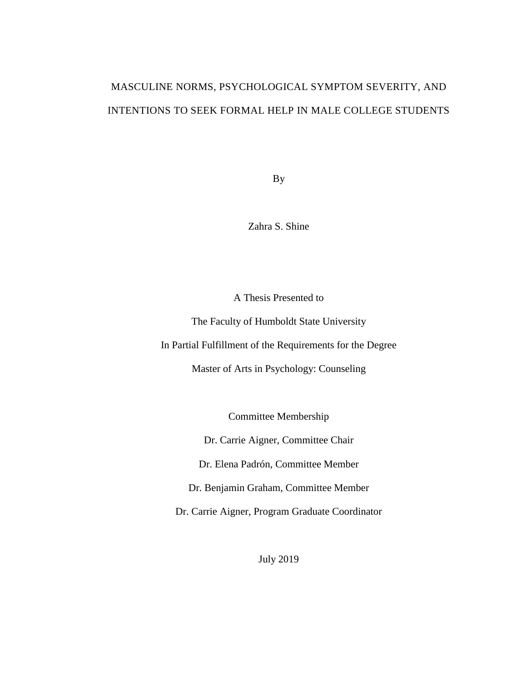# MASCULINE NORMS, PSYCHOLOGICAL SYMPTOM SEVERITY, AND INTENTIONS TO SEEK FORMAL HELP IN MALE COLLEGE STUDENTS

By

Zahra S. Shine

A Thesis Presented to

The Faculty of Humboldt State University

In Partial Fulfillment of the Requirements for the Degree

Master of Arts in Psychology: Counseling

Committee Membership

Dr. Carrie Aigner, Committee Chair

Dr. Elena Padrón, Committee Member

Dr. Benjamin Graham, Committee Member

Dr. Carrie Aigner, Program Graduate Coordinator

July 2019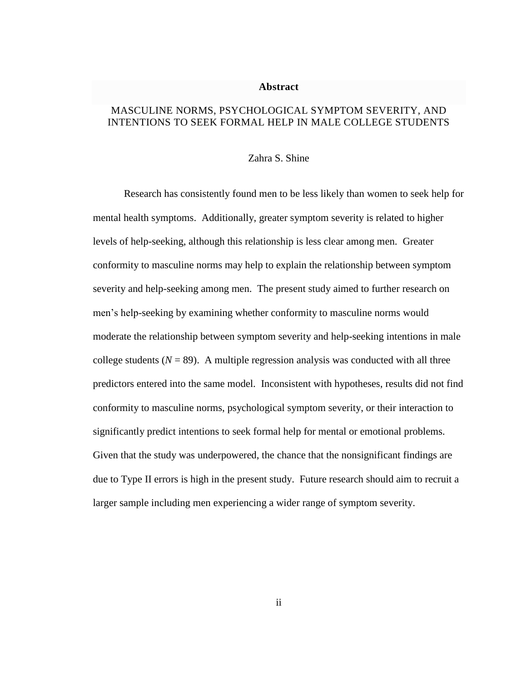#### **Abstract**

## <span id="page-1-0"></span>MASCULINE NORMS, PSYCHOLOGICAL SYMPTOM SEVERITY, AND INTENTIONS TO SEEK FORMAL HELP IN MALE COLLEGE STUDENTS

### Zahra S. Shine

Research has consistently found men to be less likely than women to seek help for mental health symptoms. Additionally, greater symptom severity is related to higher levels of help-seeking, although this relationship is less clear among men. Greater conformity to masculine norms may help to explain the relationship between symptom severity and help-seeking among men. The present study aimed to further research on men's help-seeking by examining whether conformity to masculine norms would moderate the relationship between symptom severity and help-seeking intentions in male college students  $(N = 89)$ . A multiple regression analysis was conducted with all three predictors entered into the same model. Inconsistent with hypotheses, results did not find conformity to masculine norms, psychological symptom severity, or their interaction to significantly predict intentions to seek formal help for mental or emotional problems. Given that the study was underpowered, the chance that the nonsignificant findings are due to Type II errors is high in the present study. Future research should aim to recruit a larger sample including men experiencing a wider range of symptom severity.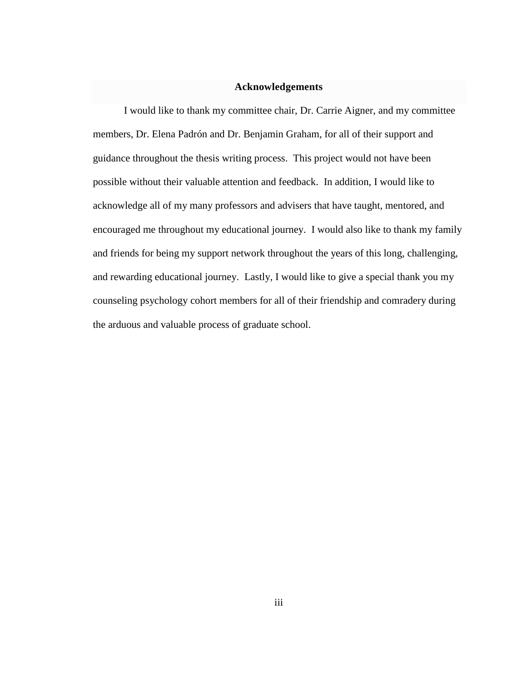#### **Acknowledgements**

<span id="page-2-0"></span>I would like to thank my committee chair, Dr. Carrie Aigner, and my committee members, Dr. Elena Padrón and Dr. Benjamin Graham, for all of their support and guidance throughout the thesis writing process. This project would not have been possible without their valuable attention and feedback. In addition, I would like to acknowledge all of my many professors and advisers that have taught, mentored, and encouraged me throughout my educational journey. I would also like to thank my family and friends for being my support network throughout the years of this long, challenging, and rewarding educational journey. Lastly, I would like to give a special thank you my counseling psychology cohort members for all of their friendship and comradery during the arduous and valuable process of graduate school.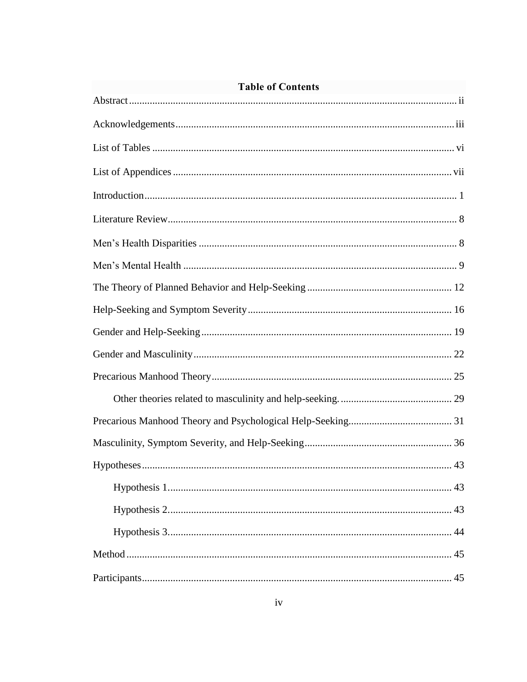| <b>Table of Contents</b> |  |  |
|--------------------------|--|--|
|                          |  |  |
|                          |  |  |
|                          |  |  |
|                          |  |  |
|                          |  |  |
|                          |  |  |
|                          |  |  |
|                          |  |  |
|                          |  |  |
|                          |  |  |
|                          |  |  |
|                          |  |  |
|                          |  |  |
|                          |  |  |
|                          |  |  |
|                          |  |  |
|                          |  |  |
|                          |  |  |
|                          |  |  |
|                          |  |  |
|                          |  |  |
|                          |  |  |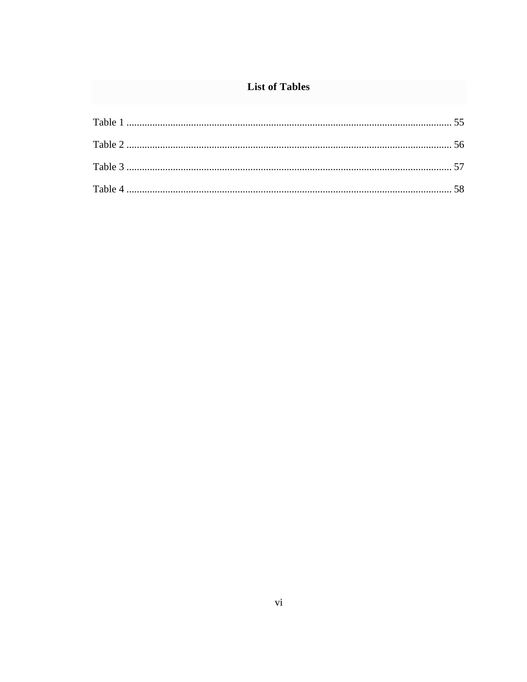# **List of Tables**

<span id="page-5-0"></span>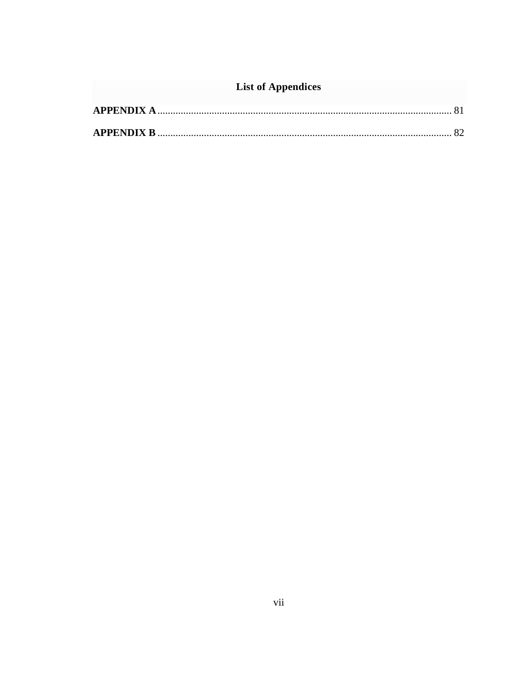# **List of Appendices**

<span id="page-6-0"></span>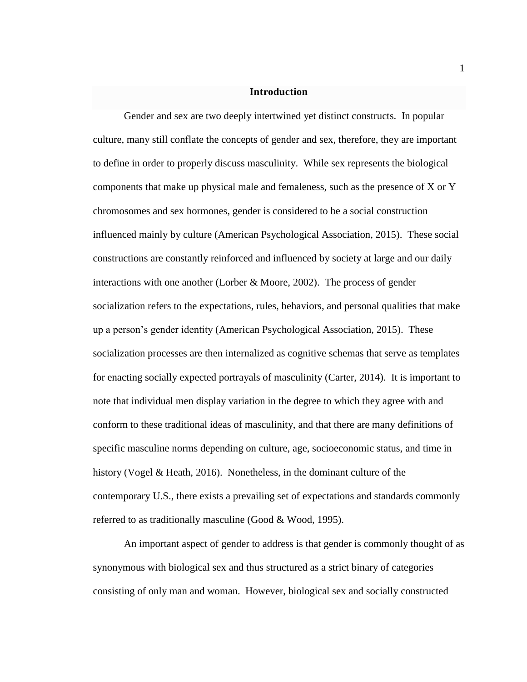#### **Introduction**

<span id="page-7-0"></span>Gender and sex are two deeply intertwined yet distinct constructs. In popular culture, many still conflate the concepts of gender and sex, therefore, they are important to define in order to properly discuss masculinity. While sex represents the biological components that make up physical male and femaleness, such as the presence of X or Y chromosomes and sex hormones, gender is considered to be a social construction influenced mainly by culture (American Psychological Association, 2015). These social constructions are constantly reinforced and influenced by society at large and our daily interactions with one another (Lorber  $\&$  Moore, 2002). The process of gender socialization refers to the expectations, rules, behaviors, and personal qualities that make up a person's gender identity (American Psychological Association, 2015). These socialization processes are then internalized as cognitive schemas that serve as templates for enacting socially expected portrayals of masculinity (Carter, 2014). It is important to note that individual men display variation in the degree to which they agree with and conform to these traditional ideas of masculinity, and that there are many definitions of specific masculine norms depending on culture, age, socioeconomic status, and time in history (Vogel & Heath, 2016). Nonetheless, in the dominant culture of the contemporary U.S., there exists a prevailing set of expectations and standards commonly referred to as traditionally masculine (Good & Wood, 1995).

An important aspect of gender to address is that gender is commonly thought of as synonymous with biological sex and thus structured as a strict binary of categories consisting of only man and woman. However, biological sex and socially constructed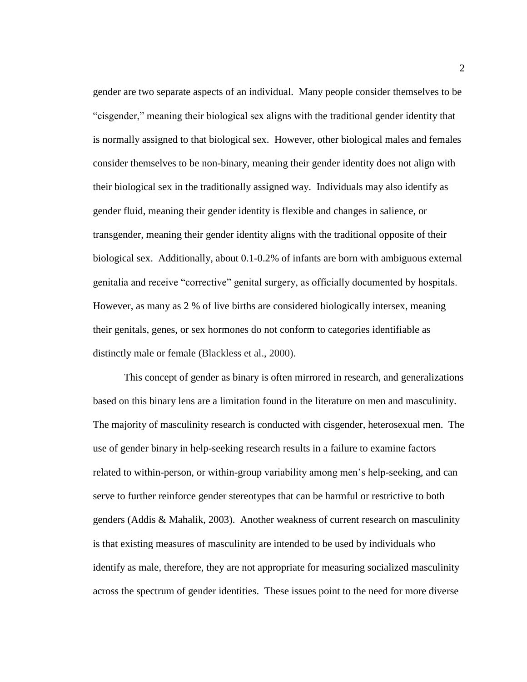gender are two separate aspects of an individual. Many people consider themselves to be "cisgender," meaning their biological sex aligns with the traditional gender identity that is normally assigned to that biological sex. However, other biological males and females consider themselves to be non-binary, meaning their gender identity does not align with their biological sex in the traditionally assigned way. Individuals may also identify as gender fluid, meaning their gender identity is flexible and changes in salience, or transgender, meaning their gender identity aligns with the traditional opposite of their biological sex. Additionally, about 0.1-0.2% of infants are born with ambiguous external genitalia and receive "corrective" genital surgery, as officially documented by hospitals. However, as many as 2 % of live births are considered biologically intersex, meaning their genitals, genes, or sex hormones do not conform to categories identifiable as distinctly male or female (Blackless et al., 2000).

This concept of gender as binary is often mirrored in research, and generalizations based on this binary lens are a limitation found in the literature on men and masculinity. The majority of masculinity research is conducted with cisgender, heterosexual men. The use of gender binary in help-seeking research results in a failure to examine factors related to within-person, or within-group variability among men's help-seeking, and can serve to further reinforce gender stereotypes that can be harmful or restrictive to both genders (Addis & Mahalik, 2003). Another weakness of current research on masculinity is that existing measures of masculinity are intended to be used by individuals who identify as male, therefore, they are not appropriate for measuring socialized masculinity across the spectrum of gender identities. These issues point to the need for more diverse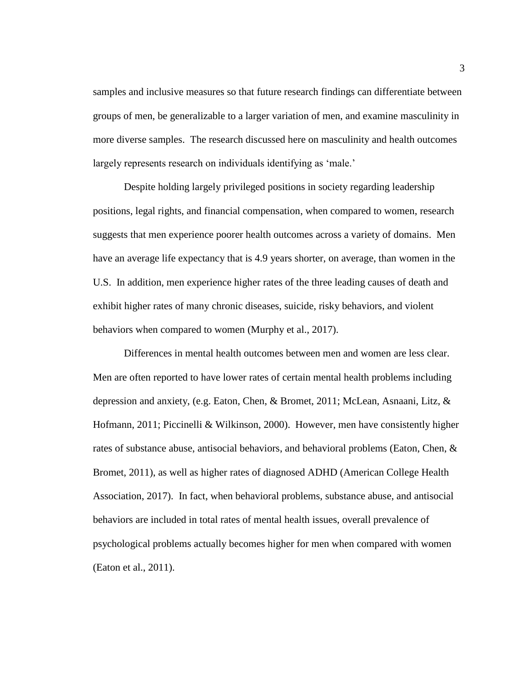samples and inclusive measures so that future research findings can differentiate between groups of men, be generalizable to a larger variation of men, and examine masculinity in more diverse samples. The research discussed here on masculinity and health outcomes largely represents research on individuals identifying as 'male.'

Despite holding largely privileged positions in society regarding leadership positions, legal rights, and financial compensation, when compared to women, research suggests that men experience poorer health outcomes across a variety of domains. Men have an average life expectancy that is 4.9 years shorter, on average, than women in the U.S. In addition, men experience higher rates of the three leading causes of death and exhibit higher rates of many chronic diseases, suicide, risky behaviors, and violent behaviors when compared to women (Murphy et al., 2017).

Differences in mental health outcomes between men and women are less clear. Men are often reported to have lower rates of certain mental health problems including depression and anxiety, (e.g. Eaton, Chen, & Bromet, 2011; McLean, Asnaani, Litz, & Hofmann, 2011; Piccinelli & Wilkinson, 2000). However, men have consistently higher rates of substance abuse, antisocial behaviors, and behavioral problems (Eaton, Chen, & Bromet, 2011), as well as higher rates of diagnosed ADHD (American College Health Association, 2017). In fact, when behavioral problems, substance abuse, and antisocial behaviors are included in total rates of mental health issues, overall prevalence of psychological problems actually becomes higher for men when compared with women (Eaton et al., 2011).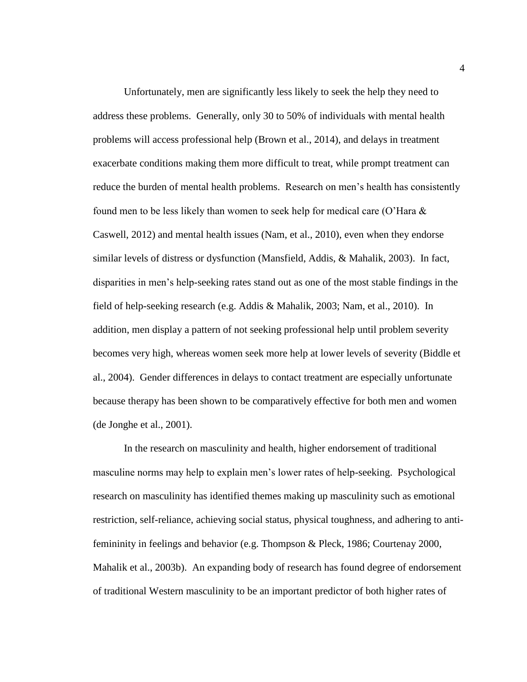Unfortunately, men are significantly less likely to seek the help they need to address these problems. Generally, only 30 to 50% of individuals with mental health problems will access professional help (Brown et al., 2014), and delays in treatment exacerbate conditions making them more difficult to treat, while prompt treatment can reduce the burden of mental health problems. Research on men's health has consistently found men to be less likely than women to seek help for medical care (O'Hara  $\&$ Caswell, 2012) and mental health issues (Nam, et al., 2010), even when they endorse similar levels of distress or dysfunction (Mansfield, Addis, & Mahalik, 2003). In fact, disparities in men's help-seeking rates stand out as one of the most stable findings in the field of help-seeking research (e.g. Addis & Mahalik, 2003; Nam, et al., 2010). In addition, men display a pattern of not seeking professional help until problem severity becomes very high, whereas women seek more help at lower levels of severity (Biddle et al., 2004). Gender differences in delays to contact treatment are especially unfortunate because therapy has been shown to be comparatively effective for both men and women (de Jonghe et al., 2001).

In the research on masculinity and health, higher endorsement of traditional masculine norms may help to explain men's lower rates of help-seeking. Psychological research on masculinity has identified themes making up masculinity such as emotional restriction, self-reliance, achieving social status, physical toughness, and adhering to antifemininity in feelings and behavior (e.g. Thompson & Pleck, 1986; Courtenay 2000, Mahalik et al., 2003b). An expanding body of research has found degree of endorsement of traditional Western masculinity to be an important predictor of both higher rates of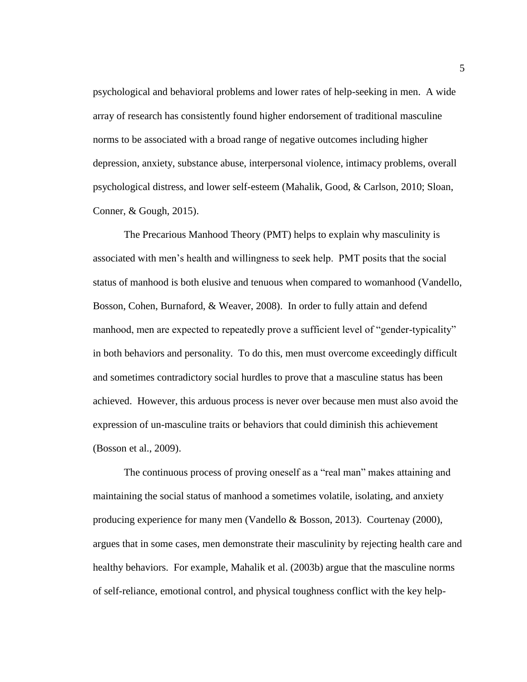psychological and behavioral problems and lower rates of help-seeking in men. A wide array of research has consistently found higher endorsement of traditional masculine norms to be associated with a broad range of negative outcomes including higher depression, anxiety, substance abuse, interpersonal violence, intimacy problems, overall psychological distress, and lower self-esteem (Mahalik, Good, & Carlson, 2010; Sloan, Conner, & Gough, 2015).

The Precarious Manhood Theory (PMT) helps to explain why masculinity is associated with men's health and willingness to seek help. PMT posits that the social status of manhood is both elusive and tenuous when compared to womanhood (Vandello, Bosson, Cohen, Burnaford, & Weaver, 2008). In order to fully attain and defend manhood, men are expected to repeatedly prove a sufficient level of "gender-typicality" in both behaviors and personality. To do this, men must overcome exceedingly difficult and sometimes contradictory social hurdles to prove that a masculine status has been achieved. However, this arduous process is never over because men must also avoid the expression of un-masculine traits or behaviors that could diminish this achievement (Bosson et al., 2009).

The continuous process of proving oneself as a "real man" makes attaining and maintaining the social status of manhood a sometimes volatile, isolating, and anxiety producing experience for many men (Vandello & Bosson, 2013). Courtenay (2000), argues that in some cases, men demonstrate their masculinity by rejecting health care and healthy behaviors. For example, Mahalik et al. (2003b) argue that the masculine norms of self-reliance, emotional control, and physical toughness conflict with the key help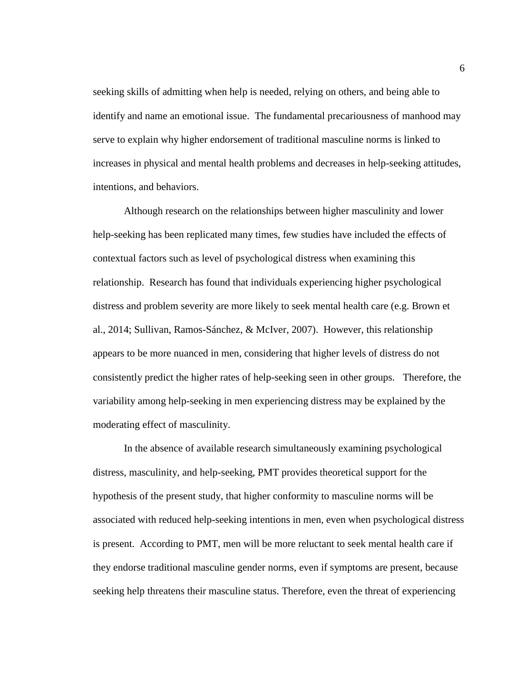seeking skills of admitting when help is needed, relying on others, and being able to identify and name an emotional issue. The fundamental precariousness of manhood may serve to explain why higher endorsement of traditional masculine norms is linked to increases in physical and mental health problems and decreases in help-seeking attitudes, intentions, and behaviors.

Although research on the relationships between higher masculinity and lower help-seeking has been replicated many times, few studies have included the effects of contextual factors such as level of psychological distress when examining this relationship. Research has found that individuals experiencing higher psychological distress and problem severity are more likely to seek mental health care (e.g. Brown et al., 2014; Sullivan, Ramos-Sánchez, & McIver, 2007). However, this relationship appears to be more nuanced in men, considering that higher levels of distress do not consistently predict the higher rates of help-seeking seen in other groups. Therefore, the variability among help-seeking in men experiencing distress may be explained by the moderating effect of masculinity.

In the absence of available research simultaneously examining psychological distress, masculinity, and help-seeking, PMT provides theoretical support for the hypothesis of the present study, that higher conformity to masculine norms will be associated with reduced help-seeking intentions in men, even when psychological distress is present. According to PMT, men will be more reluctant to seek mental health care if they endorse traditional masculine gender norms, even if symptoms are present, because seeking help threatens their masculine status. Therefore, even the threat of experiencing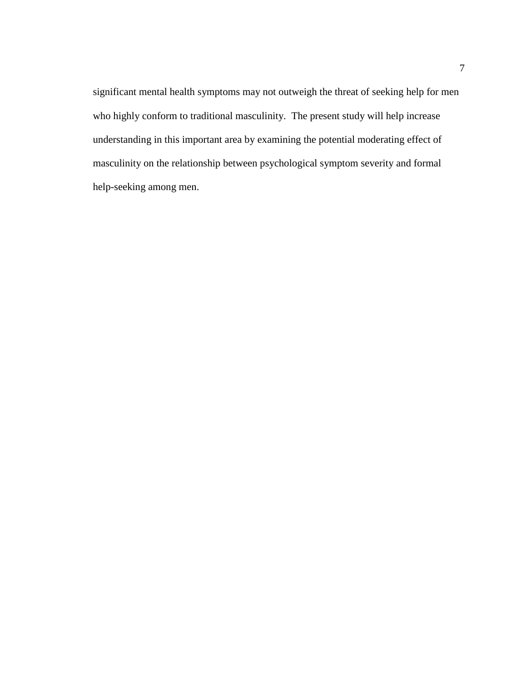significant mental health symptoms may not outweigh the threat of seeking help for men who highly conform to traditional masculinity. The present study will help increase understanding in this important area by examining the potential moderating effect of masculinity on the relationship between psychological symptom severity and formal help-seeking among men.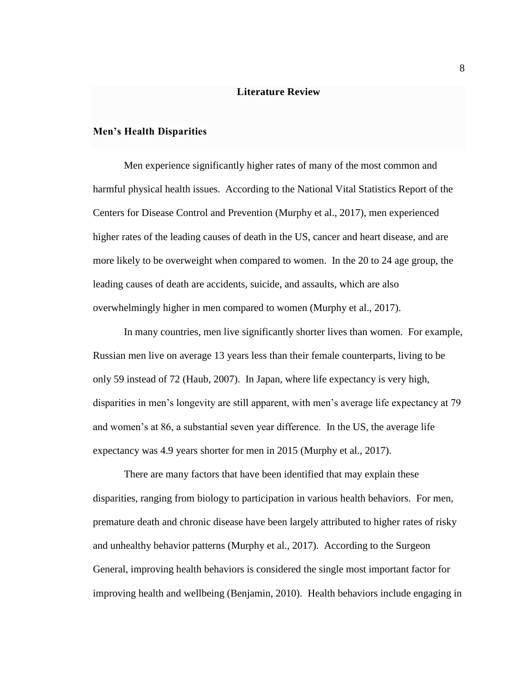#### **Literature Review**

#### <span id="page-14-1"></span><span id="page-14-0"></span>**Men's Health Disparities**

Men experience significantly higher rates of many of the most common and harmful physical health issues. According to the National Vital Statistics Report of the Centers for Disease Control and Prevention (Murphy et al., 2017), men experienced higher rates of the leading causes of death in the US, cancer and heart disease, and are more likely to be overweight when compared to women. In the 20 to 24 age group, the leading causes of death are accidents, suicide, and assaults, which are also overwhelmingly higher in men compared to women (Murphy et al., 2017).

In many countries, men live significantly shorter lives than women. For example, Russian men live on average 13 years less than their female counterparts, living to be only 59 instead of 72 (Haub, 2007). In Japan, where life expectancy is very high, disparities in men's longevity are still apparent, with men's average life expectancy at 79 and women's at 86, a substantial seven year difference. In the US, the average life expectancy was 4.9 years shorter for men in 2015 (Murphy et al., 2017).

There are many factors that have been identified that may explain these disparities, ranging from biology to participation in various health behaviors. For men, premature death and chronic disease have been largely attributed to higher rates of risky and unhealthy behavior patterns (Murphy et al., 2017). According to the Surgeon General, improving health behaviors is considered the single most important factor for improving health and wellbeing (Benjamin, 2010). Health behaviors include engaging in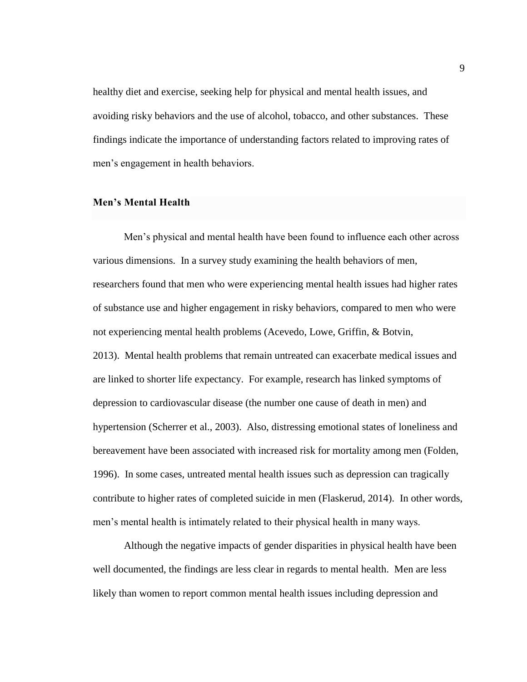healthy diet and exercise, seeking help for physical and mental health issues, and avoiding risky behaviors and the use of alcohol, tobacco, and other substances. These findings indicate the importance of understanding factors related to improving rates of men's engagement in health behaviors.

#### <span id="page-15-0"></span>**Men's Mental Health**

Men's physical and mental health have been found to influence each other across various dimensions. In a survey study examining the health behaviors of men, researchers found that men who were experiencing mental health issues had higher rates of substance use and higher engagement in risky behaviors, compared to men who were not experiencing mental health problems (Acevedo, Lowe, Griffin, & Botvin, 2013). Mental health problems that remain untreated can exacerbate medical issues and are linked to shorter life expectancy. For example, research has linked symptoms of depression to cardiovascular disease (the number one cause of death in men) and hypertension (Scherrer et al., 2003). Also, distressing emotional states of loneliness and bereavement have been associated with increased risk for mortality among men (Folden, 1996). In some cases, untreated mental health issues such as depression can tragically contribute to higher rates of completed suicide in men (Flaskerud, 2014). In other words, men's mental health is intimately related to their physical health in many ways.

Although the negative impacts of gender disparities in physical health have been well documented, the findings are less clear in regards to mental health. Men are less likely than women to report common mental health issues including depression and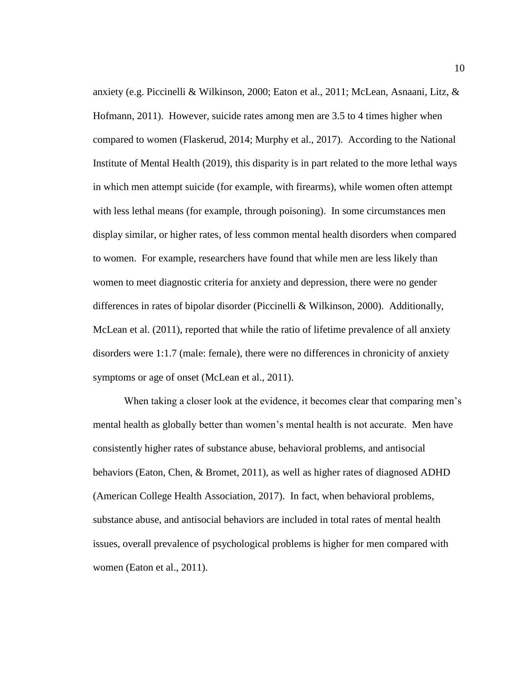anxiety (e.g. Piccinelli & Wilkinson, 2000; Eaton et al., 2011; McLean, Asnaani, Litz, & Hofmann, 2011). However, suicide rates among men are 3.5 to 4 times higher when compared to women (Flaskerud, 2014; Murphy et al., 2017). According to the National Institute of Mental Health (2019), this disparity is in part related to the more lethal ways in which men attempt suicide (for example, with firearms), while women often attempt with less lethal means (for example, through poisoning). In some circumstances men display similar, or higher rates, of less common mental health disorders when compared to women. For example, researchers have found that while men are less likely than women to meet diagnostic criteria for anxiety and depression, there were no gender differences in rates of bipolar disorder (Piccinelli & Wilkinson, 2000). Additionally, McLean et al. (2011), reported that while the ratio of lifetime prevalence of all anxiety disorders were 1:1.7 (male: female), there were no differences in chronicity of anxiety symptoms or age of onset (McLean et al., 2011).

When taking a closer look at the evidence, it becomes clear that comparing men's mental health as globally better than women's mental health is not accurate. Men have consistently higher rates of substance abuse, behavioral problems, and antisocial behaviors (Eaton, Chen, & Bromet, 2011), as well as higher rates of diagnosed ADHD (American College Health Association, 2017). In fact, when behavioral problems, substance abuse, and antisocial behaviors are included in total rates of mental health issues, overall prevalence of psychological problems is higher for men compared with women (Eaton et al., 2011).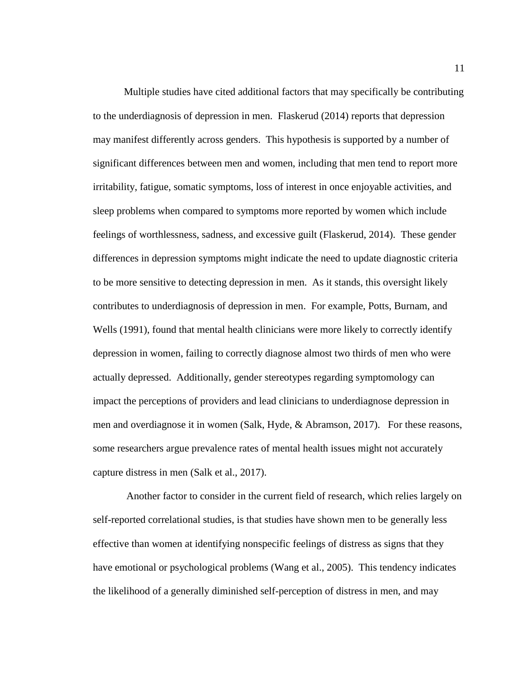Multiple studies have cited additional factors that may specifically be contributing to the underdiagnosis of depression in men. Flaskerud (2014) reports that depression may manifest differently across genders. This hypothesis is supported by a number of significant differences between men and women, including that men tend to report more irritability, fatigue, somatic symptoms, loss of interest in once enjoyable activities, and sleep problems when compared to symptoms more reported by women which include feelings of worthlessness, sadness, and excessive guilt (Flaskerud, 2014). These gender differences in depression symptoms might indicate the need to update diagnostic criteria to be more sensitive to detecting depression in men. As it stands, this oversight likely contributes to underdiagnosis of depression in men. For example, Potts, Burnam, and Wells (1991), found that mental health clinicians were more likely to correctly identify depression in women, failing to correctly diagnose almost two thirds of men who were actually depressed. Additionally, gender stereotypes regarding symptomology can impact the perceptions of providers and lead clinicians to underdiagnose depression in men and overdiagnose it in women (Salk, Hyde, & Abramson, 2017). For these reasons, some researchers argue prevalence rates of mental health issues might not accurately capture distress in men (Salk et al., 2017).

Another factor to consider in the current field of research, which relies largely on self-reported correlational studies, is that studies have shown men to be generally less effective than women at identifying nonspecific feelings of distress as signs that they have emotional or psychological problems (Wang et al., 2005). This tendency indicates the likelihood of a generally diminished self-perception of distress in men, and may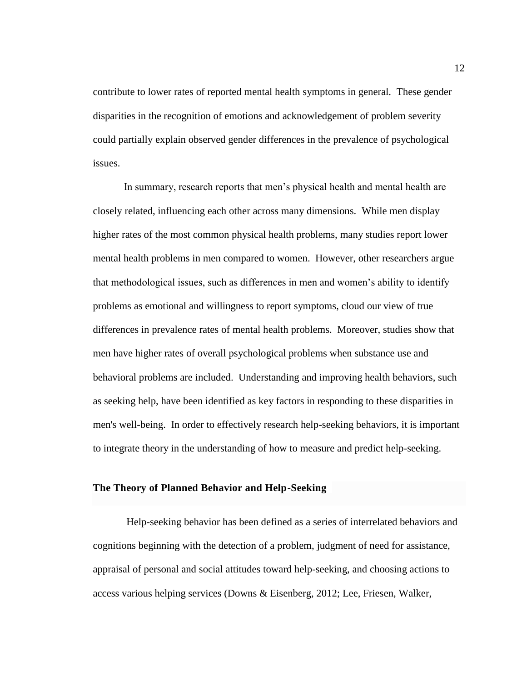contribute to lower rates of reported mental health symptoms in general. These gender disparities in the recognition of emotions and acknowledgement of problem severity could partially explain observed gender differences in the prevalence of psychological issues.

In summary, research reports that men's physical health and mental health are closely related, influencing each other across many dimensions. While men display higher rates of the most common physical health problems, many studies report lower mental health problems in men compared to women. However, other researchers argue that methodological issues, such as differences in men and women's ability to identify problems as emotional and willingness to report symptoms, cloud our view of true differences in prevalence rates of mental health problems. Moreover, studies show that men have higher rates of overall psychological problems when substance use and behavioral problems are included. Understanding and improving health behaviors, such as seeking help, have been identified as key factors in responding to these disparities in men's well-being. In order to effectively research help-seeking behaviors, it is important to integrate theory in the understanding of how to measure and predict help-seeking.

#### <span id="page-18-0"></span>**The Theory of Planned Behavior and Help-Seeking**

Help-seeking behavior has been defined as a series of interrelated behaviors and cognitions beginning with the detection of a problem, judgment of need for assistance, appraisal of personal and social attitudes toward help-seeking, and choosing actions to access various helping services (Downs & Eisenberg, 2012; Lee, Friesen, Walker,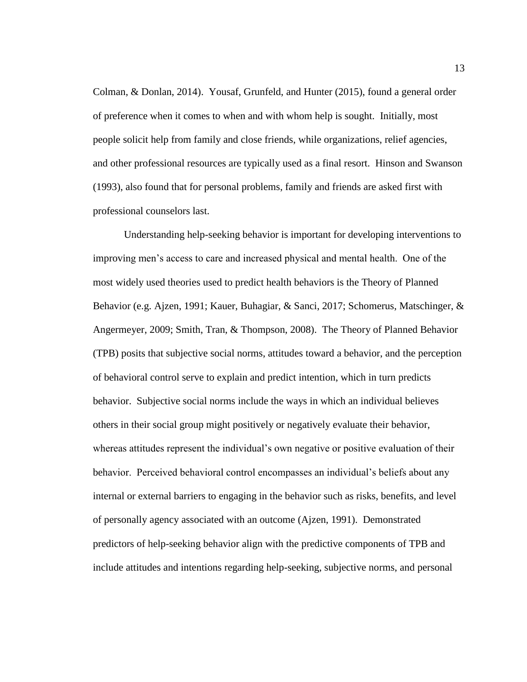Colman, & Donlan, 2014). Yousaf, Grunfeld, and Hunter (2015), found a general order of preference when it comes to when and with whom help is sought. Initially, most people solicit help from family and close friends, while organizations, relief agencies, and other professional resources are typically used as a final resort. Hinson and Swanson (1993), also found that for personal problems, family and friends are asked first with professional counselors last.

Understanding help-seeking behavior is important for developing interventions to improving men's access to care and increased physical and mental health. One of the most widely used theories used to predict health behaviors is the Theory of Planned Behavior (e.g. Ajzen, 1991; Kauer, Buhagiar, & Sanci, 2017; Schomerus, Matschinger, & Angermeyer, 2009; Smith, Tran, & Thompson, 2008). The Theory of Planned Behavior (TPB) posits that subjective social norms, attitudes toward a behavior, and the perception of behavioral control serve to explain and predict intention, which in turn predicts behavior. Subjective social norms include the ways in which an individual believes others in their social group might positively or negatively evaluate their behavior, whereas attitudes represent the individual's own negative or positive evaluation of their behavior. Perceived behavioral control encompasses an individual's beliefs about any internal or external barriers to engaging in the behavior such as risks, benefits, and level of personally agency associated with an outcome (Ajzen, 1991). Demonstrated predictors of help-seeking behavior align with the predictive components of TPB and include attitudes and intentions regarding help-seeking, subjective norms, and personal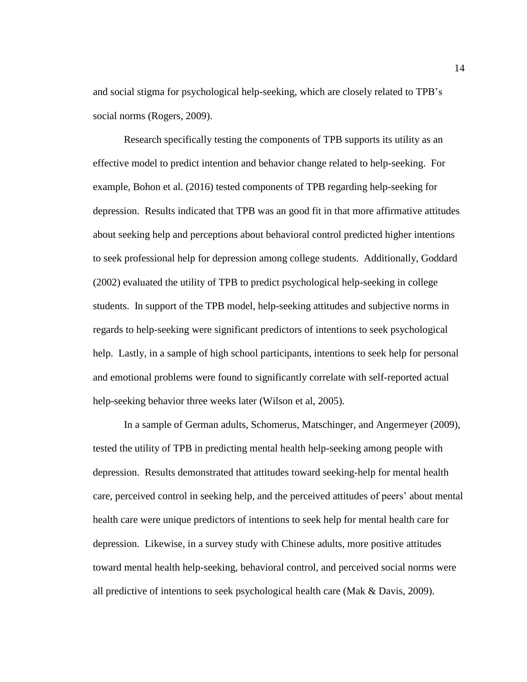and social stigma for psychological help-seeking, which are closely related to TPB's social norms (Rogers, 2009).

Research specifically testing the components of TPB supports its utility as an effective model to predict intention and behavior change related to help-seeking. For example, Bohon et al. (2016) tested components of TPB regarding help-seeking for depression. Results indicated that TPB was an good fit in that more affirmative attitudes about seeking help and perceptions about behavioral control predicted higher intentions to seek professional help for depression among college students. Additionally, Goddard (2002) evaluated the utility of TPB to predict psychological help-seeking in college students. In support of the TPB model, help-seeking attitudes and subjective norms in regards to help-seeking were significant predictors of intentions to seek psychological help. Lastly, in a sample of high school participants, intentions to seek help for personal and emotional problems were found to significantly correlate with self-reported actual help-seeking behavior three weeks later (Wilson et al, 2005).

In a sample of German adults, Schomerus, Matschinger, and Angermeyer (2009), tested the utility of TPB in predicting mental health help-seeking among people with depression. Results demonstrated that attitudes toward seeking-help for mental health care, perceived control in seeking help, and the perceived attitudes of peers' about mental health care were unique predictors of intentions to seek help for mental health care for depression. Likewise, in a survey study with Chinese adults, more positive attitudes toward mental health help-seeking, behavioral control, and perceived social norms were all predictive of intentions to seek psychological health care (Mak & Davis, 2009).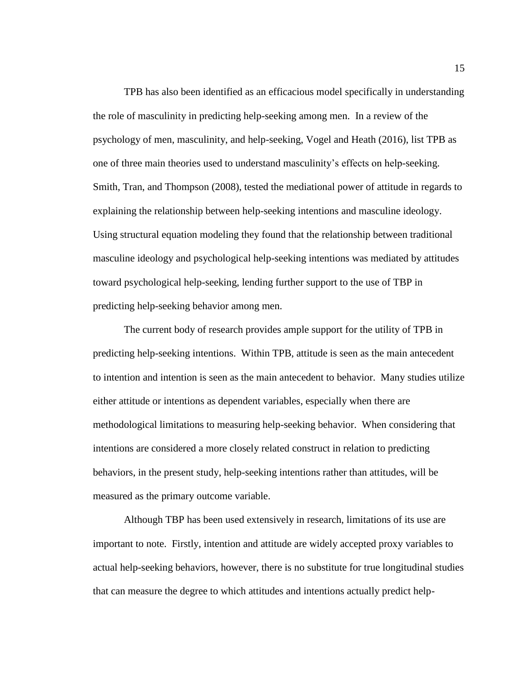TPB has also been identified as an efficacious model specifically in understanding the role of masculinity in predicting help-seeking among men. In a review of the psychology of men, masculinity, and help-seeking, Vogel and Heath (2016), list TPB as one of three main theories used to understand masculinity's effects on help-seeking. Smith, Tran, and Thompson (2008), tested the mediational power of attitude in regards to explaining the relationship between help-seeking intentions and masculine ideology. Using structural equation modeling they found that the relationship between traditional masculine ideology and psychological help-seeking intentions was mediated by attitudes toward psychological help-seeking, lending further support to the use of TBP in predicting help-seeking behavior among men.

The current body of research provides ample support for the utility of TPB in predicting help-seeking intentions. Within TPB, attitude is seen as the main antecedent to intention and intention is seen as the main antecedent to behavior. Many studies utilize either attitude or intentions as dependent variables, especially when there are methodological limitations to measuring help-seeking behavior. When considering that intentions are considered a more closely related construct in relation to predicting behaviors, in the present study, help-seeking intentions rather than attitudes, will be measured as the primary outcome variable.

Although TBP has been used extensively in research, limitations of its use are important to note. Firstly, intention and attitude are widely accepted proxy variables to actual help-seeking behaviors, however, there is no substitute for true longitudinal studies that can measure the degree to which attitudes and intentions actually predict help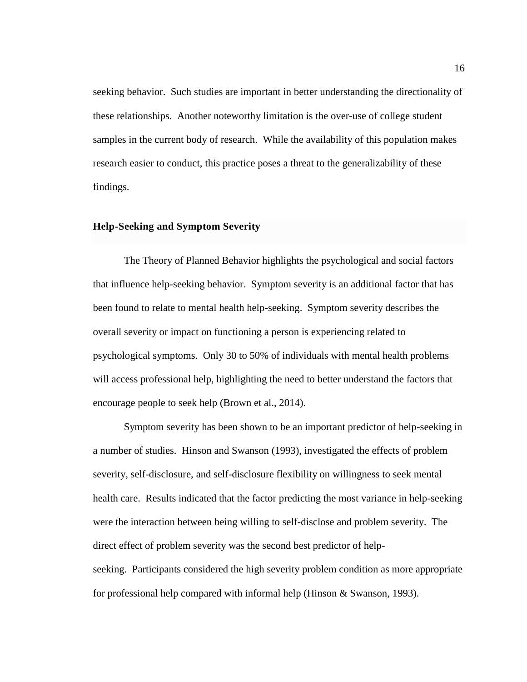seeking behavior. Such studies are important in better understanding the directionality of these relationships. Another noteworthy limitation is the over-use of college student samples in the current body of research. While the availability of this population makes research easier to conduct, this practice poses a threat to the generalizability of these findings.

### <span id="page-22-0"></span>**Help-Seeking and Symptom Severity**

The Theory of Planned Behavior highlights the psychological and social factors that influence help-seeking behavior. Symptom severity is an additional factor that has been found to relate to mental health help-seeking. Symptom severity describes the overall severity or impact on functioning a person is experiencing related to psychological symptoms. Only 30 to 50% of individuals with mental health problems will access professional help, highlighting the need to better understand the factors that encourage people to seek help (Brown et al., 2014).

Symptom severity has been shown to be an important predictor of help-seeking in a number of studies. Hinson and Swanson (1993), investigated the effects of problem severity, self-disclosure, and self-disclosure flexibility on willingness to seek mental health care. Results indicated that the factor predicting the most variance in help-seeking were the interaction between being willing to self-disclose and problem severity. The direct effect of problem severity was the second best predictor of helpseeking. Participants considered the high severity problem condition as more appropriate for professional help compared with informal help (Hinson & Swanson, 1993).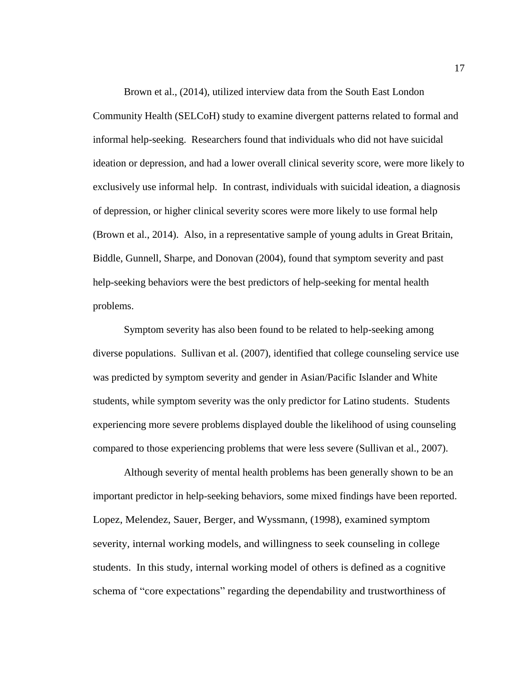Brown et al., (2014), utilized interview data from the South East London Community Health (SELCoH) study to examine divergent patterns related to formal and informal help-seeking. Researchers found that individuals who did not have suicidal ideation or depression, and had a lower overall clinical severity score, were more likely to exclusively use informal help. In contrast, individuals with suicidal ideation, a diagnosis of depression, or higher clinical severity scores were more likely to use formal help (Brown et al., 2014). Also, in a representative sample of young adults in Great Britain, Biddle, Gunnell, Sharpe, and Donovan (2004), found that symptom severity and past help-seeking behaviors were the best predictors of help-seeking for mental health problems.

Symptom severity has also been found to be related to help-seeking among diverse populations. Sullivan et al. (2007), identified that college counseling service use was predicted by symptom severity and gender in Asian/Pacific Islander and White students, while symptom severity was the only predictor for Latino students. Students experiencing more severe problems displayed double the likelihood of using counseling compared to those experiencing problems that were less severe (Sullivan et al., 2007).

Although severity of mental health problems has been generally shown to be an important predictor in help-seeking behaviors, some mixed findings have been reported. Lopez, Melendez, Sauer, Berger, and Wyssmann, (1998), examined symptom severity, internal working models, and willingness to seek counseling in college students. In this study, internal working model of others is defined as a cognitive schema of "core expectations" regarding the dependability and trustworthiness of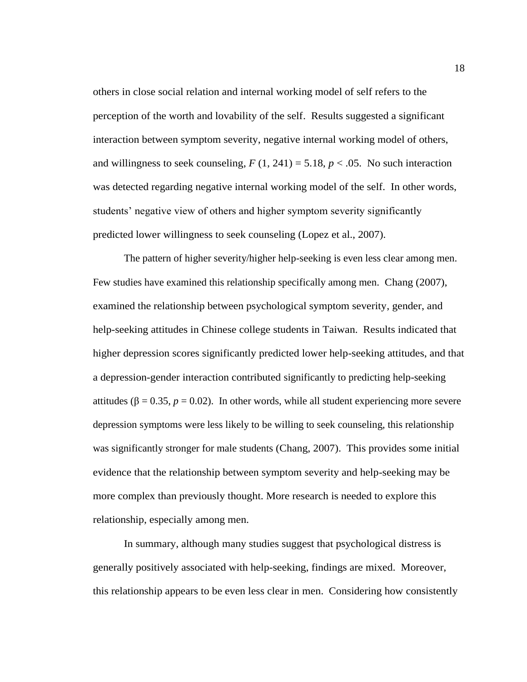others in close social relation and internal working model of self refers to the perception of the worth and lovability of the self. Results suggested a significant interaction between symptom severity, negative internal working model of others, and willingness to seek counseling,  $F(1, 241) = 5.18$ ,  $p < .05$ . No such interaction was detected regarding negative internal working model of the self. In other words, students' negative view of others and higher symptom severity significantly predicted lower willingness to seek counseling (Lopez et al., 2007).

The pattern of higher severity/higher help-seeking is even less clear among men. Few studies have examined this relationship specifically among men. Chang (2007), examined the relationship between psychological symptom severity, gender, and help-seeking attitudes in Chinese college students in Taiwan. Results indicated that higher depression scores significantly predicted lower help-seeking attitudes, and that a depression-gender interaction contributed significantly to predicting help-seeking attitudes ( $β = 0.35$ ,  $p = 0.02$ ). In other words, while all student experiencing more severe depression symptoms were less likely to be willing to seek counseling, this relationship was significantly stronger for male students (Chang, 2007). This provides some initial evidence that the relationship between symptom severity and help-seeking may be more complex than previously thought. More research is needed to explore this relationship, especially among men.

In summary, although many studies suggest that psychological distress is generally positively associated with help-seeking, findings are mixed. Moreover, this relationship appears to be even less clear in men. Considering how consistently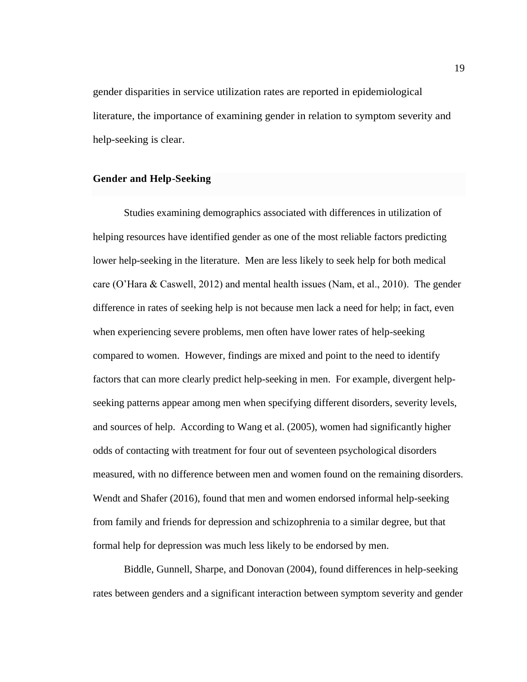gender disparities in service utilization rates are reported in epidemiological literature, the importance of examining gender in relation to symptom severity and help-seeking is clear.

#### <span id="page-25-0"></span>**Gender and Help-Seeking**

Studies examining demographics associated with differences in utilization of helping resources have identified gender as one of the most reliable factors predicting lower help-seeking in the literature. Men are less likely to seek help for both medical care (O'Hara & Caswell, 2012) and mental health issues (Nam, et al., 2010). The gender difference in rates of seeking help is not because men lack a need for help; in fact, even when experiencing severe problems, men often have lower rates of help-seeking compared to women. However, findings are mixed and point to the need to identify factors that can more clearly predict help-seeking in men. For example, divergent helpseeking patterns appear among men when specifying different disorders, severity levels, and sources of help. According to Wang et al. (2005), women had significantly higher odds of contacting with treatment for four out of seventeen psychological disorders measured, with no difference between men and women found on the remaining disorders. Wendt and Shafer (2016), found that men and women endorsed informal help-seeking from family and friends for depression and schizophrenia to a similar degree, but that formal help for depression was much less likely to be endorsed by men.

Biddle, Gunnell, Sharpe, and Donovan (2004), found differences in help-seeking rates between genders and a significant interaction between symptom severity and gender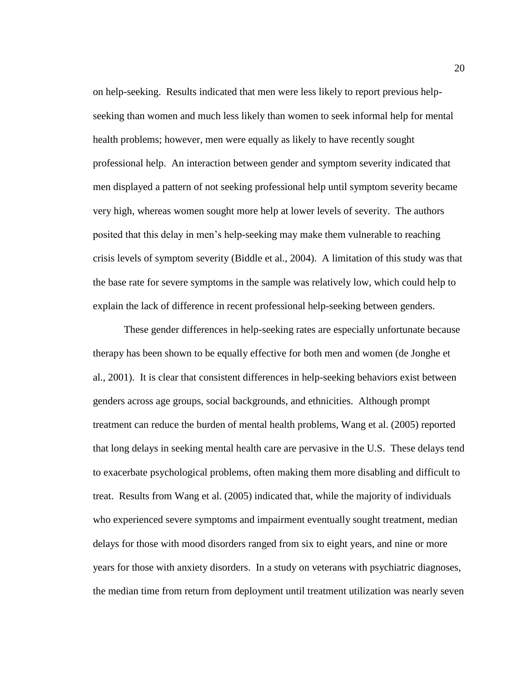on help-seeking. Results indicated that men were less likely to report previous helpseeking than women and much less likely than women to seek informal help for mental health problems; however, men were equally as likely to have recently sought professional help. An interaction between gender and symptom severity indicated that men displayed a pattern of not seeking professional help until symptom severity became very high, whereas women sought more help at lower levels of severity. The authors posited that this delay in men's help-seeking may make them vulnerable to reaching crisis levels of symptom severity (Biddle et al., 2004). A limitation of this study was that the base rate for severe symptoms in the sample was relatively low, which could help to explain the lack of difference in recent professional help-seeking between genders.

These gender differences in help-seeking rates are especially unfortunate because therapy has been shown to be equally effective for both men and women (de Jonghe et al., 2001). It is clear that consistent differences in help-seeking behaviors exist between genders across age groups, social backgrounds, and ethnicities. Although prompt treatment can reduce the burden of mental health problems, Wang et al. (2005) reported that long delays in seeking mental health care are pervasive in the U.S. These delays tend to exacerbate psychological problems, often making them more disabling and difficult to treat. Results from Wang et al. (2005) indicated that, while the majority of individuals who experienced severe symptoms and impairment eventually sought treatment, median delays for those with mood disorders ranged from six to eight years, and nine or more years for those with anxiety disorders. In a study on veterans with psychiatric diagnoses, the median time from return from deployment until treatment utilization was nearly seven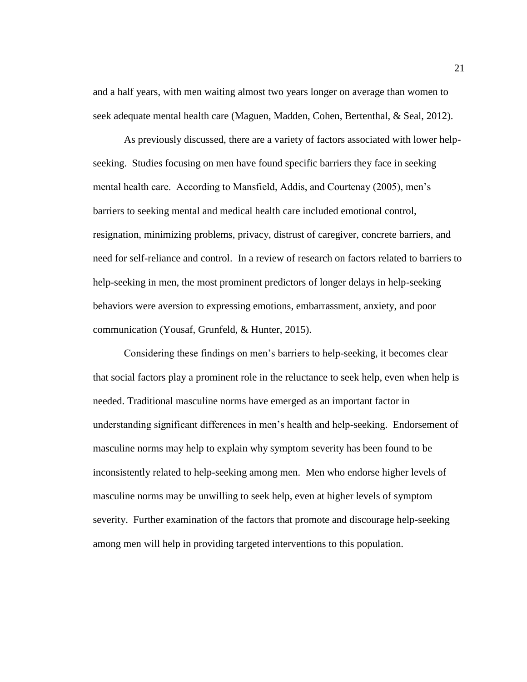and a half years, with men waiting almost two years longer on average than women to seek adequate mental health care (Maguen, Madden, Cohen, Bertenthal, & Seal, 2012).

As previously discussed, there are a variety of factors associated with lower helpseeking. Studies focusing on men have found specific barriers they face in seeking mental health care. According to Mansfield, Addis, and Courtenay (2005), men's barriers to seeking mental and medical health care included emotional control, resignation, minimizing problems, privacy, distrust of caregiver, concrete barriers, and need for self-reliance and control. In a review of research on factors related to barriers to help-seeking in men, the most prominent predictors of longer delays in help-seeking behaviors were aversion to expressing emotions, embarrassment, anxiety, and poor communication (Yousaf, Grunfeld, & Hunter, 2015).

Considering these findings on men's barriers to help-seeking, it becomes clear that social factors play a prominent role in the reluctance to seek help, even when help is needed. Traditional masculine norms have emerged as an important factor in understanding significant differences in men's health and help-seeking. Endorsement of masculine norms may help to explain why symptom severity has been found to be inconsistently related to help-seeking among men. Men who endorse higher levels of masculine norms may be unwilling to seek help, even at higher levels of symptom severity. Further examination of the factors that promote and discourage help-seeking among men will help in providing targeted interventions to this population.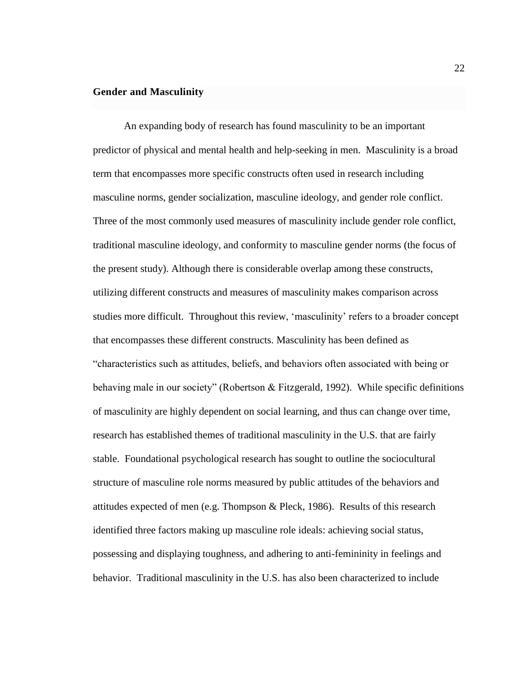#### <span id="page-28-0"></span>**Gender and Masculinity**

An expanding body of research has found masculinity to be an important predictor of physical and mental health and help-seeking in men. Masculinity is a broad term that encompasses more specific constructs often used in research including masculine norms, gender socialization, masculine ideology, and gender role conflict. Three of the most commonly used measures of masculinity include gender role conflict, traditional masculine ideology, and conformity to masculine gender norms (the focus of the present study). Although there is considerable overlap among these constructs, utilizing different constructs and measures of masculinity makes comparison across studies more difficult. Throughout this review, 'masculinity' refers to a broader concept that encompasses these different constructs. Masculinity has been defined as "characteristics such as attitudes, beliefs, and behaviors often associated with being or behaving male in our society" (Robertson & Fitzgerald, 1992). While specific definitions of masculinity are highly dependent on social learning, and thus can change over time, research has established themes of traditional masculinity in the U.S. that are fairly stable. Foundational psychological research has sought to outline the sociocultural structure of masculine role norms measured by public attitudes of the behaviors and attitudes expected of men (e.g. Thompson & Pleck, 1986). Results of this research identified three factors making up masculine role ideals: achieving social status, possessing and displaying toughness, and adhering to anti-femininity in feelings and behavior. Traditional masculinity in the U.S. has also been characterized to include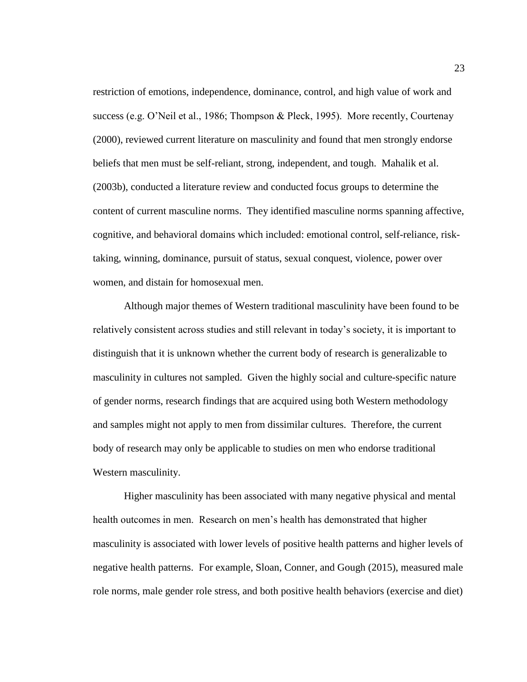restriction of emotions, independence, dominance, control, and high value of work and success (e.g. O'Neil et al., 1986; Thompson & Pleck, 1995). More recently, Courtenay (2000), reviewed current literature on masculinity and found that men strongly endorse beliefs that men must be self-reliant, strong, independent, and tough. Mahalik et al. (2003b), conducted a literature review and conducted focus groups to determine the content of current masculine norms. They identified masculine norms spanning affective, cognitive, and behavioral domains which included: emotional control, self-reliance, risktaking, winning, dominance, pursuit of status, sexual conquest, violence, power over women, and distain for homosexual men.

Although major themes of Western traditional masculinity have been found to be relatively consistent across studies and still relevant in today's society, it is important to distinguish that it is unknown whether the current body of research is generalizable to masculinity in cultures not sampled. Given the highly social and culture-specific nature of gender norms, research findings that are acquired using both Western methodology and samples might not apply to men from dissimilar cultures. Therefore, the current body of research may only be applicable to studies on men who endorse traditional Western masculinity.

Higher masculinity has been associated with many negative physical and mental health outcomes in men. Research on men's health has demonstrated that higher masculinity is associated with lower levels of positive health patterns and higher levels of negative health patterns. For example, Sloan, Conner, and Gough (2015), measured male role norms, male gender role stress, and both positive health behaviors (exercise and diet)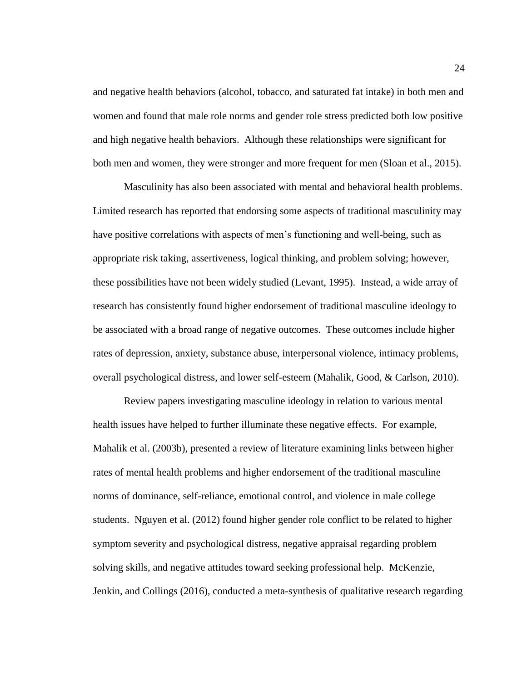and negative health behaviors (alcohol, tobacco, and saturated fat intake) in both men and women and found that male role norms and gender role stress predicted both low positive and high negative health behaviors. Although these relationships were significant for both men and women, they were stronger and more frequent for men (Sloan et al., 2015).

Masculinity has also been associated with mental and behavioral health problems. Limited research has reported that endorsing some aspects of traditional masculinity may have positive correlations with aspects of men's functioning and well-being, such as appropriate risk taking, assertiveness, logical thinking, and problem solving; however, these possibilities have not been widely studied (Levant, 1995). Instead, a wide array of research has consistently found higher endorsement of traditional masculine ideology to be associated with a broad range of negative outcomes. These outcomes include higher rates of depression, anxiety, substance abuse, interpersonal violence, intimacy problems, overall psychological distress, and lower self-esteem (Mahalik, Good, & Carlson, 2010).

Review papers investigating masculine ideology in relation to various mental health issues have helped to further illuminate these negative effects. For example, Mahalik et al. (2003b), presented a review of literature examining links between higher rates of mental health problems and higher endorsement of the traditional masculine norms of dominance, self-reliance, emotional control, and violence in male college students. Nguyen et al. (2012) found higher gender role conflict to be related to higher symptom severity and psychological distress, negative appraisal regarding problem solving skills, and negative attitudes toward seeking professional help. McKenzie, Jenkin, and Collings (2016), conducted a meta-synthesis of qualitative research regarding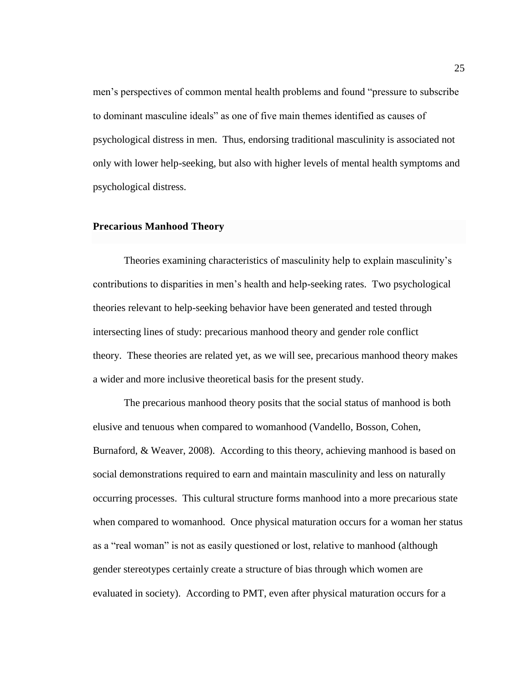men's perspectives of common mental health problems and found "pressure to subscribe to dominant masculine ideals" as one of five main themes identified as causes of psychological distress in men. Thus, endorsing traditional masculinity is associated not only with lower help-seeking, but also with higher levels of mental health symptoms and psychological distress.

#### <span id="page-31-0"></span>**Precarious Manhood Theory**

Theories examining characteristics of masculinity help to explain masculinity's contributions to disparities in men's health and help-seeking rates. Two psychological theories relevant to help-seeking behavior have been generated and tested through intersecting lines of study: precarious manhood theory and gender role conflict theory. These theories are related yet, as we will see, precarious manhood theory makes a wider and more inclusive theoretical basis for the present study.

The precarious manhood theory posits that the social status of manhood is both elusive and tenuous when compared to womanhood (Vandello, Bosson, Cohen, Burnaford, & Weaver, 2008). According to this theory, achieving manhood is based on social demonstrations required to earn and maintain masculinity and less on naturally occurring processes. This cultural structure forms manhood into a more precarious state when compared to womanhood. Once physical maturation occurs for a woman her status as a "real woman" is not as easily questioned or lost, relative to manhood (although gender stereotypes certainly create a structure of bias through which women are evaluated in society). According to PMT, even after physical maturation occurs for a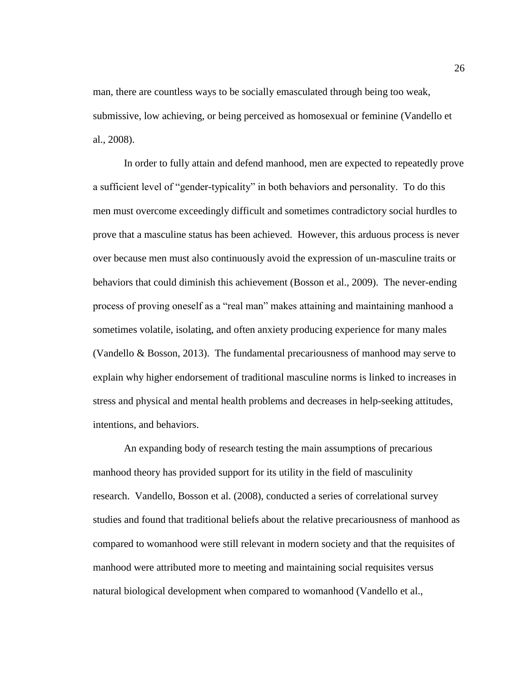man, there are countless ways to be socially emasculated through being too weak, submissive, low achieving, or being perceived as homosexual or feminine (Vandello et al., 2008).

In order to fully attain and defend manhood, men are expected to repeatedly prove a sufficient level of "gender-typicality" in both behaviors and personality. To do this men must overcome exceedingly difficult and sometimes contradictory social hurdles to prove that a masculine status has been achieved. However, this arduous process is never over because men must also continuously avoid the expression of un-masculine traits or behaviors that could diminish this achievement (Bosson et al., 2009). The never-ending process of proving oneself as a "real man" makes attaining and maintaining manhood a sometimes volatile, isolating, and often anxiety producing experience for many males (Vandello & Bosson, 2013). The fundamental precariousness of manhood may serve to explain why higher endorsement of traditional masculine norms is linked to increases in stress and physical and mental health problems and decreases in help-seeking attitudes, intentions, and behaviors.

An expanding body of research testing the main assumptions of precarious manhood theory has provided support for its utility in the field of masculinity research. Vandello, Bosson et al. (2008), conducted a series of correlational survey studies and found that traditional beliefs about the relative precariousness of manhood as compared to womanhood were still relevant in modern society and that the requisites of manhood were attributed more to meeting and maintaining social requisites versus natural biological development when compared to womanhood (Vandello et al.,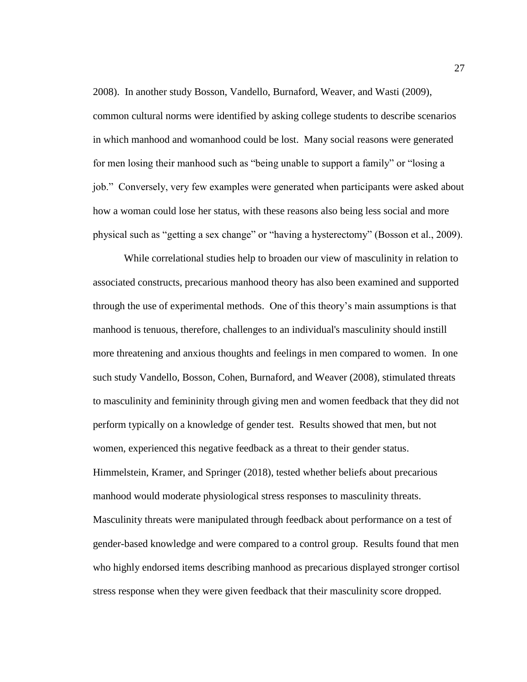2008). In another study Bosson, Vandello, Burnaford, Weaver, and Wasti (2009), common cultural norms were identified by asking college students to describe scenarios in which manhood and womanhood could be lost. Many social reasons were generated for men losing their manhood such as "being unable to support a family" or "losing a job." Conversely, very few examples were generated when participants were asked about how a woman could lose her status, with these reasons also being less social and more physical such as "getting a sex change" or "having a hysterectomy" (Bosson et al., 2009).

While correlational studies help to broaden our view of masculinity in relation to associated constructs, precarious manhood theory has also been examined and supported through the use of experimental methods. One of this theory's main assumptions is that manhood is tenuous, therefore, challenges to an individual's masculinity should instill more threatening and anxious thoughts and feelings in men compared to women. In one such study Vandello, Bosson, Cohen, Burnaford, and Weaver (2008), stimulated threats to masculinity and femininity through giving men and women feedback that they did not perform typically on a knowledge of gender test. Results showed that men, but not women, experienced this negative feedback as a threat to their gender status. Himmelstein, Kramer, and Springer (2018), tested whether beliefs about precarious manhood would moderate physiological stress responses to masculinity threats. Masculinity threats were manipulated through feedback about performance on a test of gender-based knowledge and were compared to a control group. Results found that men who highly endorsed items describing manhood as precarious displayed stronger cortisol stress response when they were given feedback that their masculinity score dropped.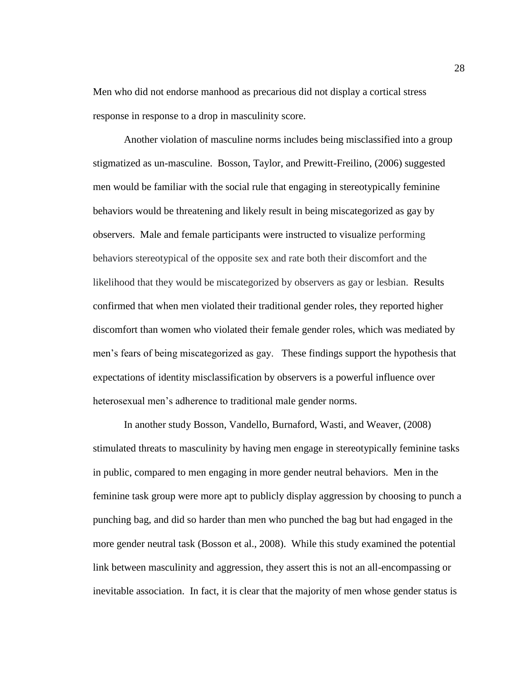Men who did not endorse manhood as precarious did not display a cortical stress response in response to a drop in masculinity score.

Another violation of masculine norms includes being misclassified into a group stigmatized as un-masculine. Bosson, Taylor, and Prewitt-Freilino, (2006) suggested men would be familiar with the social rule that engaging in stereotypically feminine behaviors would be threatening and likely result in being miscategorized as gay by observers. Male and female participants were instructed to visualize performing behaviors stereotypical of the opposite sex and rate both their discomfort and the likelihood that they would be miscategorized by observers as gay or lesbian. Results confirmed that when men violated their traditional gender roles, they reported higher discomfort than women who violated their female gender roles, which was mediated by men's fears of being miscategorized as gay. These findings support the hypothesis that expectations of identity misclassification by observers is a powerful influence over heterosexual men's adherence to traditional male gender norms.

In another study Bosson, Vandello, Burnaford, Wasti, and Weaver, (2008) stimulated threats to masculinity by having men engage in stereotypically feminine tasks in public, compared to men engaging in more gender neutral behaviors. Men in the feminine task group were more apt to publicly display aggression by choosing to punch a punching bag, and did so harder than men who punched the bag but had engaged in the more gender neutral task (Bosson et al., 2008). While this study examined the potential link between masculinity and aggression, they assert this is not an all-encompassing or inevitable association. In fact, it is clear that the majority of men whose gender status is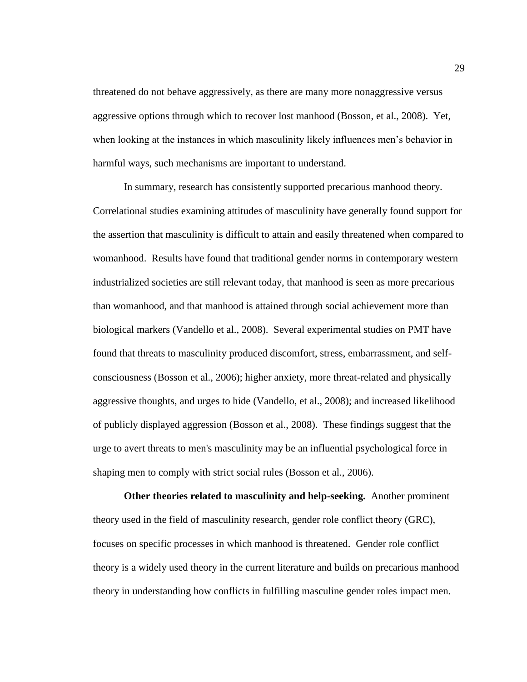threatened do not behave aggressively, as there are many more nonaggressive versus aggressive options through which to recover lost manhood (Bosson, et al., 2008). Yet, when looking at the instances in which masculinity likely influences men's behavior in harmful ways, such mechanisms are important to understand.

In summary, research has consistently supported precarious manhood theory. Correlational studies examining attitudes of masculinity have generally found support for the assertion that masculinity is difficult to attain and easily threatened when compared to womanhood. Results have found that traditional gender norms in contemporary western industrialized societies are still relevant today, that manhood is seen as more precarious than womanhood, and that manhood is attained through social achievement more than biological markers (Vandello et al., 2008). Several experimental studies on PMT have found that threats to masculinity produced discomfort, stress, embarrassment, and selfconsciousness (Bosson et al., 2006); higher anxiety, more threat-related and physically aggressive thoughts, and urges to hide (Vandello, et al., 2008); and increased likelihood of publicly displayed aggression (Bosson et al., 2008). These findings suggest that the urge to avert threats to men's masculinity may be an influential psychological force in shaping men to comply with strict social rules (Bosson et al., 2006).

<span id="page-35-0"></span>**Other theories related to masculinity and help-seeking.** Another prominent theory used in the field of masculinity research, gender role conflict theory (GRC), focuses on specific processes in which manhood is threatened. Gender role conflict theory is a widely used theory in the current literature and builds on precarious manhood theory in understanding how conflicts in fulfilling masculine gender roles impact men.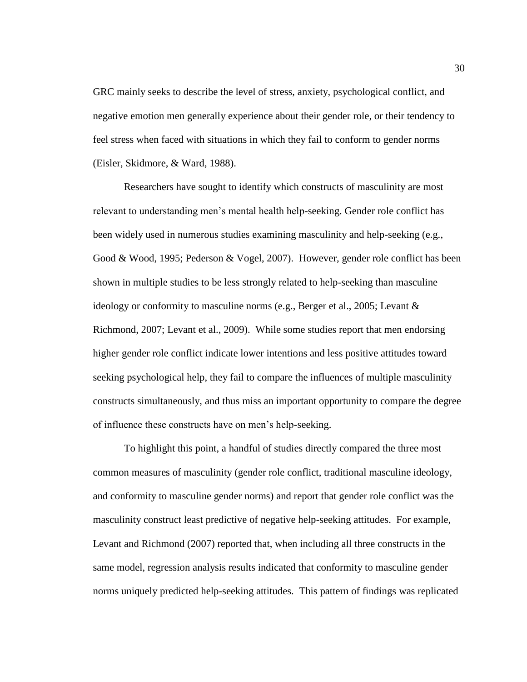GRC mainly seeks to describe the level of stress, anxiety, psychological conflict, and negative emotion men generally experience about their gender role, or their tendency to feel stress when faced with situations in which they fail to conform to gender norms (Eisler, Skidmore, & Ward, 1988).

Researchers have sought to identify which constructs of masculinity are most relevant to understanding men's mental health help-seeking. Gender role conflict has been widely used in numerous studies examining masculinity and help-seeking (e.g., Good & Wood, 1995; Pederson & Vogel, 2007). However, gender role conflict has been shown in multiple studies to be less strongly related to help-seeking than masculine ideology or conformity to masculine norms (e.g., Berger et al., 2005; Levant & Richmond, 2007; Levant et al., 2009). While some studies report that men endorsing higher gender role conflict indicate lower intentions and less positive attitudes toward seeking psychological help, they fail to compare the influences of multiple masculinity constructs simultaneously, and thus miss an important opportunity to compare the degree of influence these constructs have on men's help-seeking.

To highlight this point, a handful of studies directly compared the three most common measures of masculinity (gender role conflict, traditional masculine ideology, and conformity to masculine gender norms) and report that gender role conflict was the masculinity construct least predictive of negative help-seeking attitudes. For example, Levant and Richmond (2007) reported that, when including all three constructs in the same model, regression analysis results indicated that conformity to masculine gender norms uniquely predicted help-seeking attitudes. This pattern of findings was replicated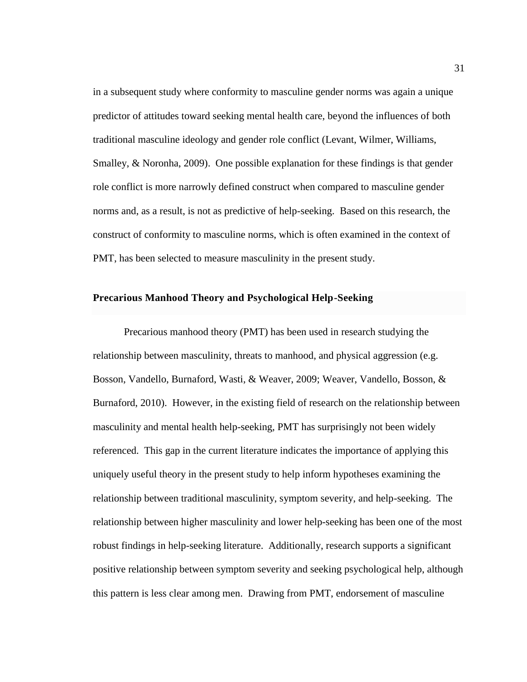in a subsequent study where conformity to masculine gender norms was again a unique predictor of attitudes toward seeking mental health care, beyond the influences of both traditional masculine ideology and gender role conflict (Levant, Wilmer, Williams, Smalley, & Noronha, 2009). One possible explanation for these findings is that gender role conflict is more narrowly defined construct when compared to masculine gender norms and, as a result, is not as predictive of help-seeking. Based on this research, the construct of conformity to masculine norms, which is often examined in the context of PMT, has been selected to measure masculinity in the present study.

## **Precarious Manhood Theory and Psychological Help-Seeking**

Precarious manhood theory (PMT) has been used in research studying the relationship between masculinity, threats to manhood, and physical aggression (e.g. Bosson, Vandello, Burnaford, Wasti, & Weaver, 2009; Weaver, Vandello, Bosson, & Burnaford, 2010). However, in the existing field of research on the relationship between masculinity and mental health help-seeking, PMT has surprisingly not been widely referenced. This gap in the current literature indicates the importance of applying this uniquely useful theory in the present study to help inform hypotheses examining the relationship between traditional masculinity, symptom severity, and help-seeking. The relationship between higher masculinity and lower help-seeking has been one of the most robust findings in help-seeking literature. Additionally, research supports a significant positive relationship between symptom severity and seeking psychological help, although this pattern is less clear among men. Drawing from PMT, endorsement of masculine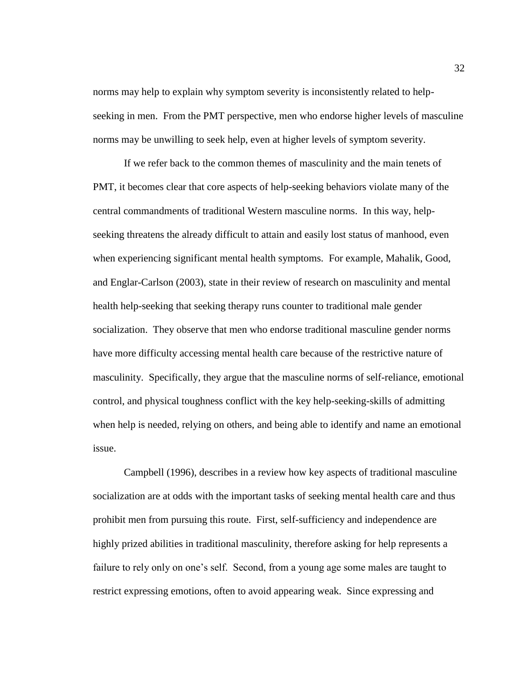norms may help to explain why symptom severity is inconsistently related to helpseeking in men. From the PMT perspective, men who endorse higher levels of masculine norms may be unwilling to seek help, even at higher levels of symptom severity.

If we refer back to the common themes of masculinity and the main tenets of PMT, it becomes clear that core aspects of help-seeking behaviors violate many of the central commandments of traditional Western masculine norms. In this way, helpseeking threatens the already difficult to attain and easily lost status of manhood, even when experiencing significant mental health symptoms. For example, Mahalik, Good, and Englar-Carlson (2003), state in their review of research on masculinity and mental health help-seeking that seeking therapy runs counter to traditional male gender socialization. They observe that men who endorse traditional masculine gender norms have more difficulty accessing mental health care because of the restrictive nature of masculinity. Specifically, they argue that the masculine norms of self-reliance, emotional control, and physical toughness conflict with the key help-seeking-skills of admitting when help is needed, relying on others, and being able to identify and name an emotional issue.

Campbell (1996), describes in a review how key aspects of traditional masculine socialization are at odds with the important tasks of seeking mental health care and thus prohibit men from pursuing this route. First, self-sufficiency and independence are highly prized abilities in traditional masculinity, therefore asking for help represents a failure to rely only on one's self. Second, from a young age some males are taught to restrict expressing emotions, often to avoid appearing weak. Since expressing and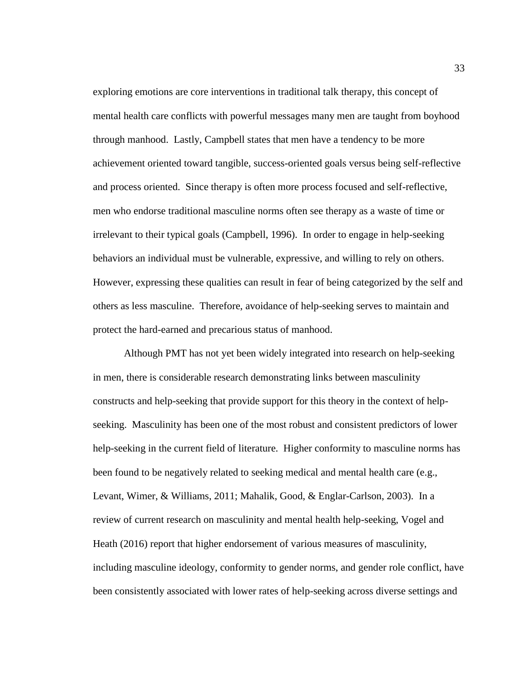exploring emotions are core interventions in traditional talk therapy, this concept of mental health care conflicts with powerful messages many men are taught from boyhood through manhood. Lastly, Campbell states that men have a tendency to be more achievement oriented toward tangible, success-oriented goals versus being self-reflective and process oriented. Since therapy is often more process focused and self-reflective, men who endorse traditional masculine norms often see therapy as a waste of time or irrelevant to their typical goals (Campbell, 1996). In order to engage in help-seeking behaviors an individual must be vulnerable, expressive, and willing to rely on others. However, expressing these qualities can result in fear of being categorized by the self and others as less masculine. Therefore, avoidance of help-seeking serves to maintain and protect the hard-earned and precarious status of manhood.

Although PMT has not yet been widely integrated into research on help-seeking in men, there is considerable research demonstrating links between masculinity constructs and help-seeking that provide support for this theory in the context of helpseeking. Masculinity has been one of the most robust and consistent predictors of lower help-seeking in the current field of literature. Higher conformity to masculine norms has been found to be negatively related to seeking medical and mental health care (e.g., Levant, Wimer, & Williams, 2011; Mahalik, Good, & Englar-Carlson, 2003). In a review of current research on masculinity and mental health help-seeking, Vogel and Heath (2016) report that higher endorsement of various measures of masculinity, including masculine ideology, conformity to gender norms, and gender role conflict, have been consistently associated with lower rates of help-seeking across diverse settings and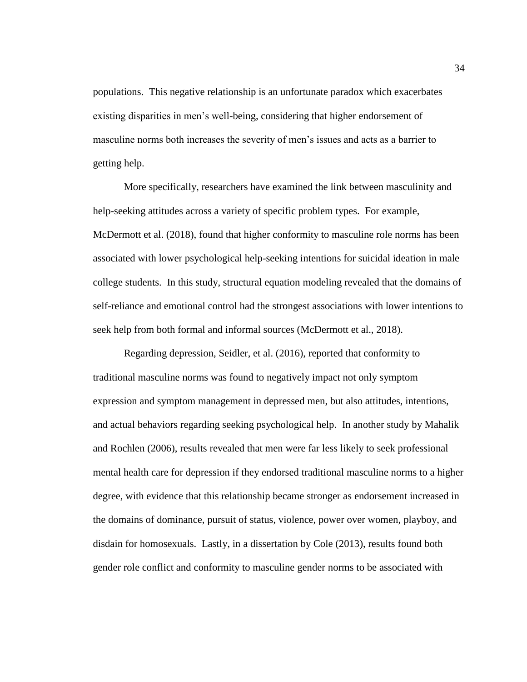populations. This negative relationship is an unfortunate paradox which exacerbates existing disparities in men's well-being, considering that higher endorsement of masculine norms both increases the severity of men's issues and acts as a barrier to getting help.

More specifically, researchers have examined the link between masculinity and help-seeking attitudes across a variety of specific problem types. For example, McDermott et al. (2018), found that higher conformity to masculine role norms has been associated with lower psychological help-seeking intentions for suicidal ideation in male college students. In this study, structural equation modeling revealed that the domains of self-reliance and emotional control had the strongest associations with lower intentions to seek help from both formal and informal sources (McDermott et al., 2018).

Regarding depression, Seidler, et al. (2016), reported that conformity to traditional masculine norms was found to negatively impact not only symptom expression and symptom management in depressed men, but also attitudes, intentions, and actual behaviors regarding seeking psychological help. In another study by Mahalik and Rochlen (2006), results revealed that men were far less likely to seek professional mental health care for depression if they endorsed traditional masculine norms to a higher degree, with evidence that this relationship became stronger as endorsement increased in the domains of dominance, pursuit of status, violence, power over women, playboy, and disdain for homosexuals. Lastly, in a dissertation by Cole (2013), results found both gender role conflict and conformity to masculine gender norms to be associated with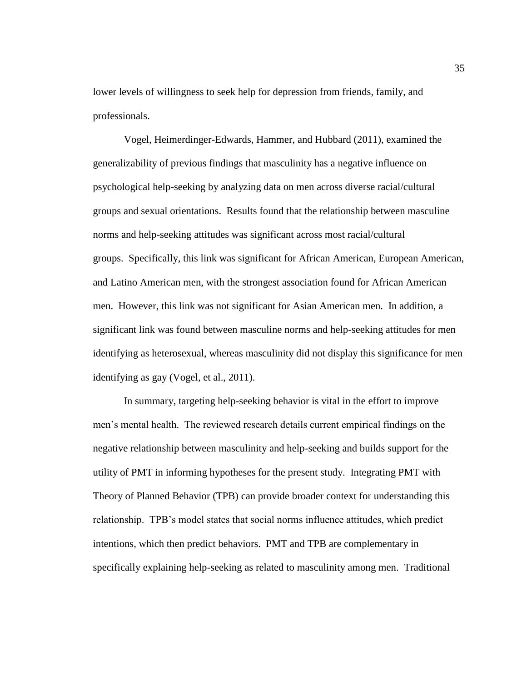lower levels of willingness to seek help for depression from friends, family, and professionals.

Vogel, Heimerdinger-Edwards, Hammer, and Hubbard (2011), examined the generalizability of previous findings that masculinity has a negative influence on psychological help-seeking by analyzing data on men across diverse racial/cultural groups and sexual orientations. Results found that the relationship between masculine norms and help-seeking attitudes was significant across most racial/cultural groups. Specifically, this link was significant for African American, European American, and Latino American men, with the strongest association found for African American men. However, this link was not significant for Asian American men. In addition, a significant link was found between masculine norms and help-seeking attitudes for men identifying as heterosexual, whereas masculinity did not display this significance for men identifying as gay (Vogel, et al., 2011).

In summary, targeting help-seeking behavior is vital in the effort to improve men's mental health. The reviewed research details current empirical findings on the negative relationship between masculinity and help-seeking and builds support for the utility of PMT in informing hypotheses for the present study. Integrating PMT with Theory of Planned Behavior (TPB) can provide broader context for understanding this relationship. TPB's model states that social norms influence attitudes, which predict intentions, which then predict behaviors. PMT and TPB are complementary in specifically explaining help-seeking as related to masculinity among men. Traditional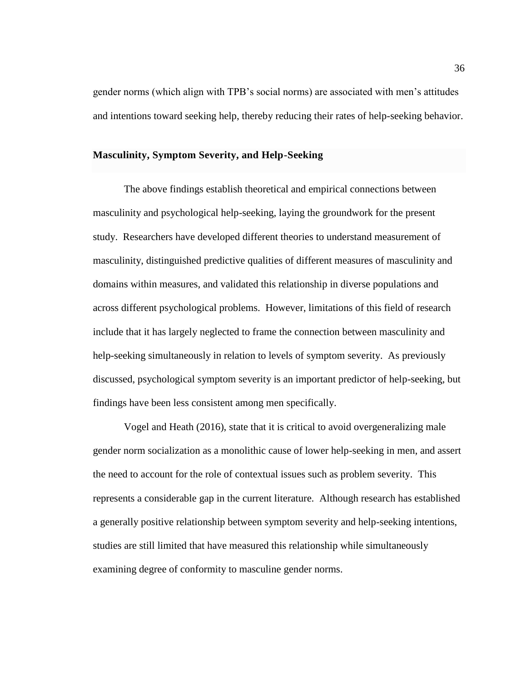gender norms (which align with TPB's social norms) are associated with men's attitudes and intentions toward seeking help, thereby reducing their rates of help-seeking behavior.

## **Masculinity, Symptom Severity, and Help-Seeking**

The above findings establish theoretical and empirical connections between masculinity and psychological help-seeking, laying the groundwork for the present study. Researchers have developed different theories to understand measurement of masculinity, distinguished predictive qualities of different measures of masculinity and domains within measures, and validated this relationship in diverse populations and across different psychological problems. However, limitations of this field of research include that it has largely neglected to frame the connection between masculinity and help-seeking simultaneously in relation to levels of symptom severity. As previously discussed, psychological symptom severity is an important predictor of help-seeking, but findings have been less consistent among men specifically.

Vogel and Heath (2016), state that it is critical to avoid overgeneralizing male gender norm socialization as a monolithic cause of lower help-seeking in men, and assert the need to account for the role of contextual issues such as problem severity. This represents a considerable gap in the current literature. Although research has established a generally positive relationship between symptom severity and help-seeking intentions, studies are still limited that have measured this relationship while simultaneously examining degree of conformity to masculine gender norms.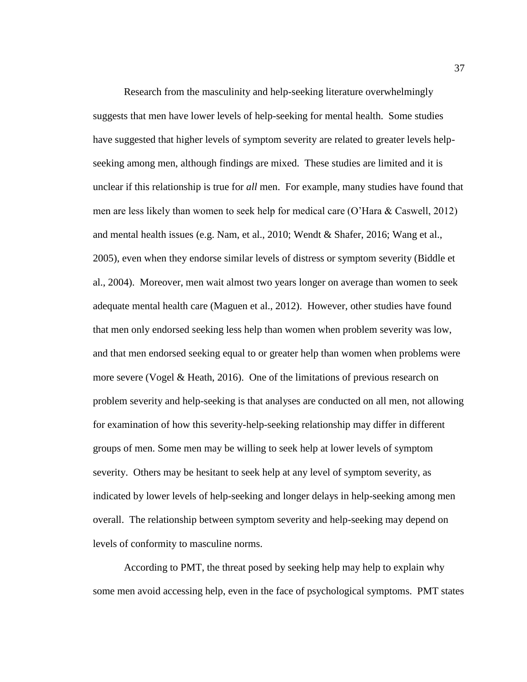Research from the masculinity and help-seeking literature overwhelmingly suggests that men have lower levels of help-seeking for mental health. Some studies have suggested that higher levels of symptom severity are related to greater levels helpseeking among men, although findings are mixed. These studies are limited and it is unclear if this relationship is true for *all* men. For example, many studies have found that men are less likely than women to seek help for medical care (O'Hara & Caswell, 2012) and mental health issues (e.g. Nam, et al., 2010; Wendt & Shafer, 2016; Wang et al., 2005), even when they endorse similar levels of distress or symptom severity (Biddle et al., 2004). Moreover, men wait almost two years longer on average than women to seek adequate mental health care (Maguen et al., 2012). However, other studies have found that men only endorsed seeking less help than women when problem severity was low, and that men endorsed seeking equal to or greater help than women when problems were more severe (Vogel & Heath, 2016). One of the limitations of previous research on problem severity and help-seeking is that analyses are conducted on all men, not allowing for examination of how this severity-help-seeking relationship may differ in different groups of men. Some men may be willing to seek help at lower levels of symptom severity. Others may be hesitant to seek help at any level of symptom severity, as indicated by lower levels of help-seeking and longer delays in help-seeking among men overall. The relationship between symptom severity and help-seeking may depend on levels of conformity to masculine norms.

According to PMT, the threat posed by seeking help may help to explain why some men avoid accessing help, even in the face of psychological symptoms. PMT states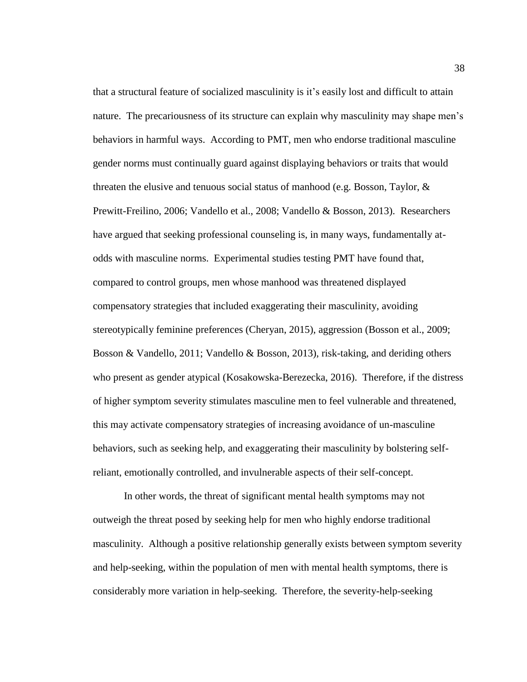that a structural feature of socialized masculinity is it's easily lost and difficult to attain nature. The precariousness of its structure can explain why masculinity may shape men's behaviors in harmful ways. According to PMT, men who endorse traditional masculine gender norms must continually guard against displaying behaviors or traits that would threaten the elusive and tenuous social status of manhood (e.g. Bosson, Taylor, & Prewitt-Freilino, 2006; Vandello et al., 2008; Vandello & Bosson, 2013). Researchers have argued that seeking professional counseling is, in many ways, fundamentally atodds with masculine norms. Experimental studies testing PMT have found that, compared to control groups, men whose manhood was threatened displayed compensatory strategies that included exaggerating their masculinity, avoiding stereotypically feminine preferences (Cheryan, 2015), aggression (Bosson et al., 2009; Bosson & Vandello, 2011; Vandello & Bosson, 2013), risk-taking, and deriding others who present as gender atypical (Kosakowska-Berezecka, 2016). Therefore, if the distress of higher symptom severity stimulates masculine men to feel vulnerable and threatened, this may activate compensatory strategies of increasing avoidance of un-masculine behaviors, such as seeking help, and exaggerating their masculinity by bolstering selfreliant, emotionally controlled, and invulnerable aspects of their self-concept.

In other words, the threat of significant mental health symptoms may not outweigh the threat posed by seeking help for men who highly endorse traditional masculinity. Although a positive relationship generally exists between symptom severity and help-seeking, within the population of men with mental health symptoms, there is considerably more variation in help-seeking. Therefore, the severity-help-seeking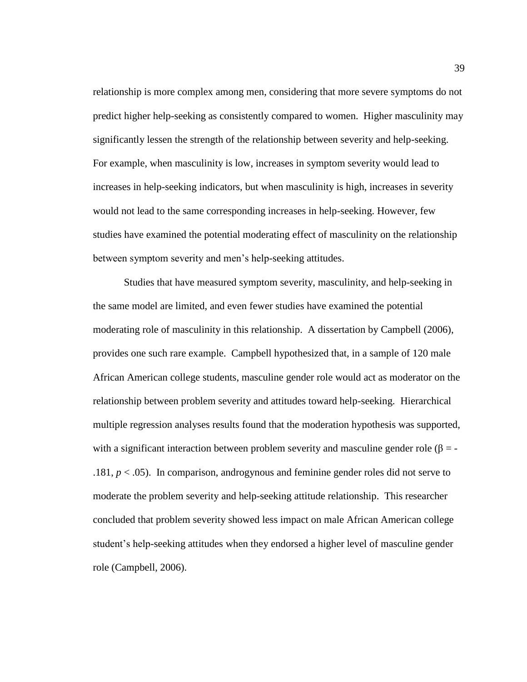relationship is more complex among men, considering that more severe symptoms do not predict higher help-seeking as consistently compared to women. Higher masculinity may significantly lessen the strength of the relationship between severity and help-seeking. For example, when masculinity is low, increases in symptom severity would lead to increases in help-seeking indicators, but when masculinity is high, increases in severity would not lead to the same corresponding increases in help-seeking. However, few studies have examined the potential moderating effect of masculinity on the relationship between symptom severity and men's help-seeking attitudes.

Studies that have measured symptom severity, masculinity, and help-seeking in the same model are limited, and even fewer studies have examined the potential moderating role of masculinity in this relationship. A dissertation by Campbell (2006), provides one such rare example. Campbell hypothesized that, in a sample of 120 male African American college students, masculine gender role would act as moderator on the relationship between problem severity and attitudes toward help-seeking. Hierarchical multiple regression analyses results found that the moderation hypothesis was supported, with a significant interaction between problem severity and masculine gender role ( $\beta$  = -.181,  $p < .05$ ). In comparison, androgynous and feminine gender roles did not serve to moderate the problem severity and help-seeking attitude relationship. This researcher concluded that problem severity showed less impact on male African American college student's help-seeking attitudes when they endorsed a higher level of masculine gender role (Campbell, 2006).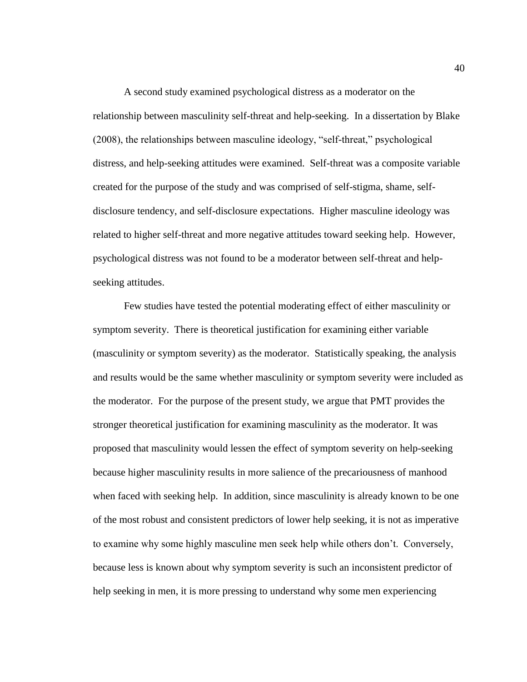A second study examined psychological distress as a moderator on the relationship between masculinity self-threat and help-seeking. In a dissertation by Blake (2008), the relationships between masculine ideology, "self-threat," psychological distress, and help-seeking attitudes were examined. Self-threat was a composite variable created for the purpose of the study and was comprised of self-stigma, shame, selfdisclosure tendency, and self-disclosure expectations. Higher masculine ideology was related to higher self-threat and more negative attitudes toward seeking help. However, psychological distress was not found to be a moderator between self-threat and helpseeking attitudes.

Few studies have tested the potential moderating effect of either masculinity or symptom severity. There is theoretical justification for examining either variable (masculinity or symptom severity) as the moderator. Statistically speaking, the analysis and results would be the same whether masculinity or symptom severity were included as the moderator. For the purpose of the present study, we argue that PMT provides the stronger theoretical justification for examining masculinity as the moderator. It was proposed that masculinity would lessen the effect of symptom severity on help-seeking because higher masculinity results in more salience of the precariousness of manhood when faced with seeking help. In addition, since masculinity is already known to be one of the most robust and consistent predictors of lower help seeking, it is not as imperative to examine why some highly masculine men seek help while others don't. Conversely, because less is known about why symptom severity is such an inconsistent predictor of help seeking in men, it is more pressing to understand why some men experiencing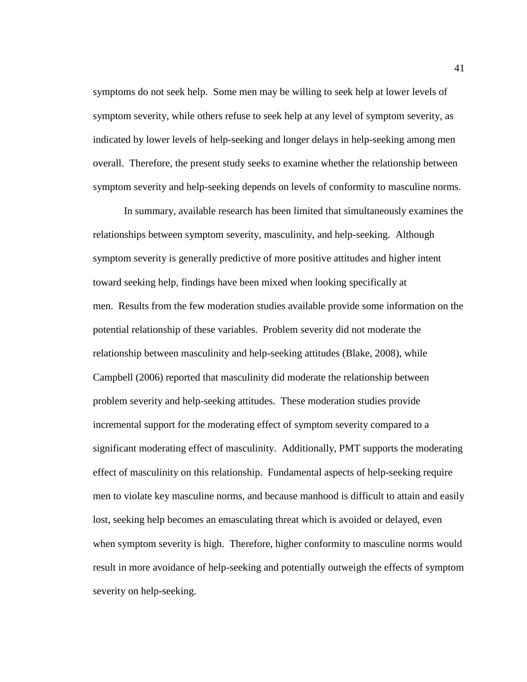symptoms do not seek help. Some men may be willing to seek help at lower levels of symptom severity, while others refuse to seek help at any level of symptom severity, as indicated by lower levels of help-seeking and longer delays in help-seeking among men overall. Therefore, the present study seeks to examine whether the relationship between symptom severity and help-seeking depends on levels of conformity to masculine norms.

In summary, available research has been limited that simultaneously examines the relationships between symptom severity, masculinity, and help-seeking. Although symptom severity is generally predictive of more positive attitudes and higher intent toward seeking help, findings have been mixed when looking specifically at men. Results from the few moderation studies available provide some information on the potential relationship of these variables. Problem severity did not moderate the relationship between masculinity and help-seeking attitudes (Blake, 2008), while Campbell (2006) reported that masculinity did moderate the relationship between problem severity and help-seeking attitudes. These moderation studies provide incremental support for the moderating effect of symptom severity compared to a significant moderating effect of masculinity. Additionally, PMT supports the moderating effect of masculinity on this relationship. Fundamental aspects of help-seeking require men to violate key masculine norms, and because manhood is difficult to attain and easily lost, seeking help becomes an emasculating threat which is avoided or delayed, even when symptom severity is high. Therefore, higher conformity to masculine norms would result in more avoidance of help-seeking and potentially outweigh the effects of symptom severity on help-seeking.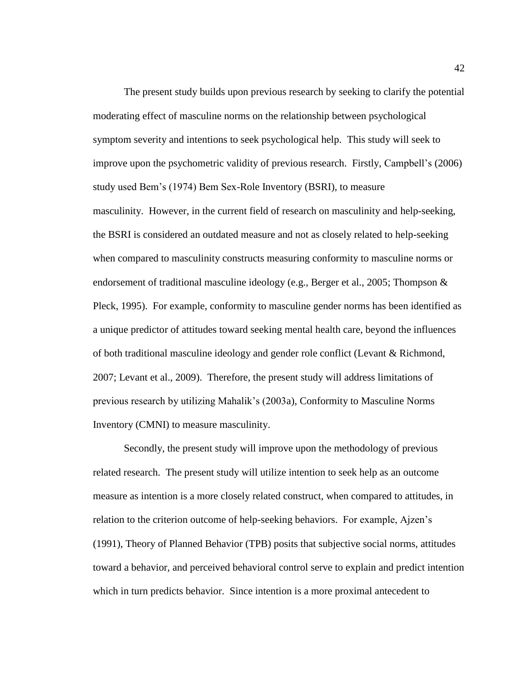The present study builds upon previous research by seeking to clarify the potential moderating effect of masculine norms on the relationship between psychological symptom severity and intentions to seek psychological help. This study will seek to improve upon the psychometric validity of previous research. Firstly, Campbell's (2006) study used Bem's (1974) Bem Sex-Role Inventory (BSRI), to measure masculinity. However, in the current field of research on masculinity and help-seeking, the BSRI is considered an outdated measure and not as closely related to help-seeking when compared to masculinity constructs measuring conformity to masculine norms or endorsement of traditional masculine ideology (e.g., Berger et al., 2005; Thompson & Pleck, 1995). For example, conformity to masculine gender norms has been identified as a unique predictor of attitudes toward seeking mental health care, beyond the influences of both traditional masculine ideology and gender role conflict (Levant & Richmond, 2007; Levant et al., 2009). Therefore, the present study will address limitations of previous research by utilizing Mahalik's (2003a), Conformity to Masculine Norms Inventory (CMNI) to measure masculinity.

Secondly, the present study will improve upon the methodology of previous related research. The present study will utilize intention to seek help as an outcome measure as intention is a more closely related construct, when compared to attitudes, in relation to the criterion outcome of help-seeking behaviors. For example, Ajzen's (1991), Theory of Planned Behavior (TPB) posits that subjective social norms, attitudes toward a behavior, and perceived behavioral control serve to explain and predict intention which in turn predicts behavior. Since intention is a more proximal antecedent to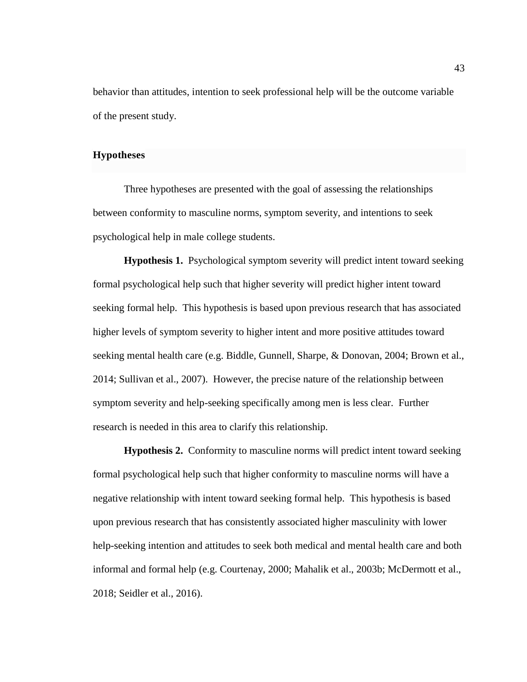behavior than attitudes, intention to seek professional help will be the outcome variable of the present study.

## **Hypotheses**

Three hypotheses are presented with the goal of assessing the relationships between conformity to masculine norms, symptom severity, and intentions to seek psychological help in male college students.

**Hypothesis 1.** Psychological symptom severity will predict intent toward seeking formal psychological help such that higher severity will predict higher intent toward seeking formal help. This hypothesis is based upon previous research that has associated higher levels of symptom severity to higher intent and more positive attitudes toward seeking mental health care (e.g. Biddle, Gunnell, Sharpe, & Donovan, 2004; Brown et al., 2014; Sullivan et al., 2007). However, the precise nature of the relationship between symptom severity and help-seeking specifically among men is less clear. Further research is needed in this area to clarify this relationship.

**Hypothesis 2.** Conformity to masculine norms will predict intent toward seeking formal psychological help such that higher conformity to masculine norms will have a negative relationship with intent toward seeking formal help. This hypothesis is based upon previous research that has consistently associated higher masculinity with lower help-seeking intention and attitudes to seek both medical and mental health care and both informal and formal help (e.g. Courtenay, 2000; Mahalik et al., 2003b; McDermott et al., 2018; Seidler et al., 2016).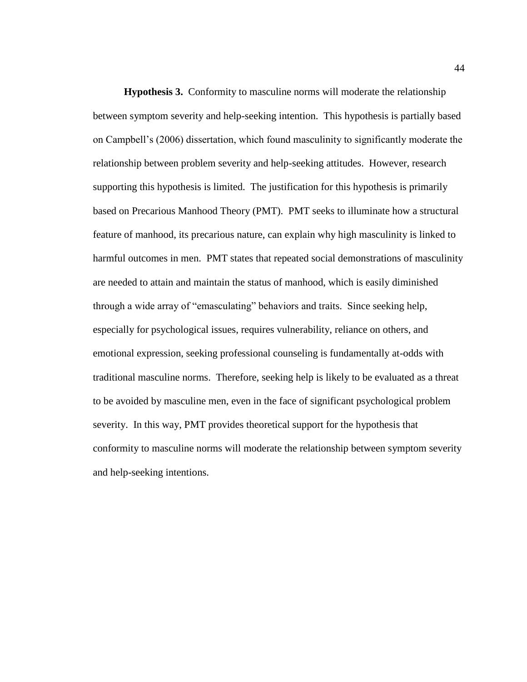**Hypothesis 3.** Conformity to masculine norms will moderate the relationship between symptom severity and help-seeking intention. This hypothesis is partially based on Campbell's (2006) dissertation, which found masculinity to significantly moderate the relationship between problem severity and help-seeking attitudes. However, research supporting this hypothesis is limited. The justification for this hypothesis is primarily based on Precarious Manhood Theory (PMT). PMT seeks to illuminate how a structural feature of manhood, its precarious nature, can explain why high masculinity is linked to harmful outcomes in men. PMT states that repeated social demonstrations of masculinity are needed to attain and maintain the status of manhood, which is easily diminished through a wide array of "emasculating" behaviors and traits. Since seeking help, especially for psychological issues, requires vulnerability, reliance on others, and emotional expression, seeking professional counseling is fundamentally at-odds with traditional masculine norms. Therefore, seeking help is likely to be evaluated as a threat to be avoided by masculine men, even in the face of significant psychological problem severity. In this way, PMT provides theoretical support for the hypothesis that conformity to masculine norms will moderate the relationship between symptom severity and help-seeking intentions.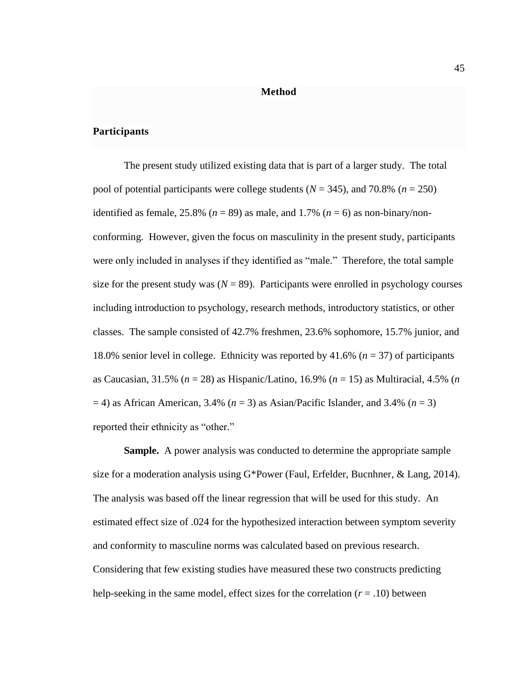### **Method**

## **Participants**

The present study utilized existing data that is part of a larger study. The total pool of potential participants were college students (*N* = 345), and 70.8% (*n* = 250) identified as female, 25.8% ( $n = 89$ ) as male, and 1.7% ( $n = 6$ ) as non-binary/nonconforming. However, given the focus on masculinity in the present study, participants were only included in analyses if they identified as "male." Therefore, the total sample size for the present study was  $(N = 89)$ . Participants were enrolled in psychology courses including introduction to psychology, research methods, introductory statistics, or other classes. The sample consisted of 42.7% freshmen, 23.6% sophomore, 15.7% junior, and 18.0% senior level in college. Ethnicity was reported by 41.6% (*n* = 37) of participants as Caucasian, 31.5% (*n* = 28) as Hispanic/Latino, 16.9% (*n* = 15) as Multiracial, 4.5% (*n*  $=$  4) as African American, 3.4% ( $n = 3$ ) as Asian/Pacific Islander, and 3.4% ( $n = 3$ ) reported their ethnicity as "other."

**Sample.** A power analysis was conducted to determine the appropriate sample size for a moderation analysis using G\*Power (Faul, Erfelder, Bucnhner, & Lang, 2014). The analysis was based off the linear regression that will be used for this study. An estimated effect size of .024 for the hypothesized interaction between symptom severity and conformity to masculine norms was calculated based on previous research. Considering that few existing studies have measured these two constructs predicting help-seeking in the same model, effect sizes for the correlation  $(r = .10)$  between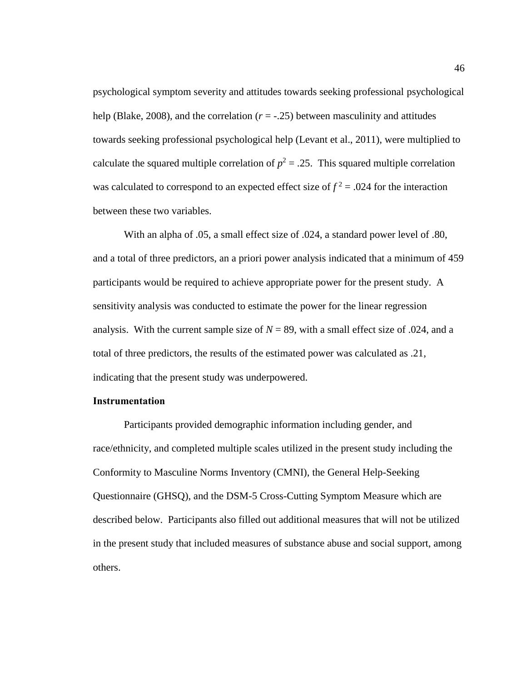psychological symptom severity and attitudes towards seeking professional psychological help (Blake, 2008), and the correlation  $(r = -0.25)$  between masculinity and attitudes towards seeking professional psychological help (Levant et al., 2011), were multiplied to calculate the squared multiple correlation of  $p^2 = .25$ . This squared multiple correlation was calculated to correspond to an expected effect size of  $f^2 = .024$  for the interaction between these two variables.

With an alpha of .05, a small effect size of .024, a standard power level of .80, and a total of three predictors, an a priori power analysis indicated that a minimum of 459 participants would be required to achieve appropriate power for the present study. A sensitivity analysis was conducted to estimate the power for the linear regression analysis. With the current sample size of  $N = 89$ , with a small effect size of .024, and a total of three predictors, the results of the estimated power was calculated as .21, indicating that the present study was underpowered.

## **Instrumentation**

Participants provided demographic information including gender, and race/ethnicity, and completed multiple scales utilized in the present study including the Conformity to Masculine Norms Inventory (CMNI), the General Help-Seeking Questionnaire (GHSQ), and the DSM-5 Cross-Cutting Symptom Measure which are described below. Participants also filled out additional measures that will not be utilized in the present study that included measures of substance abuse and social support, among others.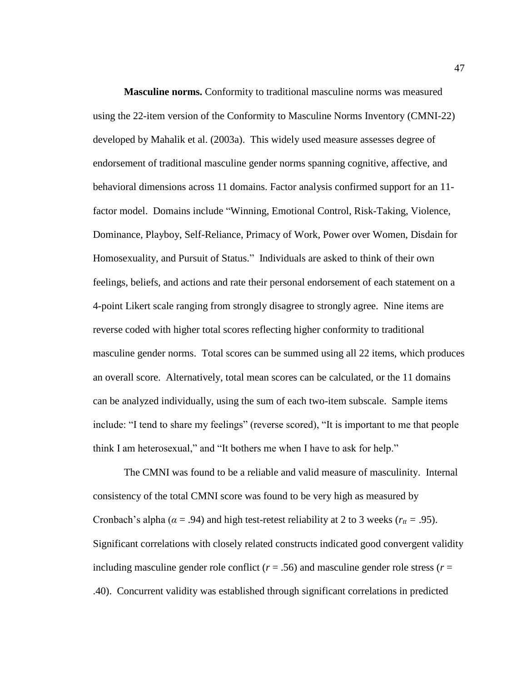**Masculine norms.** Conformity to traditional masculine norms was measured using the 22-item version of the Conformity to Masculine Norms Inventory (CMNI-22) developed by Mahalik et al. (2003a). This widely used measure assesses degree of endorsement of traditional masculine gender norms spanning cognitive, affective, and behavioral dimensions across 11 domains. Factor analysis confirmed support for an 11 factor model. Domains include "Winning, Emotional Control, Risk-Taking, Violence, Dominance, Playboy, Self-Reliance, Primacy of Work, Power over Women, Disdain for Homosexuality, and Pursuit of Status." Individuals are asked to think of their own feelings, beliefs, and actions and rate their personal endorsement of each statement on a 4-point Likert scale ranging from strongly disagree to strongly agree. Nine items are reverse coded with higher total scores reflecting higher conformity to traditional masculine gender norms. Total scores can be summed using all 22 items, which produces an overall score. Alternatively, total mean scores can be calculated, or the 11 domains can be analyzed individually, using the sum of each two-item subscale. Sample items include: "I tend to share my feelings" (reverse scored), "It is important to me that people think I am heterosexual," and "It bothers me when I have to ask for help."

The CMNI was found to be a reliable and valid measure of masculinity. Internal consistency of the total CMNI score was found to be very high as measured by Cronbach's alpha ( $\alpha$  = .94) and high test-retest reliability at 2 to 3 weeks ( $r_{tt}$  = .95). Significant correlations with closely related constructs indicated good convergent validity including masculine gender role conflict ( $r = .56$ ) and masculine gender role stress ( $r =$ .40). Concurrent validity was established through significant correlations in predicted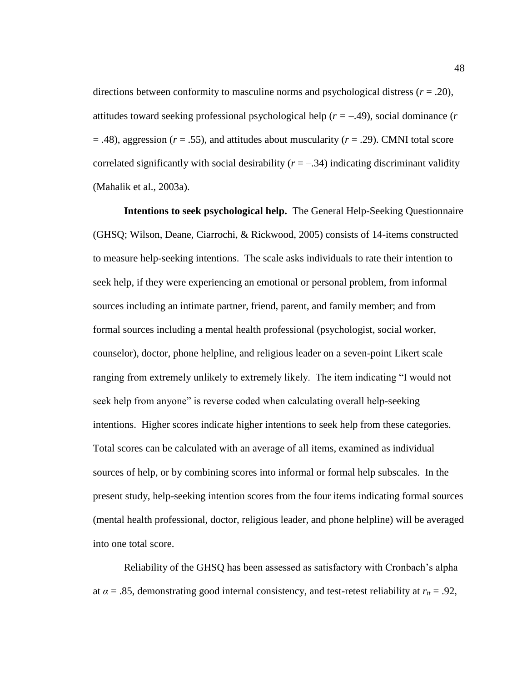directions between conformity to masculine norms and psychological distress  $(r = .20)$ , attitudes toward seeking professional psychological help (*r =* –.49), social dominance (*r*  $=$  .48), aggression ( $r = .55$ ), and attitudes about muscularity ( $r = .29$ ). CMNI total score correlated significantly with social desirability  $(r = -.34)$  indicating discriminant validity (Mahalik et al., 2003a).

**Intentions to seek psychological help.** The General Help-Seeking Questionnaire (GHSQ; Wilson, Deane, Ciarrochi, & Rickwood, 2005) consists of 14-items constructed to measure help-seeking intentions. The scale asks individuals to rate their intention to seek help, if they were experiencing an emotional or personal problem, from informal sources including an intimate partner, friend, parent, and family member; and from formal sources including a mental health professional (psychologist, social worker, counselor), doctor, phone helpline, and religious leader on a seven-point Likert scale ranging from extremely unlikely to extremely likely. The item indicating "I would not seek help from anyone" is reverse coded when calculating overall help-seeking intentions. Higher scores indicate higher intentions to seek help from these categories. Total scores can be calculated with an average of all items, examined as individual sources of help, or by combining scores into informal or formal help subscales. In the present study, help-seeking intention scores from the four items indicating formal sources (mental health professional, doctor, religious leader, and phone helpline) will be averaged into one total score.

Reliability of the GHSQ has been assessed as satisfactory with Cronbach's alpha at  $\alpha = .85$ , demonstrating good internal consistency, and test-retest reliability at  $r_{tt} = .92$ ,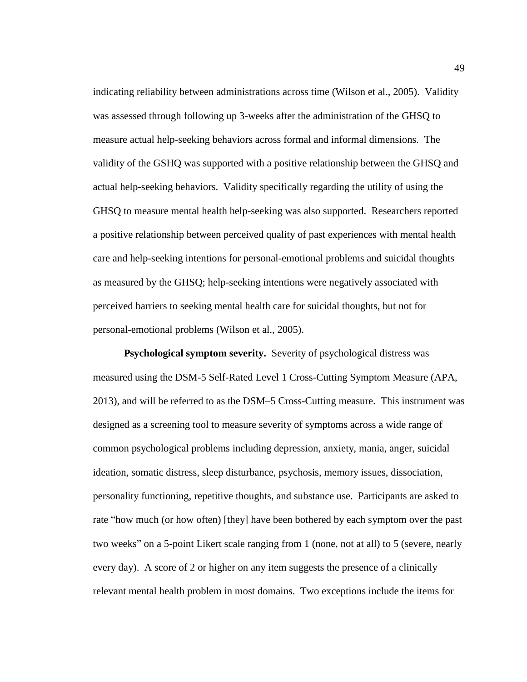indicating reliability between administrations across time (Wilson et al., 2005). Validity was assessed through following up 3-weeks after the administration of the GHSQ to measure actual help-seeking behaviors across formal and informal dimensions. The validity of the GSHQ was supported with a positive relationship between the GHSQ and actual help-seeking behaviors. Validity specifically regarding the utility of using the GHSQ to measure mental health help-seeking was also supported. Researchers reported a positive relationship between perceived quality of past experiences with mental health care and help-seeking intentions for personal-emotional problems and suicidal thoughts as measured by the GHSQ; help-seeking intentions were negatively associated with perceived barriers to seeking mental health care for suicidal thoughts, but not for personal-emotional problems (Wilson et al., 2005).

**Psychological symptom severity.** Severity of psychological distress was measured using the DSM-5 Self-Rated Level 1 Cross-Cutting Symptom Measure (APA, 2013), and will be referred to as the DSM–5 Cross-Cutting measure. This instrument was designed as a screening tool to measure severity of symptoms across a wide range of common psychological problems including depression, anxiety, mania, anger, suicidal ideation, somatic distress, sleep disturbance, psychosis, memory issues, dissociation, personality functioning, repetitive thoughts, and substance use. Participants are asked to rate "how much (or how often) [they] have been bothered by each symptom over the past two weeks" on a 5-point Likert scale ranging from 1 (none, not at all) to 5 (severe, nearly every day). A score of 2 or higher on any item suggests the presence of a clinically relevant mental health problem in most domains. Two exceptions include the items for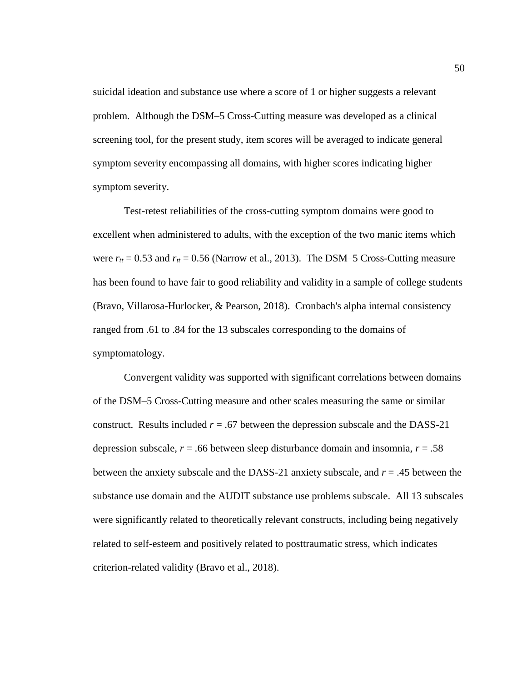suicidal ideation and substance use where a score of 1 or higher suggests a relevant problem. Although the DSM–5 Cross-Cutting measure was developed as a clinical screening tool, for the present study, item scores will be averaged to indicate general symptom severity encompassing all domains, with higher scores indicating higher symptom severity.

Test-retest reliabilities of the cross-cutting symptom domains were good to excellent when administered to adults, with the exception of the two manic items which were  $r_{tt} = 0.53$  and  $r_{tt} = 0.56$  (Narrow et al., 2013). The DSM-5 Cross-Cutting measure has been found to have fair to good reliability and validity in a sample of college students (Bravo, Villarosa-Hurlocker, & Pearson, 2018). Cronbach's alpha internal consistency ranged from .61 to .84 for the 13 subscales corresponding to the domains of symptomatology.

Convergent validity was supported with significant correlations between domains of the DSM–5 Cross-Cutting measure and other scales measuring the same or similar construct. Results included  $r = .67$  between the depression subscale and the DASS-21 depression subscale,  $r = .66$  between sleep disturbance domain and insomnia,  $r = .58$ between the anxiety subscale and the DASS-21 anxiety subscale, and *r* = .45 between the substance use domain and the AUDIT substance use problems subscale. All 13 subscales were significantly related to theoretically relevant constructs, including being negatively related to self-esteem and positively related to posttraumatic stress, which indicates criterion-related validity (Bravo et al., 2018).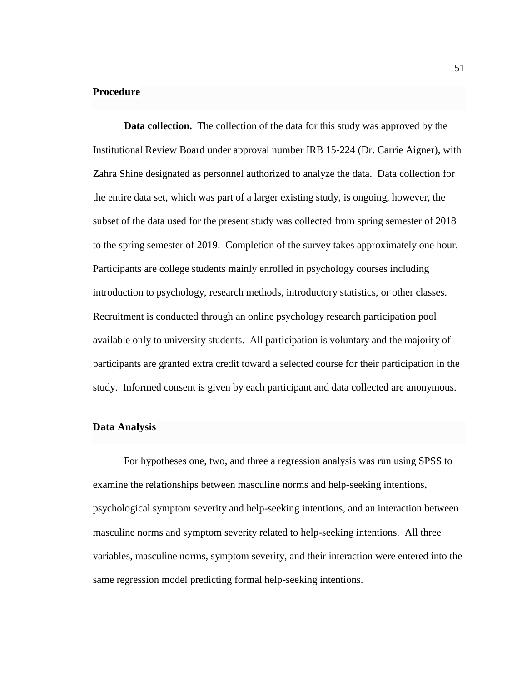## **Procedure**

**Data collection.** The collection of the data for this study was approved by the Institutional Review Board under approval number IRB 15-224 (Dr. Carrie Aigner), with Zahra Shine designated as personnel authorized to analyze the data. Data collection for the entire data set, which was part of a larger existing study, is ongoing, however, the subset of the data used for the present study was collected from spring semester of 2018 to the spring semester of 2019. Completion of the survey takes approximately one hour. Participants are college students mainly enrolled in psychology courses including introduction to psychology, research methods, introductory statistics, or other classes. Recruitment is conducted through an online psychology research participation pool available only to university students. All participation is voluntary and the majority of participants are granted extra credit toward a selected course for their participation in the study. Informed consent is given by each participant and data collected are anonymous.

### **Data Analysis**

For hypotheses one, two, and three a regression analysis was run using SPSS to examine the relationships between masculine norms and help-seeking intentions, psychological symptom severity and help-seeking intentions, and an interaction between masculine norms and symptom severity related to help-seeking intentions. All three variables, masculine norms, symptom severity, and their interaction were entered into the same regression model predicting formal help-seeking intentions.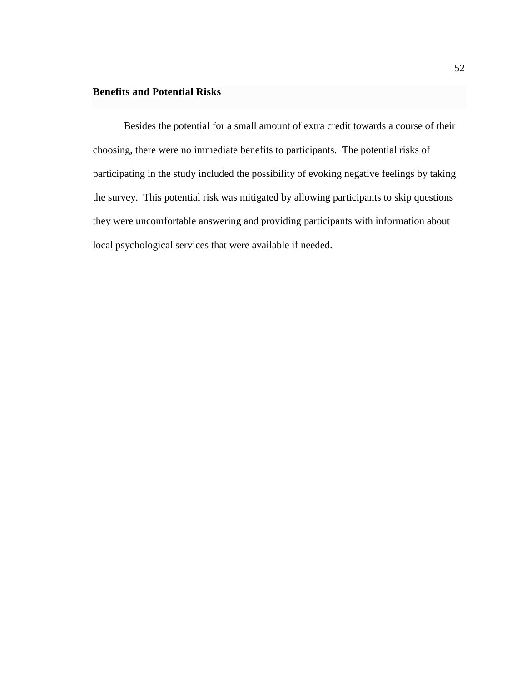## **Benefits and Potential Risks**

Besides the potential for a small amount of extra credit towards a course of their choosing, there were no immediate benefits to participants. The potential risks of participating in the study included the possibility of evoking negative feelings by taking the survey. This potential risk was mitigated by allowing participants to skip questions they were uncomfortable answering and providing participants with information about local psychological services that were available if needed.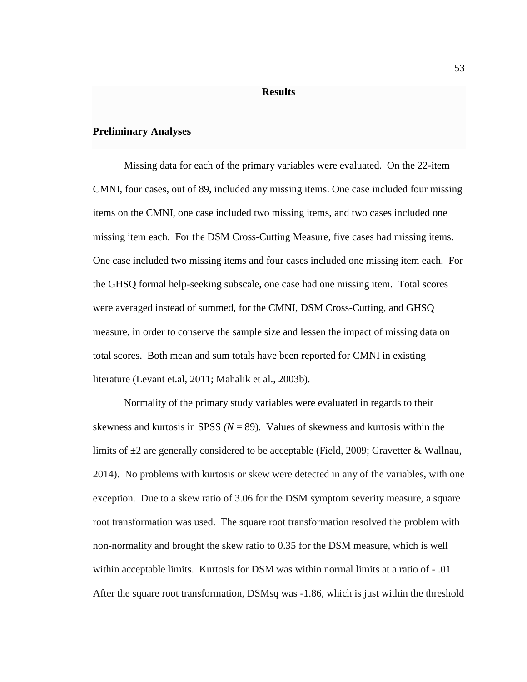#### **Results**

#### **Preliminary Analyses**

Missing data for each of the primary variables were evaluated. On the 22-item CMNI, four cases, out of 89, included any missing items. One case included four missing items on the CMNI, one case included two missing items, and two cases included one missing item each. For the DSM Cross-Cutting Measure, five cases had missing items. One case included two missing items and four cases included one missing item each. For the GHSQ formal help-seeking subscale, one case had one missing item. Total scores were averaged instead of summed, for the CMNI, DSM Cross-Cutting, and GHSQ measure, in order to conserve the sample size and lessen the impact of missing data on total scores. Both mean and sum totals have been reported for CMNI in existing literature (Levant et.al, 2011; Mahalik et al., 2003b).

Normality of the primary study variables were evaluated in regards to their skewness and kurtosis in SPSS  $(N = 89)$ . Values of skewness and kurtosis within the limits of  $\pm 2$  are generally considered to be acceptable (Field, 2009; Gravetter & Wallnau, 2014). No problems with kurtosis or skew were detected in any of the variables, with one exception. Due to a skew ratio of 3.06 for the DSM symptom severity measure, a square root transformation was used. The square root transformation resolved the problem with non-normality and brought the skew ratio to 0.35 for the DSM measure, which is well within acceptable limits. Kurtosis for DSM was within normal limits at a ratio of - .01. After the square root transformation, DSMsq was -1.86, which is just within the threshold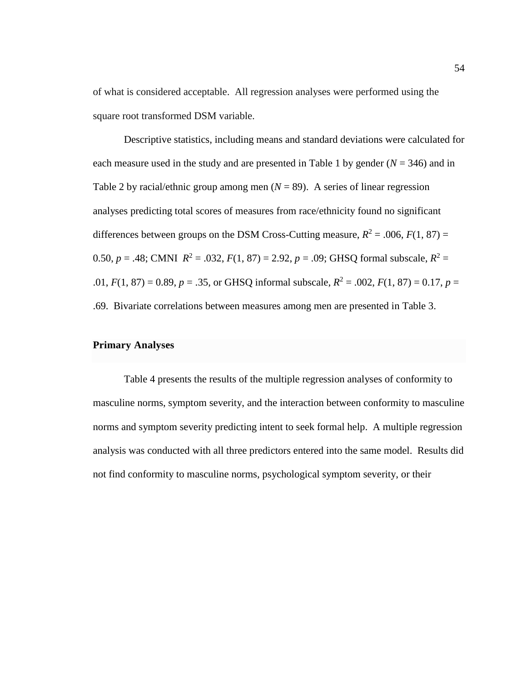of what is considered acceptable. All regression analyses were performed using the square root transformed DSM variable.

Descriptive statistics, including means and standard deviations were calculated for each measure used in the study and are presented in Table 1 by gender  $(N = 346)$  and in Table 2 by racial/ethnic group among men  $(N = 89)$ . A series of linear regression analyses predicting total scores of measures from race/ethnicity found no significant differences between groups on the DSM Cross-Cutting measure,  $R^2 = .006$ ,  $F(1, 87) =$ 0.50,  $p = .48$ ; CMNI  $R^2 = .032$ ,  $F(1, 87) = 2.92$ ,  $p = .09$ ; GHSQ formal subscale,  $R^2 =$ .01,  $F(1, 87) = 0.89$ ,  $p = .35$ , or GHSQ informal subscale,  $R^2 = .002$ ,  $F(1, 87) = 0.17$ ,  $p =$ .69. Bivariate correlations between measures among men are presented in Table 3.

## **Primary Analyses**

Table 4 presents the results of the multiple regression analyses of conformity to masculine norms, symptom severity, and the interaction between conformity to masculine norms and symptom severity predicting intent to seek formal help. A multiple regression analysis was conducted with all three predictors entered into the same model. Results did not find conformity to masculine norms, psychological symptom severity, or their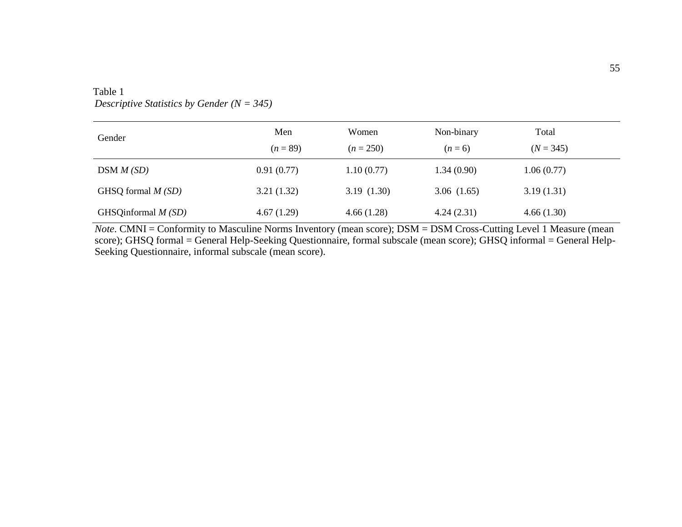| Gender               | Men<br>$(n = 89)$ | Women<br>$(n = 250)$ | Non-binary<br>$(n=6)$ | Total<br>$(N = 345)$ |
|----------------------|-------------------|----------------------|-----------------------|----------------------|
| DSM M (SD)           | 0.91(0.77)        | 1.10(0.77)           | 1.34(0.90)            | 1.06(0.77)           |
| GHSQ formal $M(SD)$  | 3.21(1.32)        | 3.19(1.30)           | 3.06(1.65)            | 3.19(1.31)           |
| GHSQinformal $M(SD)$ | 4.67(1.29)        | 4.66(1.28)           | 4.24(2.31)            | 4.66(1.30)           |

# Table 1 *Descriptive Statistics by Gender (N = 345)*

*Note*. CMNI = Conformity to Masculine Norms Inventory (mean score); DSM = DSM Cross-Cutting Level 1 Measure (mean score); GHSQ formal = General Help-Seeking Questionnaire, formal subscale (mean score); GHSQ informal = General Help-Seeking Questionnaire, informal subscale (mean score).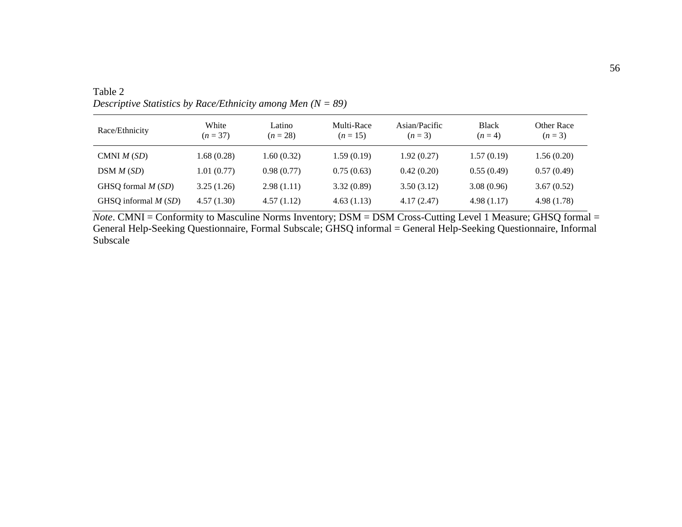| Race/Ethnicity        | White<br>$(n = 37)$ | Latino<br>$(n = 28)$ | Multi-Race<br>$(n=15)$ | Asian/Pacific<br>$(n=3)$ | <b>Black</b><br>$(n=4)$ | Other Race<br>$(n=3)$ |
|-----------------------|---------------------|----------------------|------------------------|--------------------------|-------------------------|-----------------------|
| CMNI $M(SD)$          | 1.68(0.28)          | 1.60(0.32)           | 1.59(0.19)             | 1.92(0.27)               | 1.57(0.19)              | 1.56(0.20)            |
| DSM M (SD)            | 1.01(0.77)          | 0.98(0.77)           | 0.75(0.63)             | 0.42(0.20)               | 0.55(0.49)              | 0.57(0.49)            |
| GHSQ formal $M(SD)$   | 3.25(1.26)          | 2.98(1.11)           | 3.32(0.89)             | 3.50(3.12)               | 3.08(0.96)              | 3.67(0.52)            |
| GHSQ informal $M(SD)$ | 4.57(1.30)          | 4.57(1.12)           | 4.63(1.13)             | 4.17(2.47)               | 4.98(1.17)              | 4.98(1.78)            |

Table 2 *Descriptive Statistics by Race/Ethnicity among Men (N = 89)*

*Note*. CMNI = Conformity to Masculine Norms Inventory; DSM = DSM Cross-Cutting Level 1 Measure; GHSQ formal = General Help-Seeking Questionnaire, Formal Subscale; GHSQ informal = General Help-Seeking Questionnaire, Informal Subscale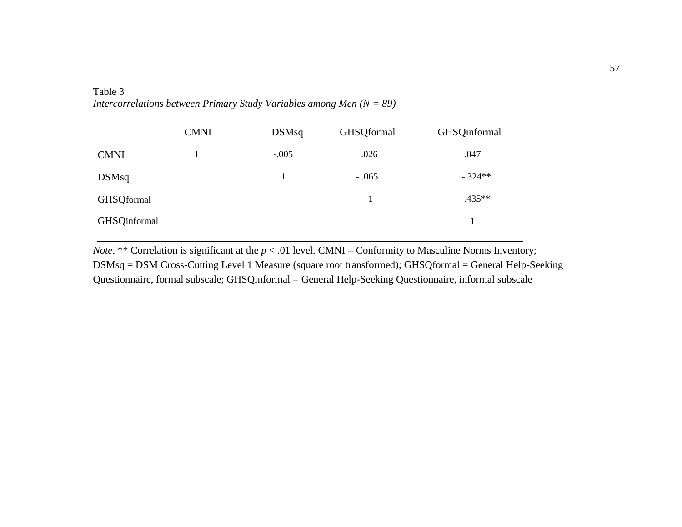|              | <b>CMNI</b> | DSMsq   | <b>GHSQformal</b> | <b>GHSQinformal</b> |
|--------------|-------------|---------|-------------------|---------------------|
| <b>CMNI</b>  |             | $-.005$ | .026              | .047                |
| DSMsq        |             |         | $-.065$           | $-.324**$           |
| GHSQformal   |             |         |                   | $.435**$            |
| GHSQinformal |             |         |                   |                     |

Table 3 *Intercorrelations between Primary Study Variables among Men (N = 89)*

*Note*. \*\* Correlation is significant at the  $p < .01$  level. CMNI = Conformity to Masculine Norms Inventory; DSMsq = DSM Cross-Cutting Level 1 Measure (square root transformed); GHSQformal = General Help-Seeking Questionnaire, formal subscale; GHSQinformal = General Help-Seeking Questionnaire, informal subscale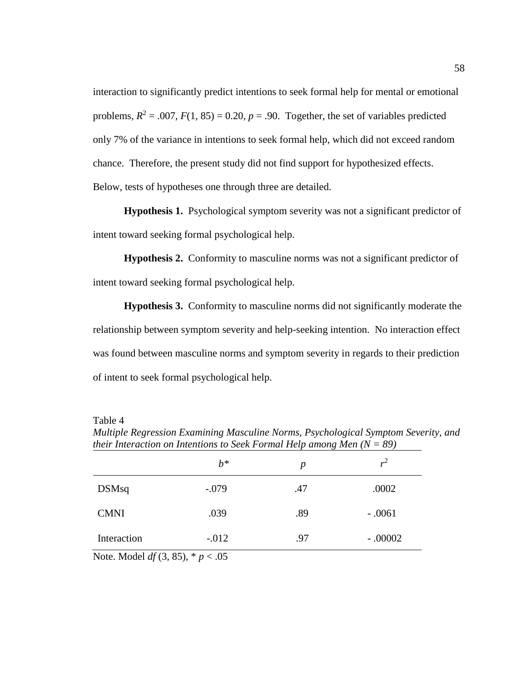interaction to significantly predict intentions to seek formal help for mental or emotional problems,  $R^2 = .007$ ,  $F(1, 85) = 0.20$ ,  $p = .90$ . Together, the set of variables predicted only 7% of the variance in intentions to seek formal help, which did not exceed random chance. Therefore, the present study did not find support for hypothesized effects. Below, tests of hypotheses one through three are detailed.

**Hypothesis 1.** Psychological symptom severity was not a significant predictor of intent toward seeking formal psychological help.

**Hypothesis 2.** Conformity to masculine norms was not a significant predictor of intent toward seeking formal psychological help.

**Hypothesis 3.** Conformity to masculine norms did not significantly moderate the relationship between symptom severity and help-seeking intention. No interaction effect was found between masculine norms and symptom severity in regards to their prediction of intent to seek formal psychological help.

Table 4

|              | $b^*$    | $\boldsymbol{p}$ | $r^2$     |
|--------------|----------|------------------|-----------|
| <b>DSMsq</b> | $-.079$  | .47              | .0002     |
| <b>CMNI</b>  | .039     | .89              | $-.0061$  |
| Interaction  | $-0.012$ | .97              | $-.00002$ |

*Multiple Regression Examining Masculine Norms, Psychological Symptom Severity, and their Interaction on Intentions to Seek Formal Help among Men (N = 89)*

Note. Model *df* (3, 85), \* *p* < .05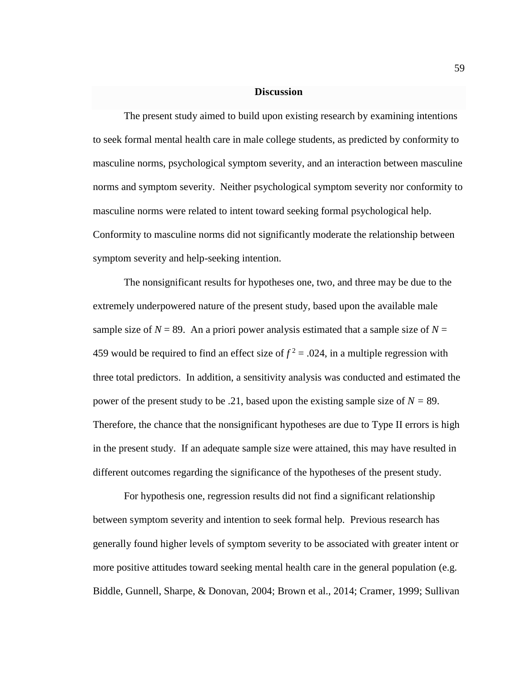### **Discussion**

The present study aimed to build upon existing research by examining intentions to seek formal mental health care in male college students, as predicted by conformity to masculine norms, psychological symptom severity, and an interaction between masculine norms and symptom severity. Neither psychological symptom severity nor conformity to masculine norms were related to intent toward seeking formal psychological help. Conformity to masculine norms did not significantly moderate the relationship between symptom severity and help-seeking intention.

The nonsignificant results for hypotheses one, two, and three may be due to the extremely underpowered nature of the present study, based upon the available male sample size of  $N = 89$ . An a priori power analysis estimated that a sample size of  $N =$ 459 would be required to find an effect size of  $f^2 = 0.024$ , in a multiple regression with three total predictors. In addition, a sensitivity analysis was conducted and estimated the power of the present study to be .21, based upon the existing sample size of *N =* 89. Therefore, the chance that the nonsignificant hypotheses are due to Type II errors is high in the present study. If an adequate sample size were attained, this may have resulted in different outcomes regarding the significance of the hypotheses of the present study.

For hypothesis one, regression results did not find a significant relationship between symptom severity and intention to seek formal help. Previous research has generally found higher levels of symptom severity to be associated with greater intent or more positive attitudes toward seeking mental health care in the general population (e.g. Biddle, Gunnell, Sharpe, & Donovan, 2004; Brown et al., 2014; Cramer, 1999; Sullivan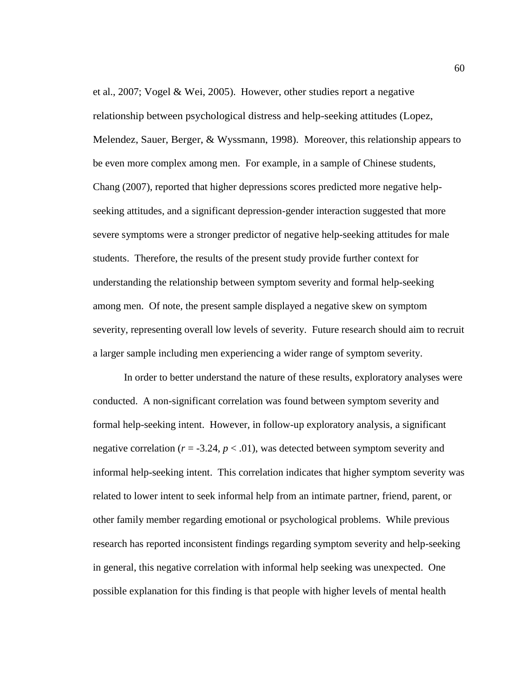et al., 2007; Vogel & Wei, 2005). However, other studies report a negative relationship between psychological distress and help-seeking attitudes (Lopez, Melendez, Sauer, Berger, & Wyssmann, 1998). Moreover, this relationship appears to be even more complex among men. For example, in a sample of Chinese students, Chang (2007), reported that higher depressions scores predicted more negative helpseeking attitudes, and a significant depression-gender interaction suggested that more severe symptoms were a stronger predictor of negative help-seeking attitudes for male students. Therefore, the results of the present study provide further context for understanding the relationship between symptom severity and formal help-seeking among men. Of note, the present sample displayed a negative skew on symptom severity, representing overall low levels of severity. Future research should aim to recruit a larger sample including men experiencing a wider range of symptom severity.

In order to better understand the nature of these results, exploratory analyses were conducted. A non-significant correlation was found between symptom severity and formal help-seeking intent. However, in follow-up exploratory analysis, a significant negative correlation ( $r = -3.24$ ,  $p < .01$ ), was detected between symptom severity and informal help-seeking intent. This correlation indicates that higher symptom severity was related to lower intent to seek informal help from an intimate partner, friend, parent, or other family member regarding emotional or psychological problems. While previous research has reported inconsistent findings regarding symptom severity and help-seeking in general, this negative correlation with informal help seeking was unexpected. One possible explanation for this finding is that people with higher levels of mental health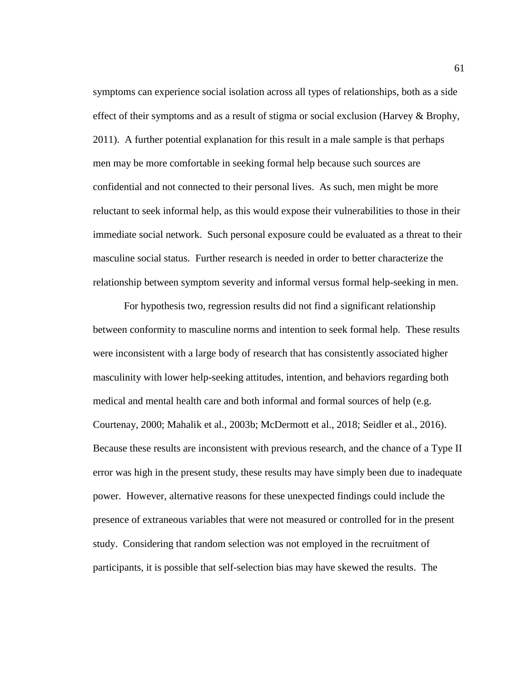symptoms can experience social isolation across all types of relationships, both as a side effect of their symptoms and as a result of stigma or social exclusion (Harvey & Brophy, 2011). A further potential explanation for this result in a male sample is that perhaps men may be more comfortable in seeking formal help because such sources are confidential and not connected to their personal lives. As such, men might be more reluctant to seek informal help, as this would expose their vulnerabilities to those in their immediate social network. Such personal exposure could be evaluated as a threat to their masculine social status. Further research is needed in order to better characterize the relationship between symptom severity and informal versus formal help-seeking in men.

For hypothesis two, regression results did not find a significant relationship between conformity to masculine norms and intention to seek formal help. These results were inconsistent with a large body of research that has consistently associated higher masculinity with lower help-seeking attitudes, intention, and behaviors regarding both medical and mental health care and both informal and formal sources of help (e.g. Courtenay, 2000; Mahalik et al., 2003b; McDermott et al., 2018; Seidler et al., 2016). Because these results are inconsistent with previous research, and the chance of a Type II error was high in the present study, these results may have simply been due to inadequate power. However, alternative reasons for these unexpected findings could include the presence of extraneous variables that were not measured or controlled for in the present study. Considering that random selection was not employed in the recruitment of participants, it is possible that self-selection bias may have skewed the results. The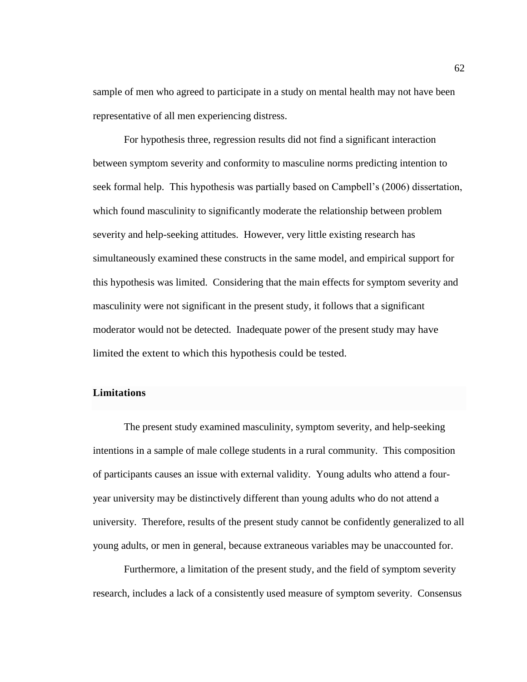sample of men who agreed to participate in a study on mental health may not have been representative of all men experiencing distress.

For hypothesis three, regression results did not find a significant interaction between symptom severity and conformity to masculine norms predicting intention to seek formal help. This hypothesis was partially based on Campbell's (2006) dissertation, which found masculinity to significantly moderate the relationship between problem severity and help-seeking attitudes. However, very little existing research has simultaneously examined these constructs in the same model, and empirical support for this hypothesis was limited. Considering that the main effects for symptom severity and masculinity were not significant in the present study, it follows that a significant moderator would not be detected. Inadequate power of the present study may have limited the extent to which this hypothesis could be tested.

## **Limitations**

The present study examined masculinity, symptom severity, and help-seeking intentions in a sample of male college students in a rural community. This composition of participants causes an issue with external validity. Young adults who attend a fouryear university may be distinctively different than young adults who do not attend a university. Therefore, results of the present study cannot be confidently generalized to all young adults, or men in general, because extraneous variables may be unaccounted for.

Furthermore, a limitation of the present study, and the field of symptom severity research, includes a lack of a consistently used measure of symptom severity. Consensus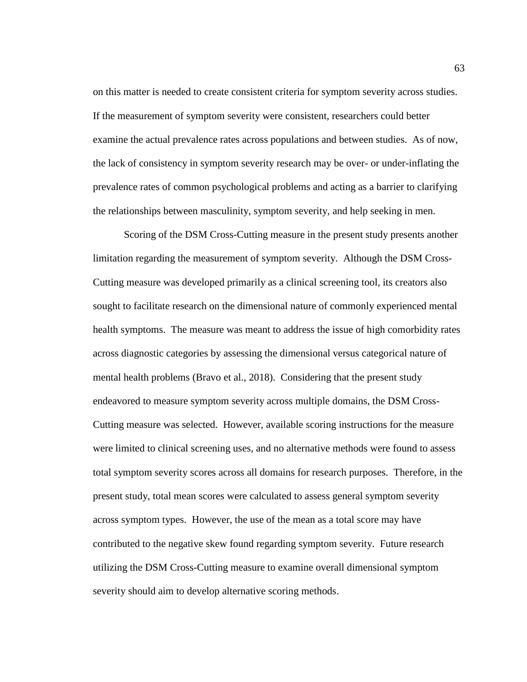on this matter is needed to create consistent criteria for symptom severity across studies. If the measurement of symptom severity were consistent, researchers could better examine the actual prevalence rates across populations and between studies. As of now, the lack of consistency in symptom severity research may be over- or under-inflating the prevalence rates of common psychological problems and acting as a barrier to clarifying the relationships between masculinity, symptom severity, and help seeking in men.

Scoring of the DSM Cross-Cutting measure in the present study presents another limitation regarding the measurement of symptom severity. Although the DSM Cross-Cutting measure was developed primarily as a clinical screening tool, its creators also sought to facilitate research on the dimensional nature of commonly experienced mental health symptoms. The measure was meant to address the issue of high comorbidity rates across diagnostic categories by assessing the dimensional versus categorical nature of mental health problems (Bravo et al., 2018). Considering that the present study endeavored to measure symptom severity across multiple domains, the DSM Cross-Cutting measure was selected. However, available scoring instructions for the measure were limited to clinical screening uses, and no alternative methods were found to assess total symptom severity scores across all domains for research purposes. Therefore, in the present study, total mean scores were calculated to assess general symptom severity across symptom types. However, the use of the mean as a total score may have contributed to the negative skew found regarding symptom severity. Future research utilizing the DSM Cross-Cutting measure to examine overall dimensional symptom severity should aim to develop alternative scoring methods.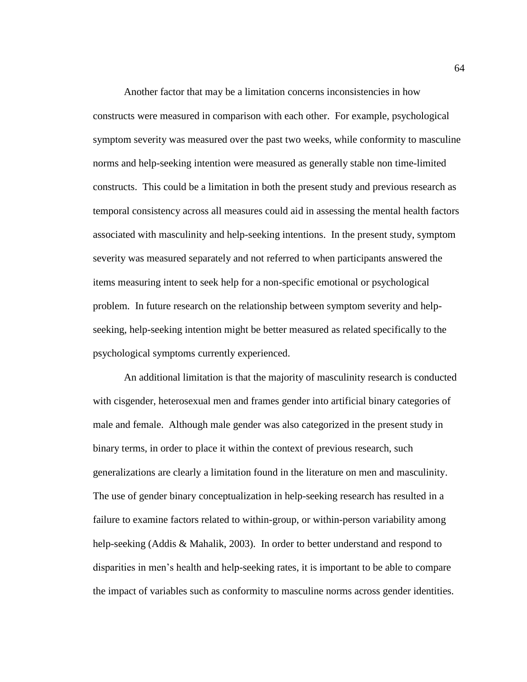Another factor that may be a limitation concerns inconsistencies in how constructs were measured in comparison with each other. For example, psychological symptom severity was measured over the past two weeks, while conformity to masculine norms and help-seeking intention were measured as generally stable non time-limited constructs. This could be a limitation in both the present study and previous research as temporal consistency across all measures could aid in assessing the mental health factors associated with masculinity and help-seeking intentions. In the present study, symptom severity was measured separately and not referred to when participants answered the items measuring intent to seek help for a non-specific emotional or psychological problem. In future research on the relationship between symptom severity and helpseeking, help-seeking intention might be better measured as related specifically to the psychological symptoms currently experienced.

An additional limitation is that the majority of masculinity research is conducted with cisgender, heterosexual men and frames gender into artificial binary categories of male and female. Although male gender was also categorized in the present study in binary terms, in order to place it within the context of previous research, such generalizations are clearly a limitation found in the literature on men and masculinity. The use of gender binary conceptualization in help-seeking research has resulted in a failure to examine factors related to within-group, or within-person variability among help-seeking (Addis & Mahalik, 2003). In order to better understand and respond to disparities in men's health and help-seeking rates, it is important to be able to compare the impact of variables such as conformity to masculine norms across gender identities.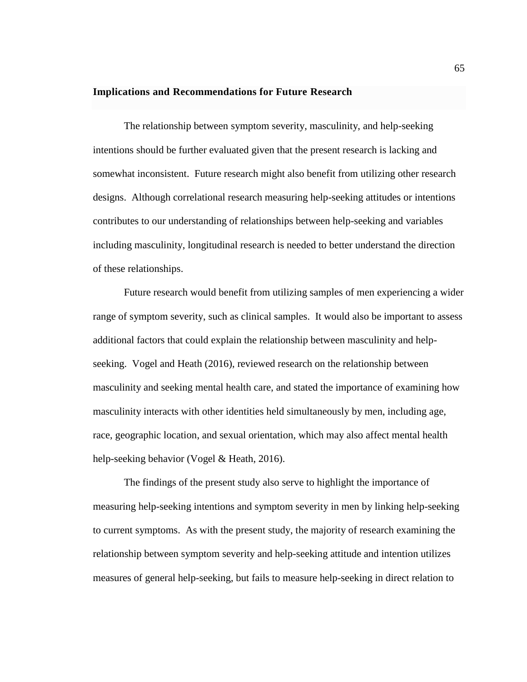## **Implications and Recommendations for Future Research**

The relationship between symptom severity, masculinity, and help-seeking intentions should be further evaluated given that the present research is lacking and somewhat inconsistent. Future research might also benefit from utilizing other research designs. Although correlational research measuring help-seeking attitudes or intentions contributes to our understanding of relationships between help-seeking and variables including masculinity, longitudinal research is needed to better understand the direction of these relationships.

Future research would benefit from utilizing samples of men experiencing a wider range of symptom severity, such as clinical samples. It would also be important to assess additional factors that could explain the relationship between masculinity and helpseeking. Vogel and Heath (2016), reviewed research on the relationship between masculinity and seeking mental health care, and stated the importance of examining how masculinity interacts with other identities held simultaneously by men, including age, race, geographic location, and sexual orientation, which may also affect mental health help-seeking behavior (Vogel & Heath, 2016).

The findings of the present study also serve to highlight the importance of measuring help-seeking intentions and symptom severity in men by linking help-seeking to current symptoms. As with the present study, the majority of research examining the relationship between symptom severity and help-seeking attitude and intention utilizes measures of general help-seeking, but fails to measure help-seeking in direct relation to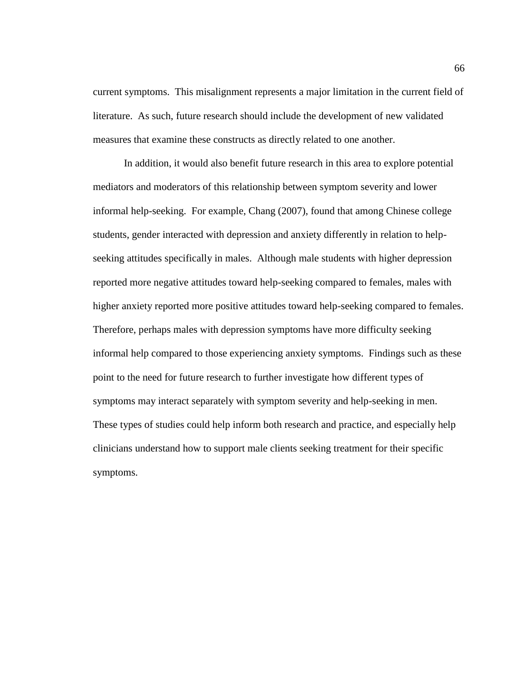current symptoms. This misalignment represents a major limitation in the current field of literature. As such, future research should include the development of new validated measures that examine these constructs as directly related to one another.

In addition, it would also benefit future research in this area to explore potential mediators and moderators of this relationship between symptom severity and lower informal help-seeking. For example, Chang (2007), found that among Chinese college students, gender interacted with depression and anxiety differently in relation to helpseeking attitudes specifically in males. Although male students with higher depression reported more negative attitudes toward help-seeking compared to females, males with higher anxiety reported more positive attitudes toward help-seeking compared to females. Therefore, perhaps males with depression symptoms have more difficulty seeking informal help compared to those experiencing anxiety symptoms. Findings such as these point to the need for future research to further investigate how different types of symptoms may interact separately with symptom severity and help-seeking in men. These types of studies could help inform both research and practice, and especially help clinicians understand how to support male clients seeking treatment for their specific symptoms.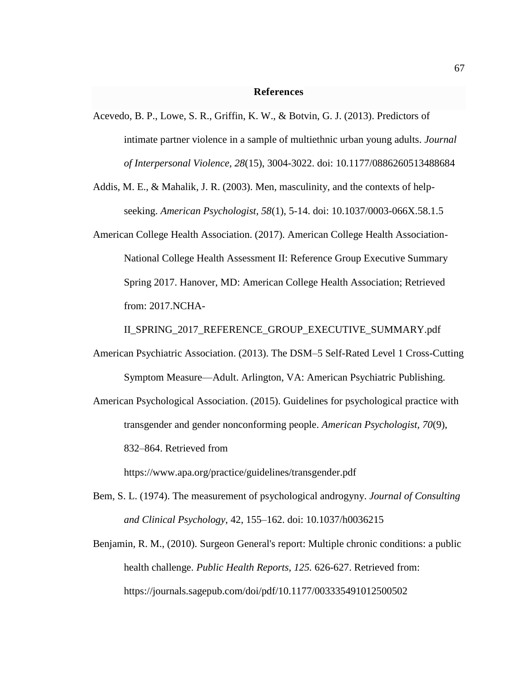#### **References**

- Acevedo, B. P., Lowe, S. R., Griffin, K. W., & Botvin, G. J. (2013). Predictors of intimate partner violence in a sample of multiethnic urban young adults. *Journal of Interpersonal Violence, 28*(15), 3004-3022. doi: [10.1177/0886260513488684](http://dx.doi.org/10.1177/0886260513488684)
- Addis, M. E., & Mahalik, J. R. (2003). Men, masculinity, and the contexts of helpseeking. *American Psychologist, 58*(1), 5-14. doi: [10.1037/0003-066X.58.1.5](http://dx.doi.org/10.1037/0003-066X.58.1.5)
- American College Health Association. (2017). American College Health Association-National College Health Assessment II: Reference Group Executive Summary Spring 2017. Hanover, MD: American College Health Association; Retrieved from: 2017.NCHA-

II\_SPRING\_2017\_REFERENCE\_GROUP\_EXECUTIVE\_SUMMARY.pdf

- American Psychiatric Association. (2013). The DSM–5 Self-Rated Level 1 Cross-Cutting Symptom Measure—Adult. Arlington, VA: American Psychiatric Publishing.
- American Psychological Association. (2015). Guidelines for psychological practice with transgender and gender nonconforming people. *American Psychologist, 70*(9), 832–864. Retrieved from

https://www.apa.org/practice/guidelines/transgender.pdf

- Bem, S. L. (1974). The measurement of psychological androgyny. *Journal of Consulting and Clinical Psychology*, 42, 155–162. doi: 10.1037/h0036215
- Benjamin, R. M., (2010). Surgeon General's report: Multiple chronic conditions: a public health challenge. *Public Health Reports, 125.* 626-627. Retrieved from: https://journals.sagepub.com/doi/pdf/10.1177/003335491012500502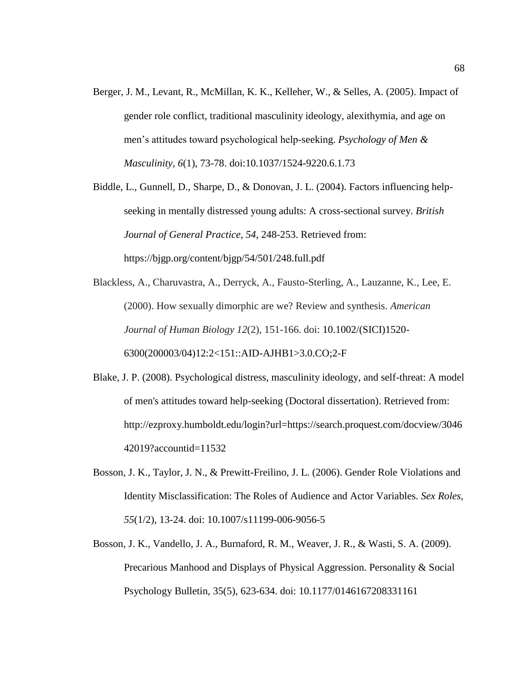Berger, J. M., Levant, R., McMillan, K. K., Kelleher, W., & Selles, A. (2005). Impact of gender role conflict, traditional masculinity ideology, alexithymia, and age on men's attitudes toward psychological help-seeking. *Psychology of Men & Masculinity, 6*(1), 73-78. doi:10.1037/1524-9220.6.1.73

Biddle, L., Gunnell, D., Sharpe, D., & Donovan, J. L. (2004). Factors influencing helpseeking in mentally distressed young adults: A cross-sectional survey. *British Journal of General Practice, 54,* 248-253. Retrieved from: <https://bjgp.org/content/bjgp/54/501/248.full.pdf>

Blackless, A., Charuvastra, A., Derryck, A., Fausto-Sterling, A., Lauzanne, K., Lee, E. (2000). How sexually dimorphic are we? Review and synthesis. *American Journal of Human Biology 12*(2), 151-166. doi: 10.1002/(SICI)1520- 6300(200003/04)12:2<151::AID-AJHB1>3.0.CO;2-F

Blake, J. P. (2008). Psychological distress, masculinity ideology, and self-threat: A model of men's attitudes toward help-seeking (Doctoral dissertation). Retrieved from: [http://ezproxy.humboldt.edu/login?url=https://search.proquest.com/docview/3046](http://ezproxy.humboldt.edu/login?url=https://search.proquest.com/docview/304642019?accountid=11532) [42019?accountid=11532](http://ezproxy.humboldt.edu/login?url=https://search.proquest.com/docview/304642019?accountid=11532)

- Bosson, J. K., Taylor, J. N., & Prewitt-Freilino, J. L. (2006). Gender Role Violations and Identity Misclassification: The Roles of Audience and Actor Variables. *Sex Roles, 55*(1/2), 13-24. doi: 10.1007/s11199-006-9056-5
- Bosson, J. K., Vandello, J. A., Burnaford, R. M., Weaver, J. R., & Wasti, S. A. (2009). Precarious Manhood and Displays of Physical Aggression. Personality & Social Psychology Bulletin, 35(5), 623-634. doi: 10.1177/0146167208331161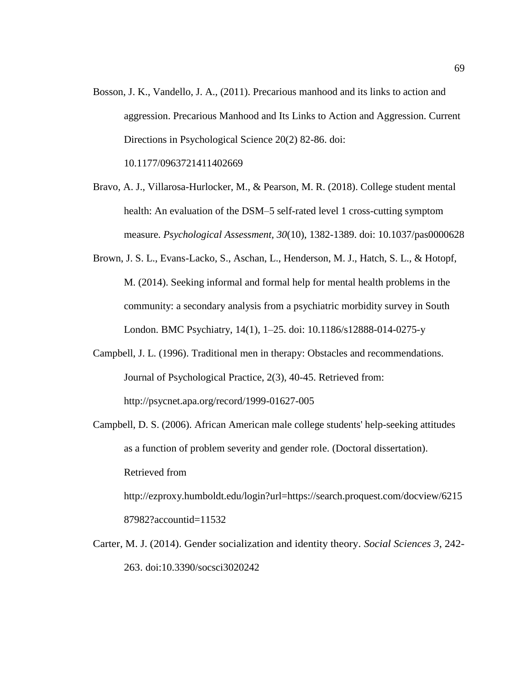Bosson, J. K., Vandello, J. A., (2011). Precarious manhood and its links to action and aggression. Precarious Manhood and Its Links to Action and Aggression. Current Directions in Psychological Science 20(2) 82-86. doi:

10.1177/0963721411402669

- Bravo, A. J., Villarosa-Hurlocker, M., & Pearson, M. R. (2018). College student mental health: An evaluation of the DSM–5 self-rated level 1 cross-cutting symptom measure. *Psychological Assessment, 30*(10), 1382-1389. doi: [10.1037/pas0000628](http://dx.doi.org/10.1037/pas0000628)
- Brown, J. S. L., Evans-Lacko, S., Aschan, L., Henderson, M. J., Hatch, S. L., & Hotopf, M. (2014). Seeking informal and formal help for mental health problems in the community: a secondary analysis from a psychiatric morbidity survey in South London. BMC Psychiatry, 14(1), 1–25. doi: 10.1186/s12888-014-0275-y
- Campbell, J. L. (1996). Traditional men in therapy: Obstacles and recommendations. Journal of Psychological Practice, 2(3), 40-45. Retrieved from: <http://psycnet.apa.org/record/1999-01627-005>
- Campbell, D. S. (2006). African American male college students' help-seeking attitudes as a function of problem severity and gender role. (Doctoral dissertation). Retrieved from [http://ezproxy.humboldt.edu/login?url=https://search.proquest.com/docview/6215](http://ezproxy.humboldt.edu/login?url=https://search.proquest.com/docview/621587982?accountid=11532)

[87982?accountid=11532](http://ezproxy.humboldt.edu/login?url=https://search.proquest.com/docview/621587982?accountid=11532)

Carter, M. J. (2014). Gender socialization and identity theory. *Social Sciences 3*, 242- 263. doi:10.3390/socsci3020242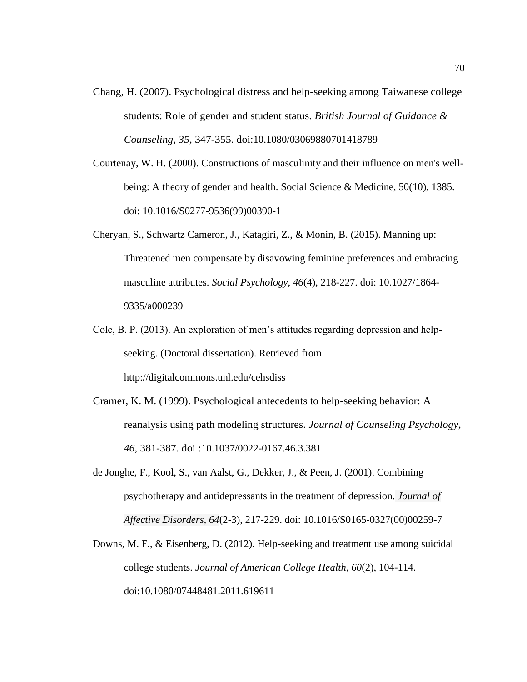- Chang, H. (2007). Psychological distress and help-seeking among Taiwanese college students: Role of gender and student status. *British Journal of Guidance & Counseling, 35,* 347-355. doi:10.1080/03069880701418789
- Courtenay, W. H. (2000). Constructions of masculinity and their influence on men's wellbeing: A theory of gender and health. Social Science & Medicine, 50(10), 1385. doi: 10.1016/S0277-9536(99)00390-1
- Cheryan, S., Schwartz Cameron, J., Katagiri, Z., & Monin, B. (2015). Manning up: Threatened men compensate by disavowing feminine preferences and embracing masculine attributes. *Social Psychology, 46*(4), 218-227. doi: 10.1027/1864- 9335/a000239
- Cole, B. P. (2013). An exploration of men's attitudes regarding depression and helpseeking. (Doctoral dissertation). Retrieved from <http://digitalcommons.unl.edu/cehsdiss>
- Cramer, K. M. (1999). Psychological antecedents to help-seeking behavior: A reanalysis using path modeling structures. *Journal of Counseling Psychology, 46,* 381-387. doi :10.1037/0022-0167.46.3.381
- de Jonghe, F., Kool, S., van Aalst, G., Dekker, J., & Peen, J. (2001). Combining psychotherapy and antidepressants in the treatment of depression. *Journal of Affective Disorders, 64*(2-3), 217-229. doi: 10.1016/S0165-0327(00)00259-7
- Downs, M. F., & Eisenberg, D. (2012). Help-seeking and treatment use among suicidal college students. *Journal of American College Health, 60*(2), 104-114. doi:10.1080/07448481.2011.619611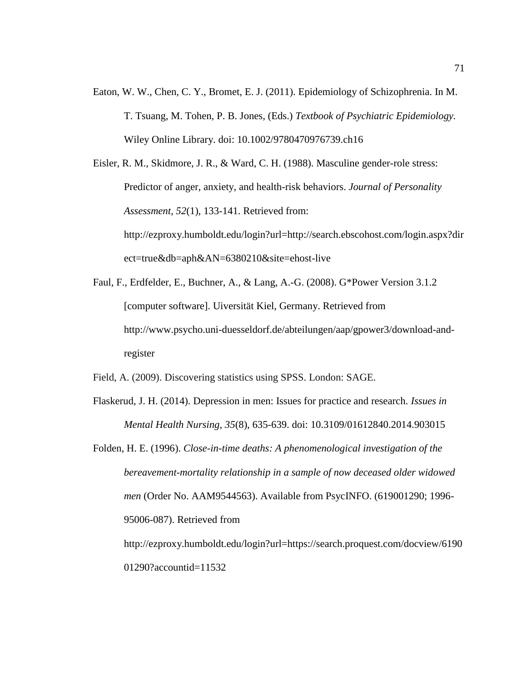Eaton, W. W., Chen, C. Y., Bromet, E. J. (2011). Epidemiology of Schizophrenia. In M. T. Tsuang, M. Tohen, P. B. Jones, (Eds.) *Textbook of Psychiatric Epidemiology.* Wiley Online Library. doi: 10.1002/9780470976739.ch16

Eisler, R. M., Skidmore, J. R., & Ward, C. H. (1988). Masculine gender-role stress: Predictor of anger, anxiety, and health-risk behaviors. *Journal of Personality Assessment, 52*(1), 133-141. Retrieved from: [http://ezproxy.humboldt.edu/login?url=http://search.ebscohost.com/login.aspx?dir](http://ezproxy.humboldt.edu/login?url=http://search.ebscohost.com/login.aspx?direct=true&db=aph&AN=6380210&site=ehost-live) [ect=true&db=aph&AN=6380210&site=ehost-live](http://ezproxy.humboldt.edu/login?url=http://search.ebscohost.com/login.aspx?direct=true&db=aph&AN=6380210&site=ehost-live)

Faul, F., Erdfelder, E., Buchner, A., & Lang, A.-G. (2008). G\*Power Version 3.1.2 [computer software]. Uiversität Kiel, Germany. Retrieved from [http://www.psycho.uni-duesseldorf.de/abteilungen/aap/gpower3/download-and](http://www.psycho.uni-duesseldorf.de/abteilungen/aap/gpower3/download-and-register)[register](http://www.psycho.uni-duesseldorf.de/abteilungen/aap/gpower3/download-and-register)

Field, A. (2009). Discovering statistics using SPSS. London: SAGE.

Flaskerud, J. H. (2014). Depression in men: Issues for practice and research. *Issues in Mental Health Nursing, 35*(8), 635-639. doi: 10.3109/01612840.2014.903015

Folden, H. E. (1996). *Close-in-time deaths: A phenomenological investigation of the bereavement-mortality relationship in a sample of now deceased older widowed men* (Order No. AAM9544563). Available from PsycINFO. (619001290; 1996- 95006-087). Retrieved from http://ezproxy.humboldt.edu/login?url=https://search.proquest.com/docview/6190

01290?accountid=11532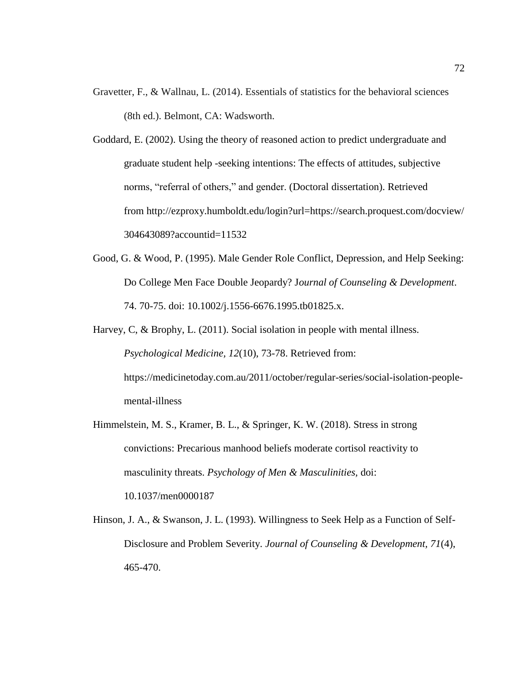- Gravetter, F., & Wallnau, L. (2014). Essentials of statistics for the behavioral sciences (8th ed.). Belmont, CA: Wadsworth.
- Goddard, E. (2002). Using the theory of reasoned action to predict undergraduate and graduate student help -seeking intentions: The effects of attitudes, subjective norms, "referral of others," and gender. (Doctoral dissertation). Retrieved from [http://ezproxy.humboldt.edu/login?url=https://search.proquest.com/docview/](http://ezproxy.humboldt.edu/login?url=https://search.proquest.com/docview/304643089?accountid=11532) [304643089?accountid=11532](http://ezproxy.humboldt.edu/login?url=https://search.proquest.com/docview/304643089?accountid=11532)
- Good, G. & Wood, P. (1995). Male Gender Role Conflict, Depression, and Help Seeking: Do College Men Face Double Jeopardy? J*ournal of Counseling & Development*. 74. 70-75. doi: 10.1002/j.1556-6676.1995.tb01825.x.
- Harvey, C, & Brophy, L. (2011). Social isolation in people with mental illness. *Psychological Medicine, 12*(10), 73-78. Retrieved from: https://medicinetoday.com.au/2011/october/regular-series/social-isolation-peoplemental-illness
- Himmelstein, M. S., Kramer, B. L., & Springer, K. W. (2018). Stress in strong convictions: Precarious manhood beliefs moderate cortisol reactivity to masculinity threats. *Psychology of Men & Masculinities,* doi: 10.1037/men0000187
- Hinson, J. A., & Swanson, J. L. (1993). Willingness to Seek Help as a Function of Self-Disclosure and Problem Severity. *Journal of Counseling & Development, 71*(4), 465-470.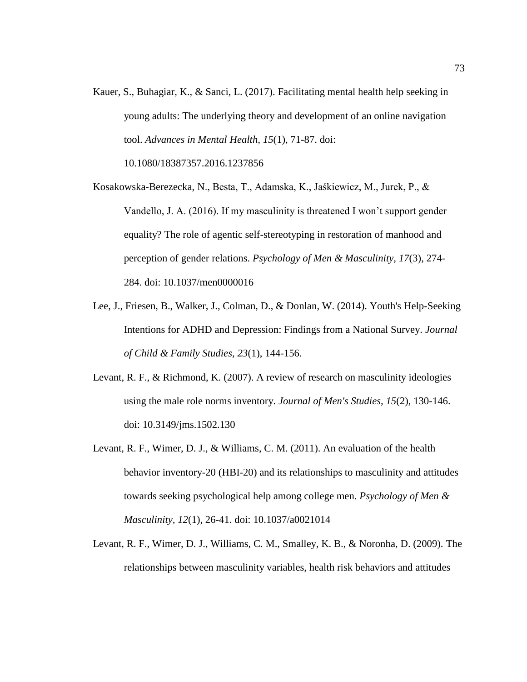Kauer, S., Buhagiar, K., & Sanci, L. (2017). Facilitating mental health help seeking in young adults: The underlying theory and development of an online navigation tool. *Advances in Mental Health, 15*(1), 71-87. doi:

10.1080/18387357.2016.1237856

- Kosakowska-Berezecka, N., Besta, T., Adamska, K., Jaśkiewicz, M., Jurek, P., & Vandello, J. A. (2016). If my masculinity is threatened I won't support gender equality? The role of agentic self-stereotyping in restoration of manhood and perception of gender relations. *Psychology of Men & Masculinity, 17*(3), 274- 284. [doi: 10.1037/men0000016](http://dx.doi.org/10.1037/men0000016)
- Lee, J., Friesen, B., Walker, J., Colman, D., & Donlan, W. (2014). Youth's Help-Seeking Intentions for ADHD and Depression: Findings from a National Survey. *Journal of Child & Family Studies, 23*(1), 144-156.
- Levant, R. F., & Richmond, K. (2007). A review of research on masculinity ideologies using the male role norms inventory. *Journal of Men's Studies, 15*(2), 130-146. doi: 10.3149/jms.1502.130
- Levant, R. F., Wimer, D. J., & Williams, C. M. (2011). An evaluation of the health behavior inventory-20 (HBI-20) and its relationships to masculinity and attitudes towards seeking psychological help among college men. *Psychology of Men & Masculinity, 12*(1), 26-41. doi: [10.1037/a0021014](http://dx.doi.org/10.1037/a0021014)
- Levant, R. F., Wimer, D. J., Williams, C. M., Smalley, K. B., & Noronha, D. (2009). The relationships between masculinity variables, health risk behaviors and attitudes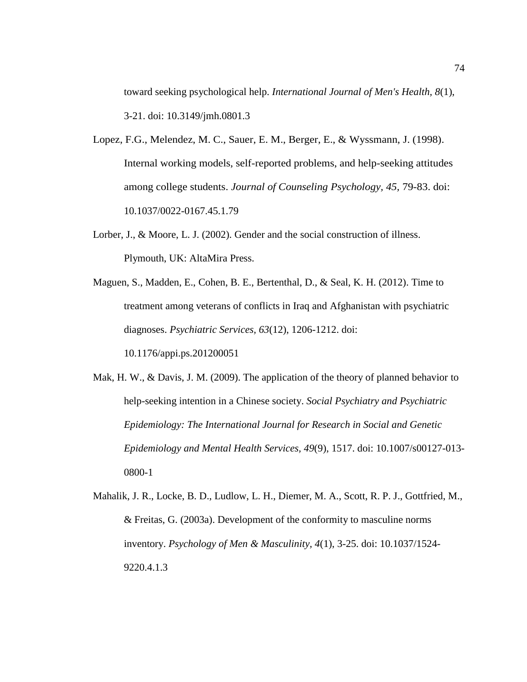toward seeking psychological help. *International Journal of Men's Health, 8*(1), 3-21. doi: [10.3149/jmh.0801.3](http://dx.doi.org/10.3149/jmh.0801.3)

- Lopez, F.G., Melendez, M. C., Sauer, E. M., Berger, E., & Wyssmann, J. (1998). Internal working models, self-reported problems, and help-seeking attitudes among college students. *Journal of Counseling Psychology, 45,* 79-83. doi: 10.1037/0022-0167.45.1.79
- Lorber, J., & Moore, L. J. (2002). Gender and the social construction of illness. Plymouth, UK: AltaMira Press.
- Maguen, S., Madden, E., Cohen, B. E., Bertenthal, D., & Seal, K. H. (2012). Time to treatment among veterans of conflicts in Iraq and Afghanistan with psychiatric diagnoses. *Psychiatric Services, 63*(12), 1206-1212. doi[:](http://dx.doi.org/10.1176/appi.ps.201200051)

[10.1176/appi.ps.201200051](http://dx.doi.org/10.1176/appi.ps.201200051)

- Mak, H. W., & Davis, J. M. (2009). The application of the theory of planned behavior to help-seeking intention in a Chinese society. *Social Psychiatry and Psychiatric Epidemiology: The International Journal for Research in Social and Genetic Epidemiology and Mental Health Services, 49*(9), 1517. doi: 10.1007/s00127-013- 0800-1
- Mahalik, J. R., Locke, B. D., Ludlow, L. H., Diemer, M. A., Scott, R. P. J., Gottfried, M., & Freitas, G. (2003a). Development of the conformity to masculine norms inventory. *Psychology of Men & Masculinity, 4*(1), 3-25. doi: [10.1037/1524-](http://dx.doi.org/10.1037/1524-9220.4.1.3) [9220.4.1.3](http://dx.doi.org/10.1037/1524-9220.4.1.3)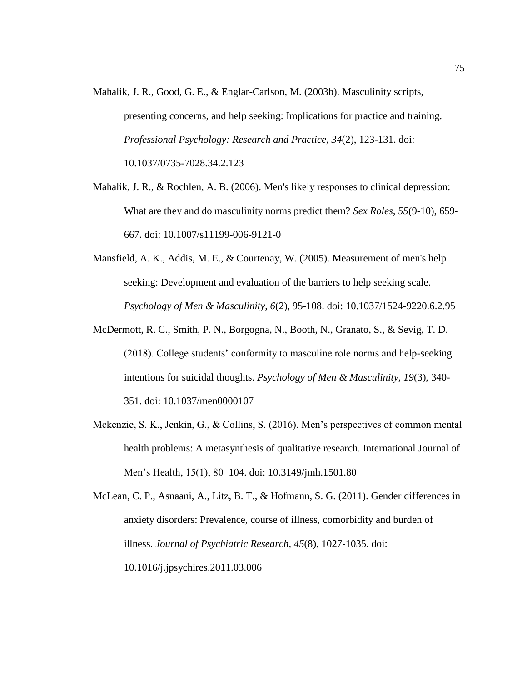- Mahalik, J. R., Good, G. E., & Englar-Carlson, M. (2003b). Masculinity scripts, presenting concerns, and help seeking: Implications for practice and training. *Professional Psychology: Research and Practice, 34*(2), 123-131. doi[:](http://dx.doi.org/10.1037/0735-7028.34.2.123) [10.1037/0735-7028.34.2.123](http://dx.doi.org/10.1037/0735-7028.34.2.123)
- Mahalik, J. R., & Rochlen, A. B. (2006). Men's likely responses to clinical depression: What are they and do masculinity norms predict them? *Sex Roles, 55*(9-10), 659- 667. doi: 10.1007/s11199-006-9121-0
- Mansfield, A. K., Addis, M. E., & Courtenay, W. (2005). Measurement of men's help seeking: Development and evaluation of the barriers to help seeking scale. *Psychology of Men & Masculinity, 6*(2), 95-108. doi: [10.1037/1524-9220.6.2.95](http://dx.doi.org/10.1037/1524-9220.6.2.95)
- McDermott, R. C., Smith, P. N., Borgogna, N., Booth, N., Granato, S., & Sevig, T. D. (2018). College students' conformity to masculine role norms and help-seeking intentions for suicidal thoughts. *Psychology of Men & Masculinity, 19*(3), 340- 351. doi: 10.1037/men0000107
- Mckenzie, S. K., Jenkin, G., & Collins, S. (2016). Men's perspectives of common mental health problems: A metasynthesis of qualitative research. International Journal of Men's Health, 15(1), 80–104. doi: 10.3149/jmh.1501.80

McLean, C. P., Asnaani, A., Litz, B. T., & Hofmann, S. G. (2011). Gender differences in anxiety disorders: Prevalence, course of illness, comorbidity and burden of illness. *Journal of Psychiatric Research, 45*(8), 1027-1035. doi[:](http://dx.doi.org/10.1016/j.jpsychires.2011.03.006) [10.1016/j.jpsychires.2011.03.006](http://dx.doi.org/10.1016/j.jpsychires.2011.03.006)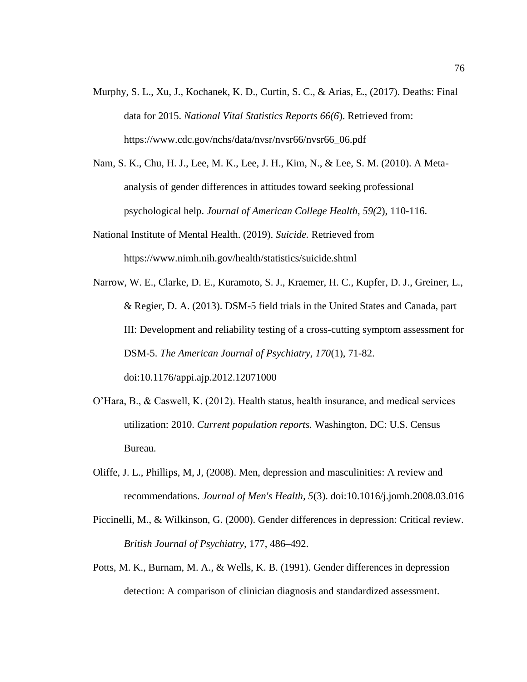- Murphy, S. L., Xu, J., Kochanek, K. D., Curtin, S. C., & Arias, E., (2017). Deaths: Final data for 2015. *National Vital Statistics Reports 66(6*). Retrieved from: https://www.cdc.gov/nchs/data/nvsr/nvsr66/nvsr66\_06.pdf
- Nam, S. K., Chu, H. J., Lee, M. K., Lee, J. H., Kim, N., & Lee, S. M. (2010). A Metaanalysis of gender differences in attitudes toward seeking professional psychological help. *Journal of American College Health, 59(2*), 110-116.
- National Institute of Mental Health. (2019). *Suicide.* Retrieved from <https://www.nimh.nih.gov/health/statistics/suicide.shtml>
- Narrow, W. E., Clarke, D. E., Kuramoto, S. J., Kraemer, H. C., Kupfer, D. J., Greiner, L., & Regier, D. A. (2013). DSM-5 field trials in the United States and Canada, part III: Development and reliability testing of a cross-cutting symptom assessment for DSM-5. *The American Journal of Psychiatry, 170*(1), 71-82. doi[:10.1176/appi.ajp.2012.12071000](http://dx.doi.org/10.1176/appi.ajp.2012.12071000)
- O'Hara, B., & Caswell, K. (2012). Health status, health insurance, and medical services utilization: 2010. *Current population reports.* Washington, DC: U.S. Census Bureau.
- Oliffe, J. L., Phillips, M, J, (2008). Men, depression and masculinities: A review and recommendations. *Journal of Men's Health, 5*(3). doi:10.1016/j.jomh.2008.03.016
- Piccinelli, M., & Wilkinson, G. (2000). Gender differences in depression: Critical review. *British Journal of Psychiatry,* 177, 486–492.
- Potts, M. K., Burnam, M. A., & Wells, K. B. (1991). Gender differences in depression detection: A comparison of clinician diagnosis and standardized assessment.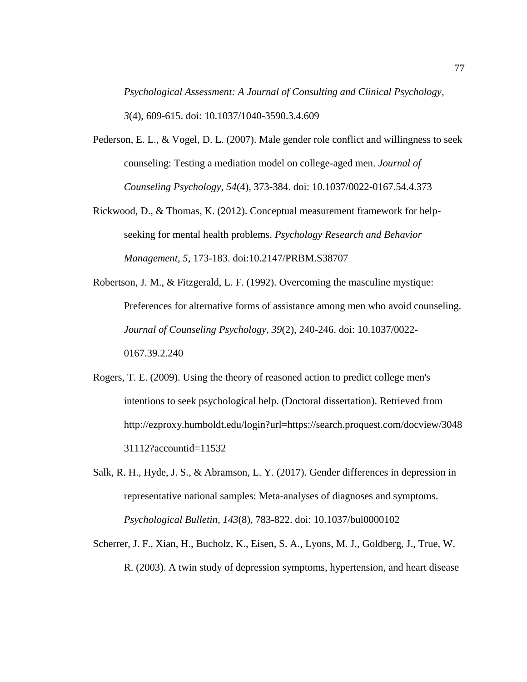*Psychological Assessment: A Journal of Consulting and Clinical Psychology, 3*(4), 609-615. doi: 10.1037/1040-3590.3.4.609

- Pederson, E. L., & Vogel, D. L. (2007). Male gender role conflict and willingness to seek counseling: Testing a mediation model on college-aged men. *Journal of Counseling Psychology, 54*(4), 373-384. [doi: 10.1037/0022-0167.54.4.373](http://dx.doi.org/10.1037/0022-0167.54.4.373)
- Rickwood, D., & Thomas, K. (2012). Conceptual measurement framework for helpseeking for mental health problems. *Psychology Research and Behavior Management, 5*, 173-183. doi:10.2147/PRBM.S38707
- Robertson, J. M., & Fitzgerald, L. F. (1992). Overcoming the masculine mystique: Preferences for alternative forms of assistance among men who avoid counseling. *Journal of Counseling Psychology, 39*(2), 240-246. [doi: 10.1037/0022-](http://dx.doi.org/10.1037/0022-0167.39.2.240) [0167.39.2.240](http://dx.doi.org/10.1037/0022-0167.39.2.240)
- Rogers, T. E. (2009). Using the theory of reasoned action to predict college men's intentions to seek psychological help. (Doctoral dissertation). Retrieved from [http://ezproxy.humboldt.edu/login?url=https://search.proquest.com/docview/3048](http://ezproxy.humboldt.edu/login?url=https://search.proquest.com/docview/304831112?accountid=11532) [31112?accountid=11532](http://ezproxy.humboldt.edu/login?url=https://search.proquest.com/docview/304831112?accountid=11532)
- Salk, R. H., Hyde, J. S., & Abramson, L. Y. (2017). Gender differences in depression in representative national samples: Meta-analyses of diagnoses and symptoms. *Psychological Bulletin, 143*(8), 783-822. doi: [10.1037/bul0000102](http://dx.doi.org/10.1037/bul0000102)
- Scherrer, J. F., Xian, H., Bucholz, K., Eisen, S. A., Lyons, M. J., Goldberg, J., True, W. R. (2003). A twin study of depression symptoms, hypertension, and heart disease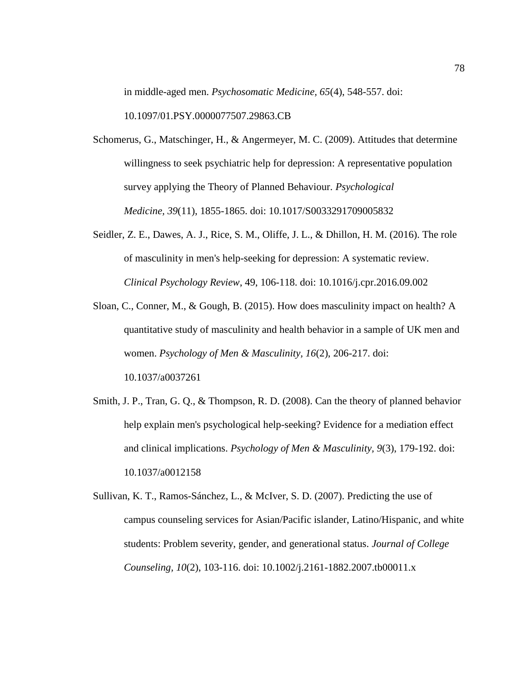in middle-aged men. *Psychosomatic Medicine, 65*(4), 548-557. doi:

10.1097/01.PSY.0000077507.29863.CB

- Schomerus, G., Matschinger, H., & Angermeyer, M. C. (2009). Attitudes that determine willingness to seek psychiatric help for depression: A representative population survey applying the Theory of Planned Behaviour. *Psychological Medicine, 39*(11), 1855-1865. doi: 10.1017/S0033291709005832
- Seidler, Z. E., Dawes, A. J., Rice, S. M., Oliffe, J. L., & Dhillon, H. M. (2016). The role of masculinity in men's help-seeking for depression: A systematic review. *Clinical Psychology Review*, 49, 106-118. doi: [10.1016/j.cpr.2016.09.002](http://dx.doi.org/10.1016/j.cpr.2016.09.002)
- Sloan, C., Conner, M., & Gough, B. (2015). How does masculinity impact on health? A quantitative study of masculinity and health behavior in a sample of UK men and women. *Psychology of Men & Masculinity, 16*(2), 206-217. doi[:](http://dx.doi.org/10.1037/a0037261) [10.1037/a0037261](http://dx.doi.org/10.1037/a0037261)
- Smith, J. P., Tran, G. Q., & Thompson, R. D. (2008). Can the theory of planned behavior help explain men's psychological help-seeking? Evidence for a mediation effect and clinical implications. *Psychology of Men & Masculinity, 9*(3), 179-192. doi: 10.1037/a0012158
- Sullivan, K. T., Ramos-Sánchez, L., & McIver, S. D. (2007). Predicting the use of campus counseling services for Asian/Pacific islander, Latino/Hispanic, and white students: Problem severity, gender, and generational status. *Journal of College Counseling, 10*(2), 103-116. doi: 10.1002/j.2161-1882.2007.tb00011.x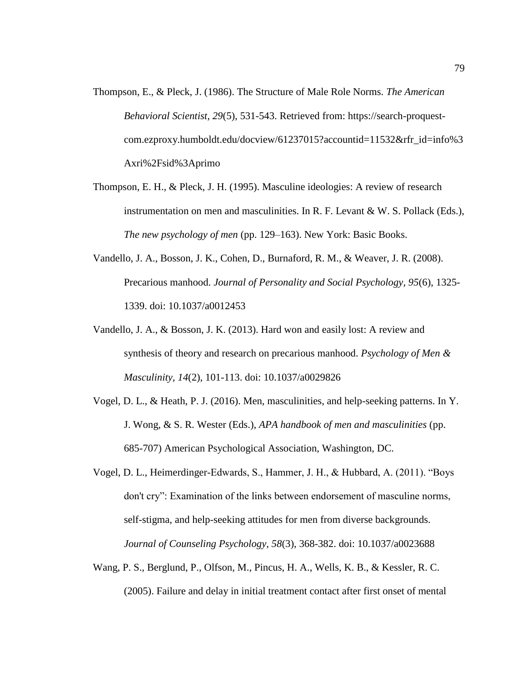- Thompson, E., & Pleck, J. (1986). The Structure of Male Role Norms. *The American Behavioral Scientist, 29*(5), 531-543. Retrieved from: https://search-proquestcom.ezproxy.humboldt.edu/docview/61237015?accountid=11532&rfr\_id=info%3 Axri%2Fsid%3Aprimo
- Thompson, E. H., & Pleck, J. H. (1995). Masculine ideologies: A review of research instrumentation on men and masculinities. In R. F. Levant  $\&$  W. S. Pollack (Eds.), *The new psychology of men* (pp. 129–163). New York: Basic Books.
- Vandello, J. A., Bosson, J. K., Cohen, D., Burnaford, R. M., & Weaver, J. R. (2008). Precarious manhood. *Journal of Personality and Social Psychology, 95*(6), 1325- 1339. doi: 10.1037/a0012453
- Vandello, J. A., & Bosson, J. K. (2013). Hard won and easily lost: A review and synthesis of theory and research on precarious manhood. *Psychology of Men & Masculinity, 14*(2), 101-113. doi: 10.1037/a0029826
- Vogel, D. L., & Heath, P. J. (2016). Men, masculinities, and help-seeking patterns. In Y. J. Wong, & S. R. Wester (Eds.), *APA handbook of men and masculinities* (pp. 685-707) American Psychological Association, Washington, DC.
- Vogel, D. L., Heimerdinger-Edwards, S., Hammer, J. H., & Hubbard, A. (2011). "Boys don't cry": Examination of the links between endorsement of masculine norms, self-stigma, and help-seeking attitudes for men from diverse backgrounds. *Journal of Counseling Psychology, 58*(3), 368-382. [doi: 10.1037/a0023688](http://dx.doi.org/10.1037/a0023688)
- Wang, P. S., Berglund, P., Olfson, M., Pincus, H. A., Wells, K. B., & Kessler, R. C. (2005). Failure and delay in initial treatment contact after first onset of mental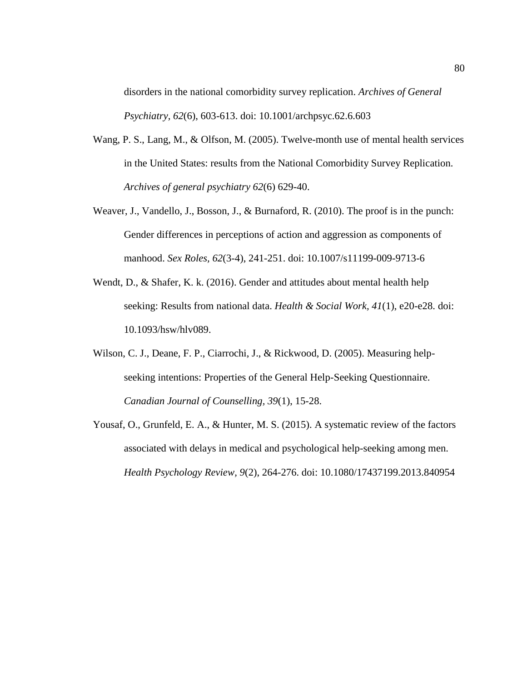disorders in the national comorbidity survey replication. *Archives of General Psychiatry, 62*(6), 603-613. doi: 10.1001/archpsyc.62.6.603

- Wang, P. S., Lang, M., & Olfson, M. (2005). Twelve-month use of mental health services in the United States: results from the National Comorbidity Survey Replication*. Archives of general psychiatry 62*(6) 629-40.
- Weaver, J., Vandello, J., Bosson, J., & Burnaford, R. (2010). The proof is in the punch: Gender differences in perceptions of action and aggression as components of manhood. *Sex Roles, 62*(3-4), 241-251. doi: 10.1007/s11199-009-9713-6
- Wendt, D., & Shafer, K. k. (2016). Gender and attitudes about mental health help seeking: Results from national data. *Health & Social Work, 41*(1), e20-e28. doi: 10.1093/hsw/hlv089.
- Wilson, C. J., Deane, F. P., Ciarrochi, J., & Rickwood, D. (2005). Measuring helpseeking intentions: Properties of the General Help-Seeking Questionnaire. *Canadian Journal of Counselling, 39*(1), 15-28.
- Yousaf, O., Grunfeld, E. A., & Hunter, M. S. (2015). A systematic review of the factors associated with delays in medical and psychological help-seeking among men. *Health Psychology Review, 9*(2), 264-276. doi: 10.1080/17437199.2013.840954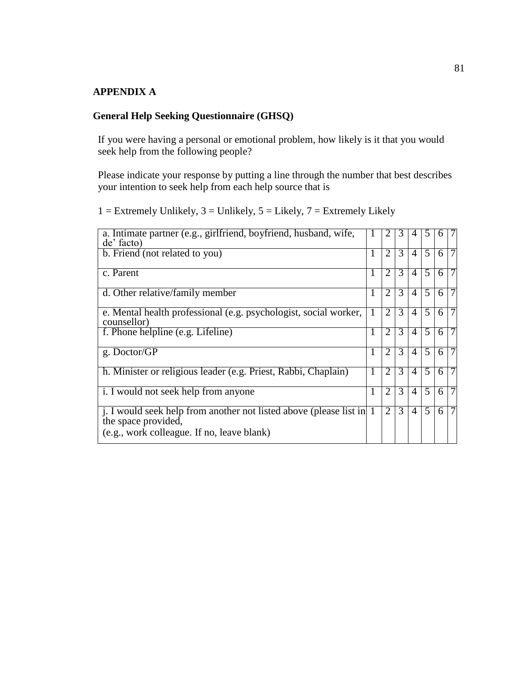## **APPENDIX A**

# **General Help Seeking Questionnaire (GHSQ)**

If you were having a personal or emotional problem, how likely is it that you would seek help from the following people?

Please indicate your response by putting a line through the number that best describes your intention to seek help from each help source that is

 $1 =$  Extremely Unlikely,  $3 =$  Unlikely,  $5 =$  Likely,  $7 =$  Extremely Likely

| a. Intimate partner (e.g., girlfriend, boyfriend, husband, wife,<br>de' facto)                                                             |   | 2              | 3             | 4              | 5 | h | 7              |
|--------------------------------------------------------------------------------------------------------------------------------------------|---|----------------|---------------|----------------|---|---|----------------|
| b. Friend (not related to you)                                                                                                             | 1 | 2              | 3             | 4              | 5 | 6 | 7              |
| c. Parent                                                                                                                                  | 1 | $\overline{2}$ | 3             | $\overline{A}$ | 5 | 6 | 7              |
| d. Other relative/family member                                                                                                            | 1 | $\overline{2}$ | 3             | 4              | 5 | 6 | 7              |
| e. Mental health professional (e.g. psychologist, social worker,<br>counsellor)                                                            |   | $\overline{2}$ | $\mathcal{R}$ | $\overline{A}$ | 5 | 6 | $\overline{7}$ |
| f. Phone helpline (e.g. Lifeline)                                                                                                          | 1 | $\overline{2}$ | $\mathcal{R}$ | $\overline{A}$ | 5 | 6 | $\overline{7}$ |
| g. Doctor/GP                                                                                                                               | 1 | $\overline{2}$ | 3             | $\overline{4}$ | 5 | 6 | $\overline{7}$ |
| h. Minister or religious leader (e.g. Priest, Rabbi, Chaplain)                                                                             | 1 | $\mathfrak{D}$ | $\mathcal{R}$ | 4              | 5 | 6 | 7              |
| i. I would not seek help from anyone                                                                                                       | 1 | $\overline{2}$ | 3             | 4              | 5 | 6 | 7              |
| j. I would seek help from another not listed above (please list in 1)<br>the space provided,<br>(e.g., work colleague. If no, leave blank) |   | $\overline{2}$ | $\mathcal{R}$ | $\overline{4}$ | 5 | 6 | $\overline{7}$ |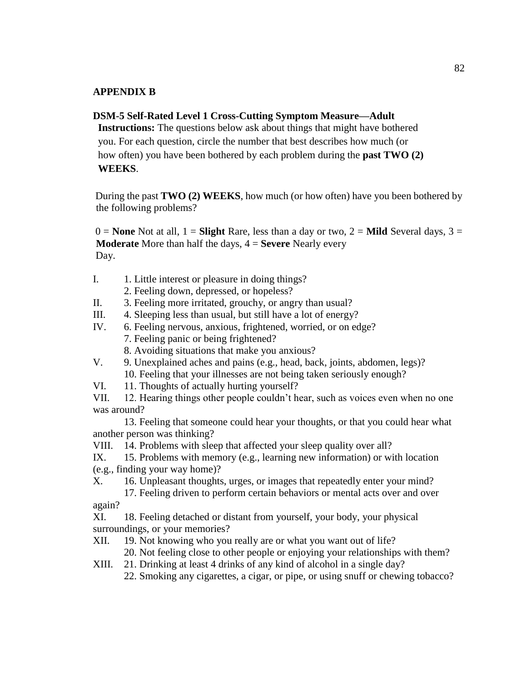### **APPENDIX B**

#### **DSM-5 Self-Rated Level 1 Cross-Cutting Symptom Measure—Adult**

**Instructions:** The questions below ask about things that might have bothered you. For each question, circle the number that best describes how much (or how often) you have been bothered by each problem during the **past TWO (2) WEEKS**.

During the past **TWO (2) WEEKS**, how much (or how often) have you been bothered by the following problems?

 $0 =$  **None** Not at all,  $1 =$  **Slight** Rare, less than a day or two,  $2 =$  **Mild** Several days,  $3 =$ **Moderate** More than half the days, 4 = **Severe** Nearly every Day.

- I. 1. Little interest or pleasure in doing things?
	- 2. Feeling down, depressed, or hopeless?
- II. 3. Feeling more irritated, grouchy, or angry than usual?
- III. 4. Sleeping less than usual, but still have a lot of energy?
- IV. 6. Feeling nervous, anxious, frightened, worried, or on edge?
	- 7. Feeling panic or being frightened?
	- 8. Avoiding situations that make you anxious?
- V. 9. Unexplained aches and pains (e.g., head, back, joints, abdomen, legs)? 10. Feeling that your illnesses are not being taken seriously enough?
- VI. 11. Thoughts of actually hurting yourself?

VII. 12. Hearing things other people couldn't hear, such as voices even when no one was around?

13. Feeling that someone could hear your thoughts, or that you could hear what another person was thinking?

VIII. 14. Problems with sleep that affected your sleep quality over all?

- IX. 15. Problems with memory (e.g., learning new information) or with location (e.g., finding your way home)?
- X. 16. Unpleasant thoughts, urges, or images that repeatedly enter your mind?

17. Feeling driven to perform certain behaviors or mental acts over and over again?

XI. 18. Feeling detached or distant from yourself, your body, your physical surroundings, or your memories?

XII. 19. Not knowing who you really are or what you want out of life?

20. Not feeling close to other people or enjoying your relationships with them?

XIII. 21. Drinking at least 4 drinks of any kind of alcohol in a single day?

22. Smoking any cigarettes, a cigar, or pipe, or using snuff or chewing tobacco?